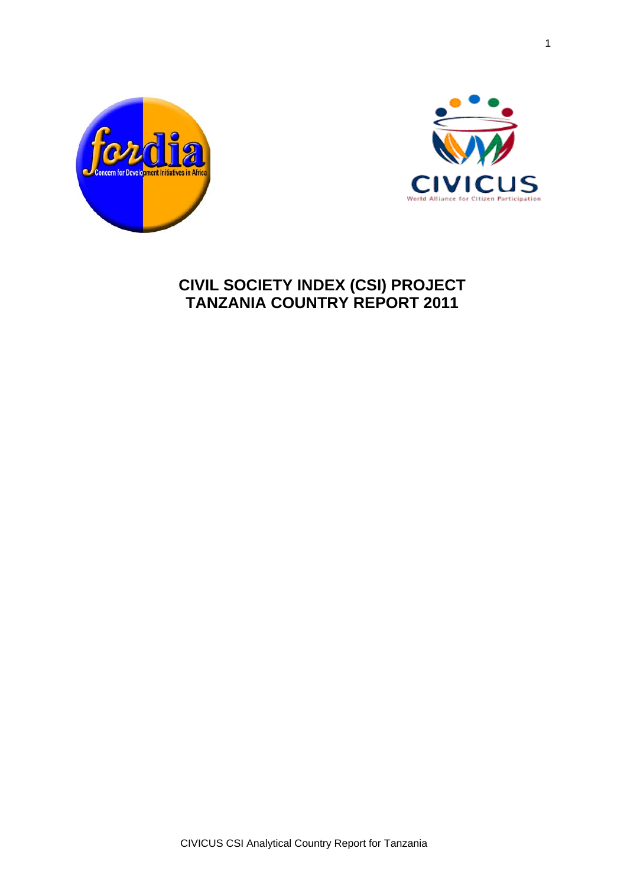



# **CIVIL SOCIETY INDEX (CSI) PROJECT TANZANIA COUNTRY REPORT 2011**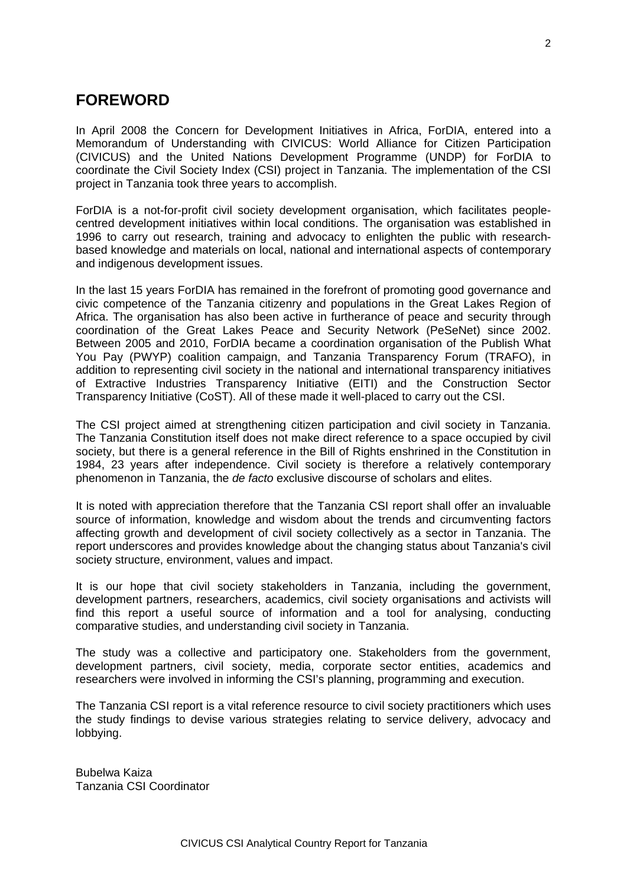# **FOREWORD**

In April 2008 the Concern for Development Initiatives in Africa, ForDIA, entered into a Memorandum of Understanding with CIVICUS: World Alliance for Citizen Participation (CIVICUS) and the United Nations Development Programme (UNDP) for ForDIA to coordinate the Civil Society Index (CSI) project in Tanzania. The implementation of the CSI project in Tanzania took three years to accomplish.

ForDIA is a not-for-profit civil society development organisation, which facilitates peoplecentred development initiatives within local conditions. The organisation was established in 1996 to carry out research, training and advocacy to enlighten the public with researchbased knowledge and materials on local, national and international aspects of contemporary and indigenous development issues.

In the last 15 years ForDIA has remained in the forefront of promoting good governance and civic competence of the Tanzania citizenry and populations in the Great Lakes Region of Africa. The organisation has also been active in furtherance of peace and security through coordination of the Great Lakes Peace and Security Network (PeSeNet) since 2002. Between 2005 and 2010, ForDIA became a coordination organisation of the Publish What You Pay (PWYP) coalition campaign, and Tanzania Transparency Forum (TRAFO), in addition to representing civil society in the national and international transparency initiatives of Extractive Industries Transparency Initiative (EITI) and the Construction Sector Transparency Initiative (CoST). All of these made it well-placed to carry out the CSI.

The CSI project aimed at strengthening citizen participation and civil society in Tanzania. The Tanzania Constitution itself does not make direct reference to a space occupied by civil society, but there is a general reference in the Bill of Rights enshrined in the Constitution in 1984, 23 years after independence. Civil society is therefore a relatively contemporary phenomenon in Tanzania, the *de facto* exclusive discourse of scholars and elites.

It is noted with appreciation therefore that the Tanzania CSI report shall offer an invaluable source of information, knowledge and wisdom about the trends and circumventing factors affecting growth and development of civil society collectively as a sector in Tanzania. The report underscores and provides knowledge about the changing status about Tanzania's civil society structure, environment, values and impact.

It is our hope that civil society stakeholders in Tanzania, including the government, development partners, researchers, academics, civil society organisations and activists will find this report a useful source of information and a tool for analysing, conducting comparative studies, and understanding civil society in Tanzania.

The study was a collective and participatory one. Stakeholders from the government, development partners, civil society, media, corporate sector entities, academics and researchers were involved in informing the CSI's planning, programming and execution.

The Tanzania CSI report is a vital reference resource to civil society practitioners which uses the study findings to devise various strategies relating to service delivery, advocacy and lobbying.

Bubelwa Kaiza Tanzania CSI Coordinator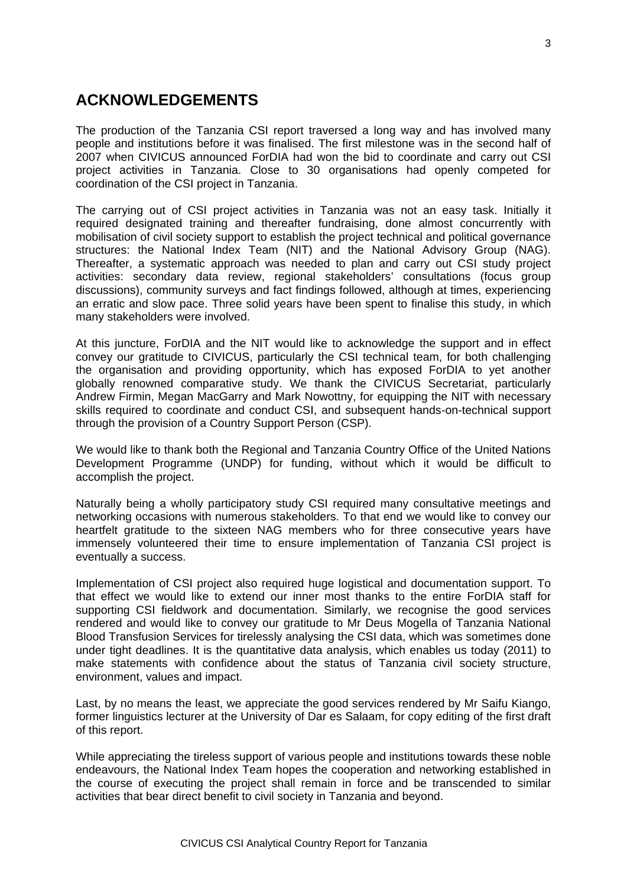# **ACKNOWLEDGEMENTS**

The production of the Tanzania CSI report traversed a long way and has involved many people and institutions before it was finalised. The first milestone was in the second half of 2007 when CIVICUS announced ForDIA had won the bid to coordinate and carry out CSI project activities in Tanzania. Close to 30 organisations had openly competed for coordination of the CSI project in Tanzania.

The carrying out of CSI project activities in Tanzania was not an easy task. Initially it required designated training and thereafter fundraising, done almost concurrently with mobilisation of civil society support to establish the project technical and political governance structures: the National Index Team (NIT) and the National Advisory Group (NAG). Thereafter, a systematic approach was needed to plan and carry out CSI study project activities: secondary data review, regional stakeholders' consultations (focus group discussions), community surveys and fact findings followed, although at times, experiencing an erratic and slow pace. Three solid years have been spent to finalise this study, in which many stakeholders were involved.

At this juncture, ForDIA and the NIT would like to acknowledge the support and in effect convey our gratitude to CIVICUS, particularly the CSI technical team, for both challenging the organisation and providing opportunity, which has exposed ForDIA to yet another globally renowned comparative study. We thank the CIVICUS Secretariat, particularly Andrew Firmin, Megan MacGarry and Mark Nowottny, for equipping the NIT with necessary skills required to coordinate and conduct CSI, and subsequent hands-on-technical support through the provision of a Country Support Person (CSP).

We would like to thank both the Regional and Tanzania Country Office of the United Nations Development Programme (UNDP) for funding, without which it would be difficult to accomplish the project.

Naturally being a wholly participatory study CSI required many consultative meetings and networking occasions with numerous stakeholders. To that end we would like to convey our heartfelt gratitude to the sixteen NAG members who for three consecutive years have immensely volunteered their time to ensure implementation of Tanzania CSI project is eventually a success.

Implementation of CSI project also required huge logistical and documentation support. To that effect we would like to extend our inner most thanks to the entire ForDIA staff for supporting CSI fieldwork and documentation. Similarly, we recognise the good services rendered and would like to convey our gratitude to Mr Deus Mogella of Tanzania National Blood Transfusion Services for tirelessly analysing the CSI data, which was sometimes done under tight deadlines. It is the quantitative data analysis, which enables us today (2011) to make statements with confidence about the status of Tanzania civil society structure, environment, values and impact.

Last, by no means the least, we appreciate the good services rendered by Mr Saifu Kiango, former linguistics lecturer at the University of Dar es Salaam, for copy editing of the first draft of this report.

While appreciating the tireless support of various people and institutions towards these noble endeavours, the National Index Team hopes the cooperation and networking established in the course of executing the project shall remain in force and be transcended to similar activities that bear direct benefit to civil society in Tanzania and beyond.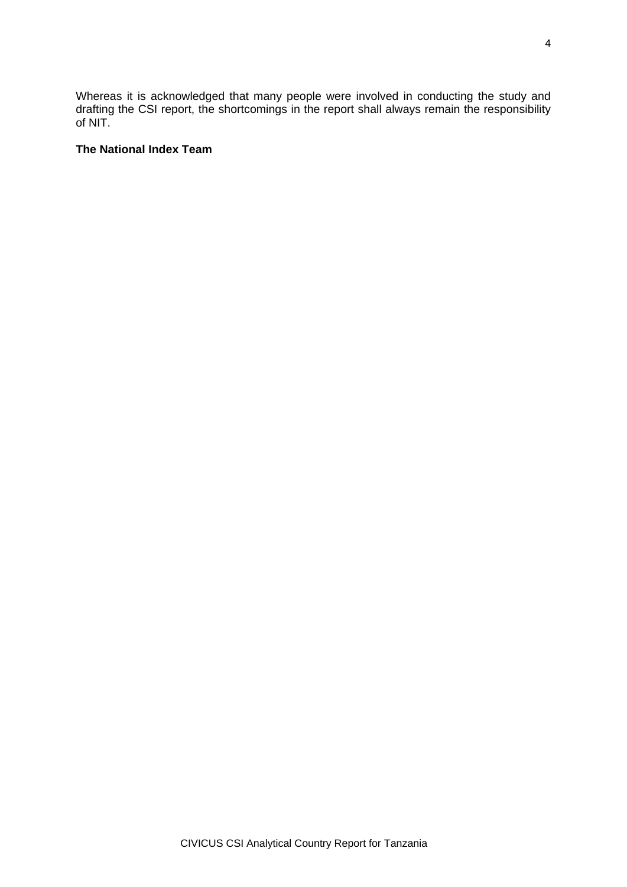Whereas it is acknowledged that many people were involved in conducting the study and drafting the CSI report, the shortcomings in the report shall always remain the responsibility of NIT.

#### **The National Index Team**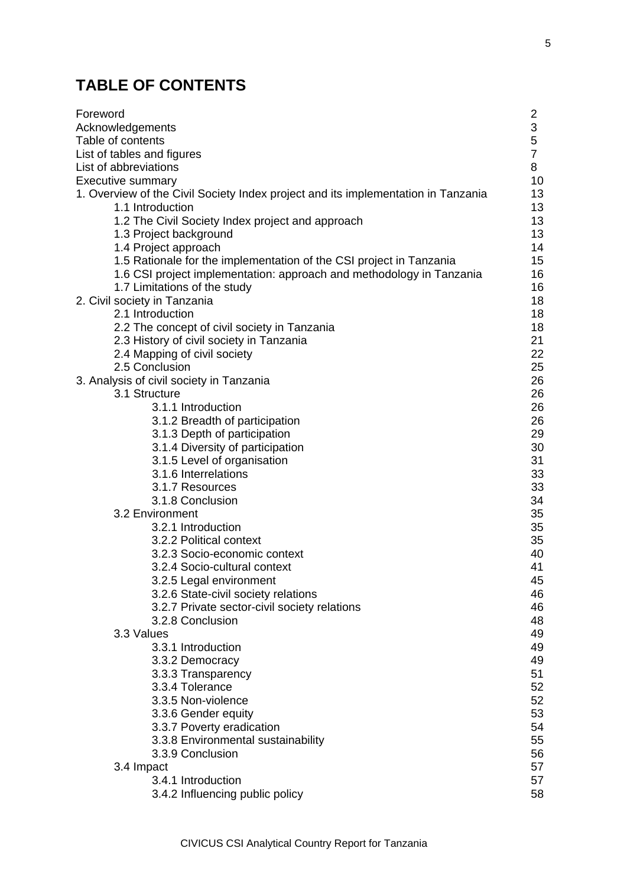# **TABLE OF CONTENTS**

| Foreword                                                                          | 2              |
|-----------------------------------------------------------------------------------|----------------|
| Acknowledgements                                                                  | 3              |
| Table of contents                                                                 | 5              |
| List of tables and figures                                                        | $\overline{7}$ |
| List of abbreviations                                                             | 8              |
| <b>Executive summary</b>                                                          | 10             |
| 1. Overview of the Civil Society Index project and its implementation in Tanzania | 13             |
| 1.1 Introduction                                                                  | 13             |
| 1.2 The Civil Society Index project and approach                                  | 13             |
| 1.3 Project background                                                            | 13             |
| 1.4 Project approach                                                              | 14             |
| 1.5 Rationale for the implementation of the CSI project in Tanzania               | 15             |
| 1.6 CSI project implementation: approach and methodology in Tanzania              | 16             |
| 1.7 Limitations of the study                                                      | 16             |
| 2. Civil society in Tanzania                                                      | 18             |
| 2.1 Introduction                                                                  | 18             |
| 2.2 The concept of civil society in Tanzania                                      | 18             |
| 2.3 History of civil society in Tanzania                                          | 21             |
| 2.4 Mapping of civil society                                                      | 22             |
| 2.5 Conclusion                                                                    | 25             |
| 3. Analysis of civil society in Tanzania                                          | 26             |
| 3.1 Structure                                                                     | 26             |
| 3.1.1 Introduction                                                                | 26             |
|                                                                                   |                |
| 3.1.2 Breadth of participation                                                    | 26             |
| 3.1.3 Depth of participation                                                      | 29             |
| 3.1.4 Diversity of participation                                                  | 30             |
| 3.1.5 Level of organisation                                                       | 31             |
| 3.1.6 Interrelations                                                              | 33             |
| 3.1.7 Resources                                                                   | 33             |
| 3.1.8 Conclusion                                                                  | 34             |
| 3.2 Environment                                                                   | 35             |
| 3.2.1 Introduction                                                                | 35             |
| 3.2.2 Political context                                                           | 35             |
| 3.2.3 Socio-economic context                                                      | 40             |
| 3.2.4 Socio-cultural context                                                      | 41             |
| 3.2.5 Legal environment                                                           | 45             |
| 3.2.6 State-civil society relations                                               | 46             |
| 3.2.7 Private sector-civil society relations                                      | 46             |
| 3.2.8 Conclusion                                                                  | 48             |
| 3.3 Values                                                                        | 49             |
| 3.3.1 Introduction                                                                | 49             |
| 3.3.2 Democracy                                                                   | 49             |
| 3.3.3 Transparency                                                                | 51             |
| 3.3.4 Tolerance                                                                   | 52             |
| 3.3.5 Non-violence                                                                | 52             |
| 3.3.6 Gender equity                                                               | 53             |
| 3.3.7 Poverty eradication                                                         | 54             |
| 3.3.8 Environmental sustainability                                                | 55             |
| 3.3.9 Conclusion                                                                  | 56             |
| 3.4 Impact                                                                        | 57             |
| 3.4.1 Introduction                                                                | 57             |
| 3.4.2 Influencing public policy                                                   | 58             |
|                                                                                   |                |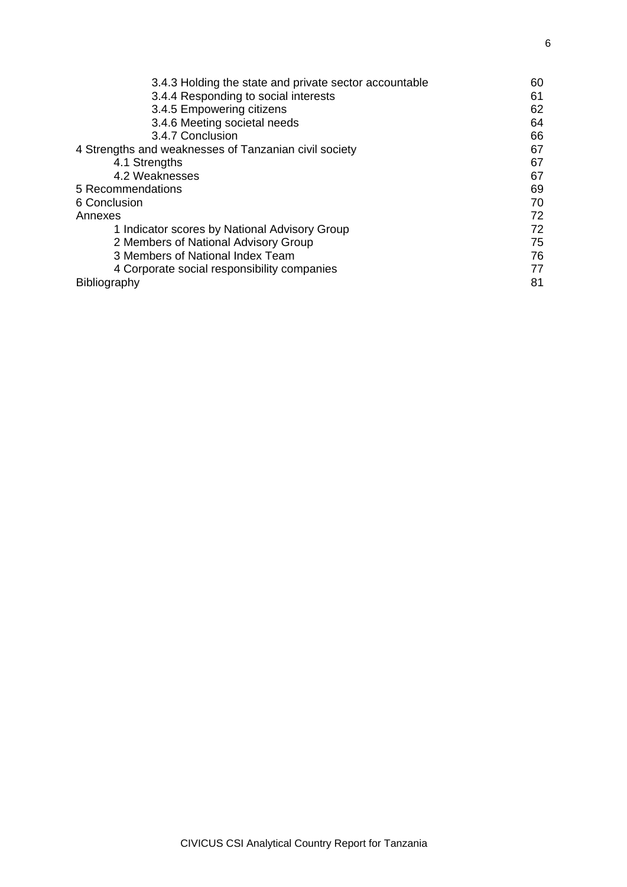| 3.4.3 Holding the state and private sector accountable | 60 |
|--------------------------------------------------------|----|
| 3.4.4 Responding to social interests                   | 61 |
| 3.4.5 Empowering citizens                              | 62 |
| 3.4.6 Meeting societal needs                           | 64 |
| 3.4.7 Conclusion                                       | 66 |
| 4 Strengths and weaknesses of Tanzanian civil society  | 67 |
| 4.1 Strengths                                          | 67 |
| 4.2 Weaknesses                                         | 67 |
| 5 Recommendations                                      | 69 |
| 6 Conclusion                                           | 70 |
| Annexes                                                | 72 |
| 1 Indicator scores by National Advisory Group          | 72 |
| 2 Members of National Advisory Group                   | 75 |
| 3 Members of National Index Team                       | 76 |
| 4 Corporate social responsibility companies            | 77 |
| <b>Bibliography</b>                                    | 81 |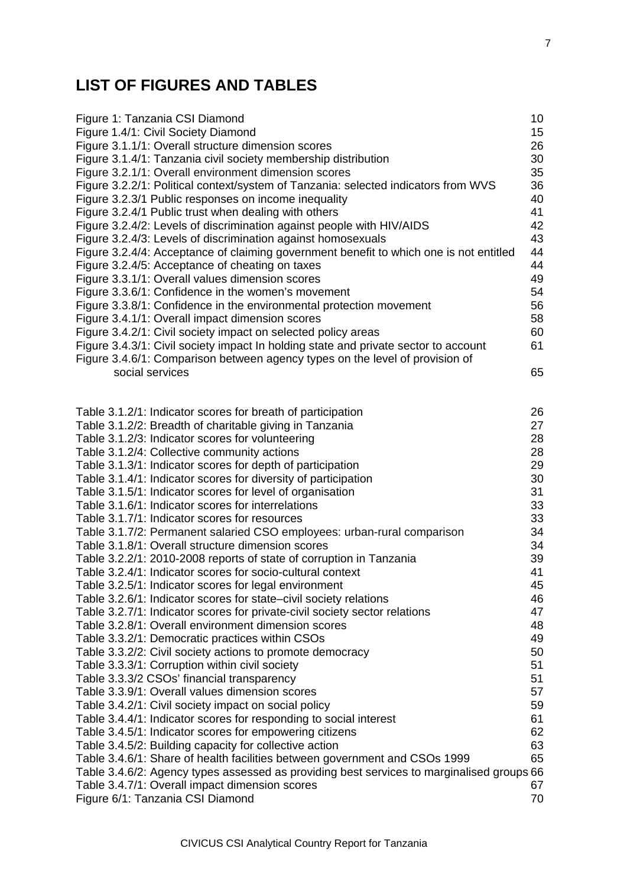# **LIST OF FIGURES AND TABLES**

Table 3.3.3/1: Corruption within civil society

Table 3.4.5/1: Indicator scores for empowering citizens

| Figure 1: Tanzania CSI Diamond                                                                                         | 10       |
|------------------------------------------------------------------------------------------------------------------------|----------|
| Figure 1.4/1: Civil Society Diamond                                                                                    | 15       |
| Figure 3.1.1/1: Overall structure dimension scores                                                                     | 26       |
| Figure 3.1.4/1: Tanzania civil society membership distribution                                                         | 30       |
| Figure 3.2.1/1: Overall environment dimension scores                                                                   | 35       |
| Figure 3.2.2/1: Political context/system of Tanzania: selected indicators from WVS                                     | 36       |
| Figure 3.2.3/1 Public responses on income inequality                                                                   | 40       |
| Figure 3.2.4/1 Public trust when dealing with others                                                                   | 41       |
| Figure 3.2.4/2: Levels of discrimination against people with HIV/AIDS                                                  | 42       |
| Figure 3.2.4/3: Levels of discrimination against homosexuals                                                           | 43       |
| Figure 3.2.4/4: Acceptance of claiming government benefit to which one is not entitled                                 | 44       |
| Figure 3.2.4/5: Acceptance of cheating on taxes                                                                        | 44       |
| Figure 3.3.1/1: Overall values dimension scores                                                                        | 49       |
| Figure 3.3.6/1: Confidence in the women's movement                                                                     | 54       |
| Figure 3.3.8/1: Confidence in the environmental protection movement                                                    | 56       |
| Figure 3.4.1/1: Overall impact dimension scores                                                                        | 58       |
| Figure 3.4.2/1: Civil society impact on selected policy areas                                                          | 60       |
| Figure 3.4.3/1: Civil society impact In holding state and private sector to account                                    | 61       |
| Figure 3.4.6/1: Comparison between agency types on the level of provision of                                           |          |
| social services                                                                                                        | 65       |
|                                                                                                                        |          |
|                                                                                                                        | 26       |
| Table 3.1.2/1: Indicator scores for breath of participation<br>Table 3.1.2/2: Breadth of charitable giving in Tanzania | 27       |
|                                                                                                                        | 28       |
| Table 3.1.2/3: Indicator scores for volunteering                                                                       | 28       |
| Table 3.1.2/4: Collective community actions                                                                            |          |
| Table 3.1.3/1: Indicator scores for depth of participation                                                             | 29       |
| Table 3.1.4/1: Indicator scores for diversity of participation                                                         | 30<br>31 |
| Table 3.1.5/1: Indicator scores for level of organisation                                                              |          |
| Table 3.1.6/1: Indicator scores for interrelations                                                                     | 33       |
| Table 3.1.7/1: Indicator scores for resources                                                                          | 33       |
| Table 3.1.7/2: Permanent salaried CSO employees: urban-rural comparison                                                | 34       |
| Table 3.1.8/1: Overall structure dimension scores                                                                      | 34       |
| Table 3.2.2/1: 2010-2008 reports of state of corruption in Tanzania                                                    | 39       |
| Table 3.2.4/1: Indicator scores for socio-cultural context                                                             | 41       |
| Table 3.2.5/1: Indicator scores for legal environment                                                                  | 45       |
| Table 3.2.6/1: Indicator scores for state-civil society relations                                                      | 46       |
| Table 3.2.7/1: Indicator scores for private-civil society sector relations                                             | 47       |
| Table 3.2.8/1: Overall environment dimension scores                                                                    | 48       |
| Table 3.3.2/1: Democratic practices within CSOs                                                                        | 49       |
| Table 3.3.2/2: Civil society actions to promote democracy                                                              | 50       |
| Table 3.3.3/1: Corruption within civil society                                                                         | 51       |

Table 3.3.3/2 CSOs' financial transparency 51 Table 3.3.9/1: Overall values dimension scores 67 Table 3.4.2/1: Civil society impact on social policy **59** 59 Table 3.4.4/1: Indicator scores for responding to social interest 61<br>Table 3.4.5/1: Indicator scores for empowering citizens 62

Table 3.4.5/2: Building capacity for collective action 63 Table 3.4.6/1: Share of health facilities between government and CSOs 1999 65 Table 3.4.6/2: Agency types assessed as providing best services to marginalised groups 66 Table 3.4.7/1: Overall impact dimension scores 67 Figure 6/1: Tanzania CSI Diamond 70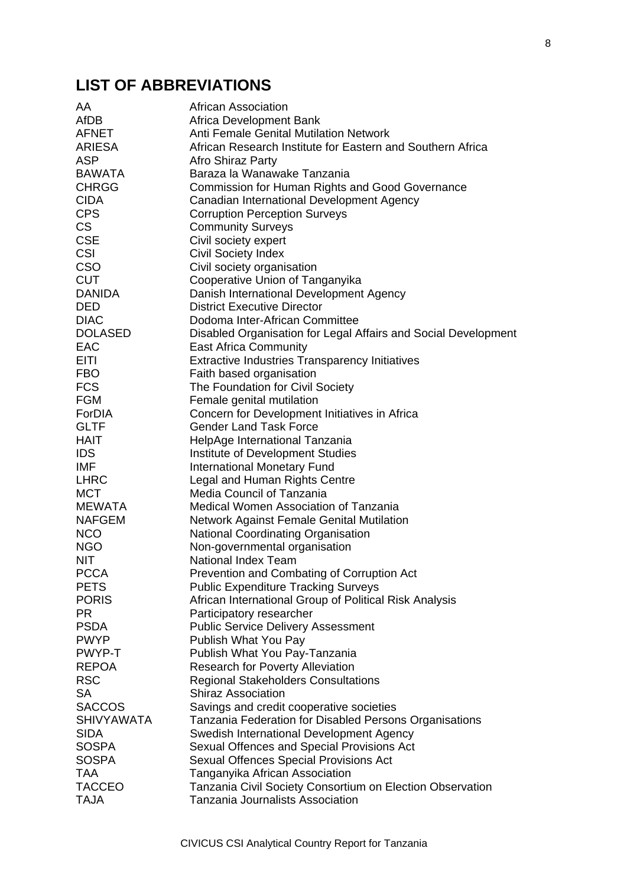# **LIST OF ABBREVIATIONS**

| AA                | <b>African Association</b>                                     |
|-------------------|----------------------------------------------------------------|
| <b>AfDB</b>       | Africa Development Bank                                        |
| <b>AFNET</b>      | <b>Anti Female Genital Mutilation Network</b>                  |
| ARIESA            | African Research Institute for Eastern and Southern Africa     |
| <b>ASP</b>        | Afro Shiraz Party                                              |
| <b>BAWATA</b>     | Baraza la Wanawake Tanzania                                    |
| <b>CHRGG</b>      | Commission for Human Rights and Good Governance                |
| <b>CIDA</b>       | Canadian International Development Agency                      |
| <b>CPS</b>        | <b>Corruption Perception Surveys</b>                           |
| <b>CS</b>         | <b>Community Surveys</b>                                       |
|                   |                                                                |
| <b>CSE</b>        | Civil society expert                                           |
| <b>CSI</b>        | <b>Civil Society Index</b>                                     |
| <b>CSO</b>        | Civil society organisation                                     |
| <b>CUT</b>        | Cooperative Union of Tanganyika                                |
| <b>DANIDA</b>     | Danish International Development Agency                        |
| <b>DED</b>        | <b>District Executive Director</b>                             |
| <b>DIAC</b>       | Dodoma Inter-African Committee                                 |
| <b>DOLASED</b>    | Disabled Organisation for Legal Affairs and Social Development |
| EAC               | <b>East Africa Community</b>                                   |
| EITI              | <b>Extractive Industries Transparency Initiatives</b>          |
| <b>FBO</b>        | Faith based organisation                                       |
| <b>FCS</b>        | The Foundation for Civil Society                               |
| <b>FGM</b>        | Female genital mutilation                                      |
| ForDIA            | Concern for Development Initiatives in Africa                  |
| <b>GLTF</b>       | <b>Gender Land Task Force</b>                                  |
| <b>HAIT</b>       | HelpAge International Tanzania                                 |
| <b>IDS</b>        | Institute of Development Studies                               |
| IMF               |                                                                |
|                   | <b>International Monetary Fund</b>                             |
| <b>LHRC</b>       | Legal and Human Rights Centre                                  |
| <b>MCT</b>        | Media Council of Tanzania                                      |
| MEWATA            | Medical Women Association of Tanzania                          |
| <b>NAFGEM</b>     | Network Against Female Genital Mutilation                      |
| <b>NCO</b>        | <b>National Coordinating Organisation</b>                      |
| <b>NGO</b>        | Non-governmental organisation                                  |
| <b>NIT</b>        | <b>National Index Team</b>                                     |
| <b>PCCA</b>       | Prevention and Combating of Corruption Act                     |
| <b>PETS</b>       | <b>Public Expenditure Tracking Surveys</b>                     |
| <b>PORIS</b>      | African International Group of Political Risk Analysis         |
| <b>PR</b>         | Participatory researcher                                       |
| <b>PSDA</b>       | <b>Public Service Delivery Assessment</b>                      |
| <b>PWYP</b>       | Publish What You Pay                                           |
| PWYP-T            | Publish What You Pay-Tanzania                                  |
| <b>REPOA</b>      | <b>Research for Poverty Alleviation</b>                        |
| <b>RSC</b>        | <b>Regional Stakeholders Consultations</b>                     |
| <b>SA</b>         | <b>Shiraz Association</b>                                      |
| <b>SACCOS</b>     | Savings and credit cooperative societies                       |
| <b>SHIVYAWATA</b> | Tanzania Federation for Disabled Persons Organisations         |
| <b>SIDA</b>       | Swedish International Development Agency                       |
| <b>SOSPA</b>      |                                                                |
|                   | Sexual Offences and Special Provisions Act                     |
| <b>SOSPA</b>      | <b>Sexual Offences Special Provisions Act</b>                  |
| TAA               | Tanganyika African Association                                 |
| <b>TACCEO</b>     | Tanzania Civil Society Consortium on Election Observation      |
| <b>TAJA</b>       | <b>Tanzania Journalists Association</b>                        |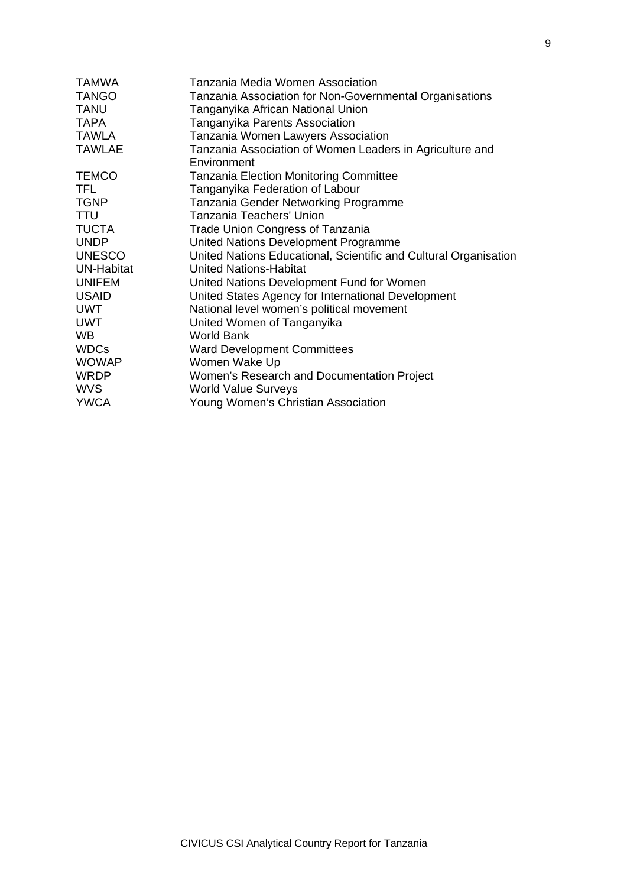| <b>TAMWA</b>  | Tanzania Media Women Association                                 |
|---------------|------------------------------------------------------------------|
| <b>TANGO</b>  | Tanzania Association for Non-Governmental Organisations          |
| <b>TANU</b>   | Tanganyika African National Union                                |
| <b>TAPA</b>   | Tanganyika Parents Association                                   |
| <b>TAWLA</b>  | Tanzania Women Lawyers Association                               |
| <b>TAWLAE</b> | Tanzania Association of Women Leaders in Agriculture and         |
|               | Environment                                                      |
| <b>TEMCO</b>  | <b>Tanzania Election Monitoring Committee</b>                    |
| TFL.          | Tanganyika Federation of Labour                                  |
| <b>TGNP</b>   | Tanzania Gender Networking Programme                             |
| <b>TTU</b>    | Tanzania Teachers' Union                                         |
| <b>TUCTA</b>  | <b>Trade Union Congress of Tanzania</b>                          |
| <b>UNDP</b>   | United Nations Development Programme                             |
| <b>UNESCO</b> | United Nations Educational, Scientific and Cultural Organisation |
| UN-Habitat    | <b>United Nations-Habitat</b>                                    |
| <b>UNIFEM</b> | United Nations Development Fund for Women                        |
| <b>USAID</b>  | United States Agency for International Development               |
| <b>UWT</b>    | National level women's political movement                        |
| <b>UWT</b>    | United Women of Tanganyika                                       |
| WB.           | <b>World Bank</b>                                                |
| <b>WDCs</b>   | <b>Ward Development Committees</b>                               |
| <b>WOWAP</b>  | Women Wake Up                                                    |
| <b>WRDP</b>   | Women's Research and Documentation Project                       |
| <b>WVS</b>    | <b>World Value Surveys</b>                                       |
| <b>YWCA</b>   | Young Women's Christian Association                              |
|               |                                                                  |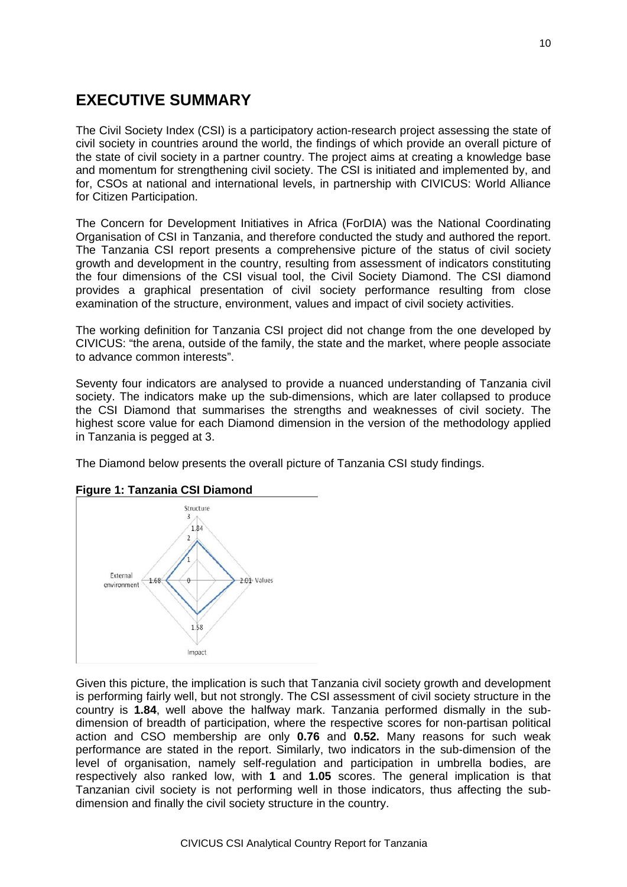# **EXECUTIVE SUMMARY**

The Civil Society Index (CSI) is a participatory action-research project assessing the state of civil society in countries around the world, the findings of which provide an overall picture of the state of civil society in a partner country. The project aims at creating a knowledge base and momentum for strengthening civil society. The CSI is initiated and implemented by, and for, CSOs at national and international levels, in partnership with CIVICUS: World Alliance for Citizen Participation.

The Concern for Development Initiatives in Africa (ForDIA) was the National Coordinating Organisation of CSI in Tanzania, and therefore conducted the study and authored the report. The Tanzania CSI report presents a comprehensive picture of the status of civil society growth and development in the country, resulting from assessment of indicators constituting the four dimensions of the CSI visual tool, the Civil Society Diamond. The CSI diamond provides a graphical presentation of civil society performance resulting from close examination of the structure, environment, values and impact of civil society activities.

The working definition for Tanzania CSI project did not change from the one developed by CIVICUS: "the arena, outside of the family, the state and the market, where people associate to advance common interests".

Seventy four indicators are analysed to provide a nuanced understanding of Tanzania civil society. The indicators make up the sub-dimensions, which are later collapsed to produce the CSI Diamond that summarises the strengths and weaknesses of civil society. The highest score value for each Diamond dimension in the version of the methodology applied in Tanzania is pegged at 3.

The Diamond below presents the overall picture of Tanzania CSI study findings.



#### **Figure 1: Tanzania CSI Diamond**

Given this picture, the implication is such that Tanzania civil society growth and development is performing fairly well, but not strongly. The CSI assessment of civil society structure in the country is **1.84**, well above the halfway mark. Tanzania performed dismally in the subdimension of breadth of participation, where the respective scores for non-partisan political action and CSO membership are only **0.76** and **0.52.** Many reasons for such weak performance are stated in the report. Similarly, two indicators in the sub-dimension of the level of organisation, namely self-regulation and participation in umbrella bodies, are respectively also ranked low, with **1** and **1.05** scores. The general implication is that Tanzanian civil society is not performing well in those indicators, thus affecting the subdimension and finally the civil society structure in the country.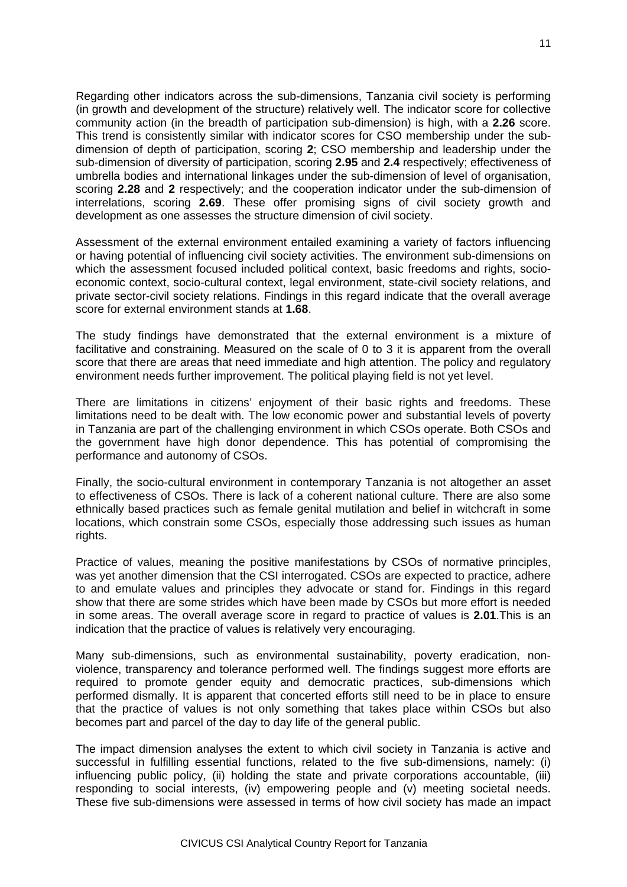Regarding other indicators across the sub-dimensions, Tanzania civil society is performing (in growth and development of the structure) relatively well. The indicator score for collective community action (in the breadth of participation sub-dimension) is high, with a **2.26** score. This trend is consistently similar with indicator scores for CSO membership under the subdimension of depth of participation, scoring **2**; CSO membership and leadership under the sub-dimension of diversity of participation, scoring **2.95** and **2.4** respectively; effectiveness of umbrella bodies and international linkages under the sub-dimension of level of organisation, scoring **2.28** and **2** respectively; and the cooperation indicator under the sub-dimension of interrelations, scoring **2.69**. These offer promising signs of civil society growth and development as one assesses the structure dimension of civil society.

Assessment of the external environment entailed examining a variety of factors influencing or having potential of influencing civil society activities. The environment sub-dimensions on which the assessment focused included political context, basic freedoms and rights, socioeconomic context, socio-cultural context, legal environment, state-civil society relations, and private sector-civil society relations. Findings in this regard indicate that the overall average score for external environment stands at **1.68**.

The study findings have demonstrated that the external environment is a mixture of facilitative and constraining. Measured on the scale of 0 to 3 it is apparent from the overall score that there are areas that need immediate and high attention. The policy and regulatory environment needs further improvement. The political playing field is not yet level.

There are limitations in citizens' enjoyment of their basic rights and freedoms. These limitations need to be dealt with. The low economic power and substantial levels of poverty in Tanzania are part of the challenging environment in which CSOs operate. Both CSOs and the government have high donor dependence. This has potential of compromising the performance and autonomy of CSOs.

Finally, the socio-cultural environment in contemporary Tanzania is not altogether an asset to effectiveness of CSOs. There is lack of a coherent national culture. There are also some ethnically based practices such as female genital mutilation and belief in witchcraft in some locations, which constrain some CSOs, especially those addressing such issues as human rights.

Practice of values, meaning the positive manifestations by CSOs of normative principles, was yet another dimension that the CSI interrogated. CSOs are expected to practice, adhere to and emulate values and principles they advocate or stand for. Findings in this regard show that there are some strides which have been made by CSOs but more effort is needed in some areas. The overall average score in regard to practice of values is **2.01**.This is an indication that the practice of values is relatively very encouraging.

Many sub-dimensions, such as environmental sustainability, poverty eradication, nonviolence, transparency and tolerance performed well. The findings suggest more efforts are required to promote gender equity and democratic practices, sub-dimensions which performed dismally. It is apparent that concerted efforts still need to be in place to ensure that the practice of values is not only something that takes place within CSOs but also becomes part and parcel of the day to day life of the general public.

The impact dimension analyses the extent to which civil society in Tanzania is active and successful in fulfilling essential functions, related to the five sub-dimensions, namely: (i) influencing public policy, (ii) holding the state and private corporations accountable, (iii) responding to social interests, (iv) empowering people and (v) meeting societal needs. These five sub-dimensions were assessed in terms of how civil society has made an impact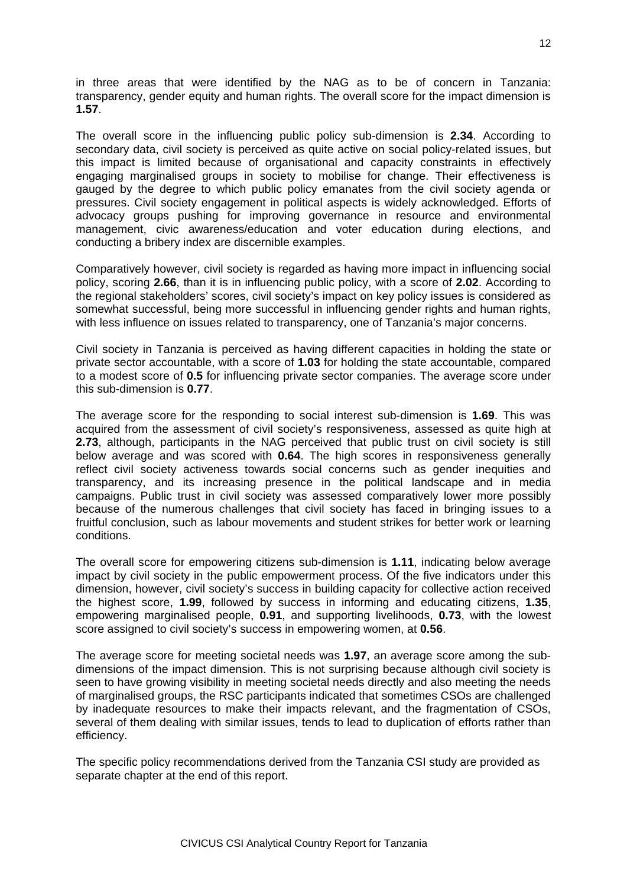in three areas that were identified by the NAG as to be of concern in Tanzania: transparency, gender equity and human rights. The overall score for the impact dimension is **1.57**.

The overall score in the influencing public policy sub-dimension is **2.34**. According to secondary data, civil society is perceived as quite active on social policy-related issues, but this impact is limited because of organisational and capacity constraints in effectively engaging marginalised groups in society to mobilise for change. Their effectiveness is gauged by the degree to which public policy emanates from the civil society agenda or pressures. Civil society engagement in political aspects is widely acknowledged. Efforts of advocacy groups pushing for improving governance in resource and environmental management, civic awareness/education and voter education during elections, and conducting a bribery index are discernible examples.

Comparatively however, civil society is regarded as having more impact in influencing social policy, scoring **2.66**, than it is in influencing public policy, with a score of **2.02**. According to the regional stakeholders' scores, civil society's impact on key policy issues is considered as somewhat successful, being more successful in influencing gender rights and human rights, with less influence on issues related to transparency, one of Tanzania's major concerns.

Civil society in Tanzania is perceived as having different capacities in holding the state or private sector accountable, with a score of **1.03** for holding the state accountable, compared to a modest score of **0.5** for influencing private sector companies. The average score under this sub-dimension is **0.77**.

The average score for the responding to social interest sub-dimension is **1.69**. This was acquired from the assessment of civil society's responsiveness, assessed as quite high at **2.73**, although, participants in the NAG perceived that public trust on civil society is still below average and was scored with **0.64**. The high scores in responsiveness generally reflect civil society activeness towards social concerns such as gender inequities and transparency, and its increasing presence in the political landscape and in media campaigns. Public trust in civil society was assessed comparatively lower more possibly because of the numerous challenges that civil society has faced in bringing issues to a fruitful conclusion, such as labour movements and student strikes for better work or learning conditions.

The overall score for empowering citizens sub-dimension is **1.11**, indicating below average impact by civil society in the public empowerment process. Of the five indicators under this dimension, however, civil society's success in building capacity for collective action received the highest score, **1.99**, followed by success in informing and educating citizens, **1.35**, empowering marginalised people, **0.91**, and supporting livelihoods, **0.73**, with the lowest score assigned to civil society's success in empowering women, at **0.56**.

The average score for meeting societal needs was **1.97**, an average score among the subdimensions of the impact dimension. This is not surprising because although civil society is seen to have growing visibility in meeting societal needs directly and also meeting the needs of marginalised groups, the RSC participants indicated that sometimes CSOs are challenged by inadequate resources to make their impacts relevant, and the fragmentation of CSOs, several of them dealing with similar issues, tends to lead to duplication of efforts rather than efficiency.

The specific policy recommendations derived from the Tanzania CSI study are provided as separate chapter at the end of this report.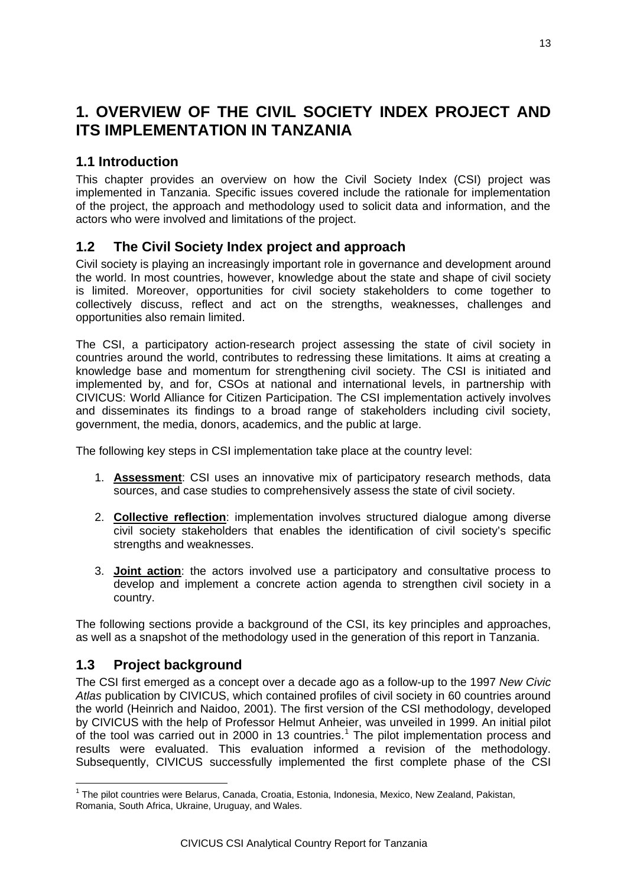# **1. OVERVIEW OF THE CIVIL SOCIETY INDEX PROJECT AND ITS IMPLEMENTATION IN TANZANIA**

## **1.1 Introduction**

This chapter provides an overview on how the Civil Society Index (CSI) project was implemented in Tanzania. Specific issues covered include the rationale for implementation of the project, the approach and methodology used to solicit data and information, and the actors who were involved and limitations of the project.

## **1.2 The Civil Society Index project and approach**

Civil society is playing an increasingly important role in governance and development around the world. In most countries, however, knowledge about the state and shape of civil society is limited. Moreover, opportunities for civil society stakeholders to come together to collectively discuss, reflect and act on the strengths, weaknesses, challenges and opportunities also remain limited.

The CSI, a participatory action-research project assessing the state of civil society in countries around the world, contributes to redressing these limitations. It aims at creating a knowledge base and momentum for strengthening civil society. The CSI is initiated and implemented by, and for, CSOs at national and international levels, in partnership with CIVICUS: World Alliance for Citizen Participation. The CSI implementation actively involves and disseminates its findings to a broad range of stakeholders including civil society, government, the media, donors, academics, and the public at large.

The following key steps in CSI implementation take place at the country level:

- 1. **Assessment**: CSI uses an innovative mix of participatory research methods, data sources, and case studies to comprehensively assess the state of civil society.
- 2. **Collective reflection**: implementation involves structured dialogue among diverse civil society stakeholders that enables the identification of civil society's specific strengths and weaknesses.
- 3. **Joint action**: the actors involved use a participatory and consultative process to develop and implement a concrete action agenda to strengthen civil society in a country.

The following sections provide a background of the CSI, its key principles and approaches, as well as a snapshot of the methodology used in the generation of this report in Tanzania.

## **1.3 Project background**

The CSI first emerged as a concept over a decade ago as a follow-up to the 1997 *New Civic Atlas* publication by CIVICUS, which contained profiles of civil society in 60 countries around the world (Heinrich and Naidoo, 2001). The first version of the CSI methodology, developed by CIVICUS with the help of Professor Helmut Anheier, was unveiled in 1999. An initial pilot of the tool was carried out in 2000 in [1](#page-12-0)3 countries.<sup>1</sup> The pilot implementation process and results were evaluated. This evaluation informed a revision of the methodology. Subsequently, CIVICUS successfully implemented the first complete phase of the CSI

<span id="page-12-0"></span><sup>&</sup>lt;sup>1</sup> The pilot countries were Belarus, Canada, Croatia, Estonia, Indonesia, Mexico, New Zealand, Pakistan, Romania, South Africa, Ukraine, Uruguay, and Wales.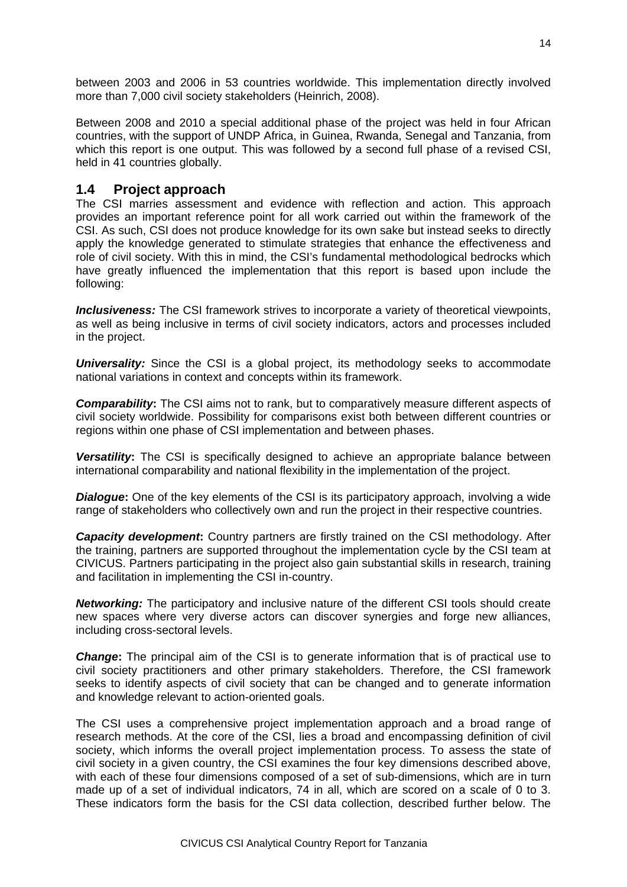between 2003 and 2006 in 53 countries worldwide. This implementation directly involved more than 7,000 civil society stakeholders (Heinrich, 2008).

Between 2008 and 2010 a special additional phase of the project was held in four African countries, with the support of UNDP Africa, in Guinea, Rwanda, Senegal and Tanzania, from which this report is one output. This was followed by a second full phase of a revised CSI, held in 41 countries globally.

### **1.4 Project approach**

The CSI marries assessment and evidence with reflection and action. This approach provides an important reference point for all work carried out within the framework of the CSI. As such, CSI does not produce knowledge for its own sake but instead seeks to directly apply the knowledge generated to stimulate strategies that enhance the effectiveness and role of civil society. With this in mind, the CSI's fundamental methodological bedrocks which have greatly influenced the implementation that this report is based upon include the following:

*Inclusiveness:* The CSI framework strives to incorporate a variety of theoretical viewpoints, as well as being inclusive in terms of civil society indicators, actors and processes included in the project.

**Universality:** Since the CSI is a global project, its methodology seeks to accommodate national variations in context and concepts within its framework.

*Comparability***:** The CSI aims not to rank, but to comparatively measure different aspects of civil society worldwide. Possibility for comparisons exist both between different countries or regions within one phase of CSI implementation and between phases.

**Versatility:** The CSI is specifically designed to achieve an appropriate balance between international comparability and national flexibility in the implementation of the project.

**Dialogue:** One of the key elements of the CSI is its participatory approach, involving a wide range of stakeholders who collectively own and run the project in their respective countries.

*Capacity development:* Country partners are firstly trained on the CSI methodology. After the training, partners are supported throughout the implementation cycle by the CSI team at CIVICUS. Partners participating in the project also gain substantial skills in research, training and facilitation in implementing the CSI in-country.

*Networking:* The participatory and inclusive nature of the different CSI tools should create new spaces where very diverse actors can discover synergies and forge new alliances, including cross-sectoral levels.

*Change***:** The principal aim of the CSI is to generate information that is of practical use to civil society practitioners and other primary stakeholders. Therefore, the CSI framework seeks to identify aspects of civil society that can be changed and to generate information and knowledge relevant to action-oriented goals.

The CSI uses a comprehensive project implementation approach and a broad range of research methods. At the core of the CSI, lies a broad and encompassing definition of civil society, which informs the overall project implementation process. To assess the state of civil society in a given country, the CSI examines the four key dimensions described above, with each of these four dimensions composed of a set of sub-dimensions, which are in turn made up of a set of individual indicators, 74 in all, which are scored on a scale of 0 to 3. These indicators form the basis for the CSI data collection, described further below. The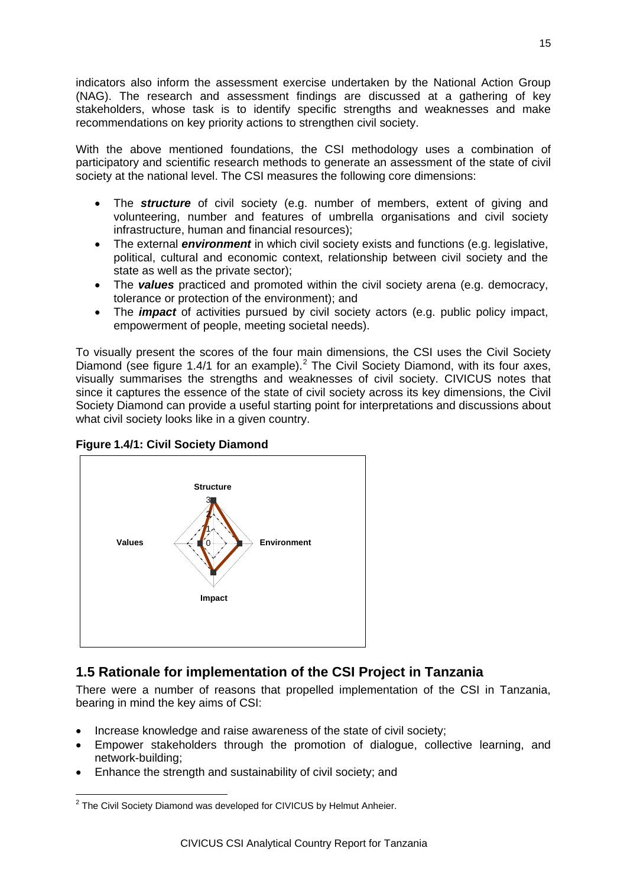indicators also inform the assessment exercise undertaken by the National Action Group (NAG). The research and assessment findings are discussed at a gathering of key stakeholders, whose task is to identify specific strengths and weaknesses and make recommendations on key priority actions to strengthen civil society.

With the above mentioned foundations, the CSI methodology uses a combination of participatory and scientific research methods to generate an assessment of the state of civil society at the national level. The CSI measures the following core dimensions:

- The **structure** of civil society (e.g. number of members, extent of giving and volunteering, number and features of umbrella organisations and civil society infrastructure, human and financial resources);
- The external *environment* in which civil society exists and functions (e.g. legislative, political, cultural and economic context, relationship between civil society and the state as well as the private sector);
- The *values* practiced and promoted within the civil society arena (e.g. democracy, tolerance or protection of the environment); and
- The *impact* of activities pursued by civil society actors (e.g. public policy impact, empowerment of people, meeting societal needs).

To visually present the scores of the four main dimensions, the CSI uses the Civil Society Diamond (see figure 1.4/1 for an example).<sup>[2](#page-14-0)</sup> The Civil Society Diamond, with its four axes, visually summarises the strengths and weaknesses of civil society. CIVICUS notes that since it captures the essence of the state of civil society across its key dimensions, the Civil Society Diamond can provide a useful starting point for interpretations and discussions about what civil society looks like in a given country.

#### **Figure 1.4/1: Civil Society Diamond**



# **1.5 Rationale for implementation of the CSI Project in Tanzania**

There were a number of reasons that propelled implementation of the CSI in Tanzania, bearing in mind the key aims of CSI:

- Increase knowledge and raise awareness of the state of civil society;
- Empower stakeholders through the promotion of dialogue, collective learning, and network-building;
- Enhance the strength and sustainability of civil society; and

<span id="page-14-0"></span><sup>&</sup>lt;sup>2</sup> The Civil Society Diamond was developed for CIVICUS by Helmut Anheier.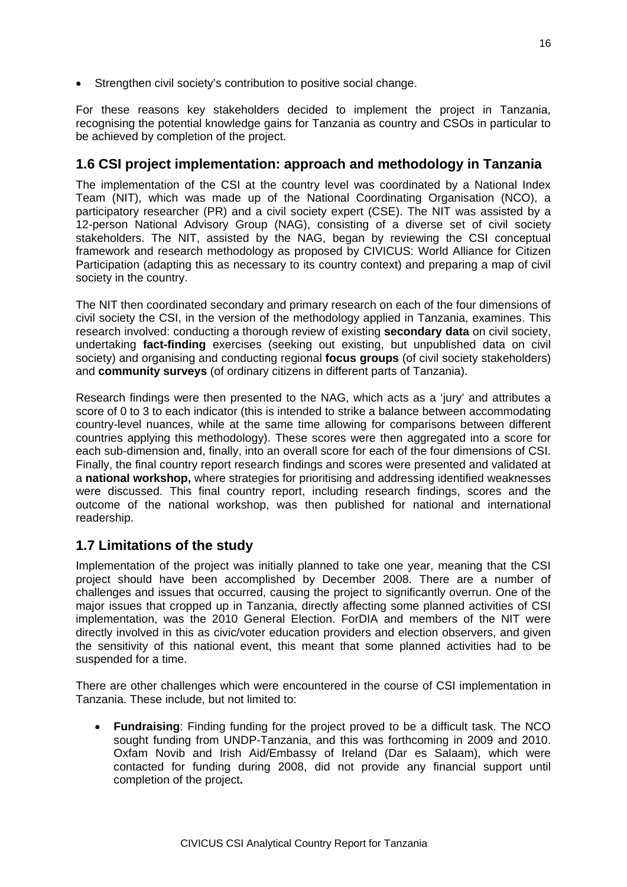• Strengthen civil society's contribution to positive social change.

For these reasons key stakeholders decided to implement the project in Tanzania, recognising the potential knowledge gains for Tanzania as country and CSOs in particular to be achieved by completion of the project.

### **1.6 CSI project implementation: approach and methodology in Tanzania**

The implementation of the CSI at the country level was coordinated by a National Index Team (NIT), which was made up of the National Coordinating Organisation (NCO), a participatory researcher (PR) and a civil society expert (CSE). The NIT was assisted by a 12-person National Advisory Group (NAG), consisting of a diverse set of civil society stakeholders. The NIT, assisted by the NAG, began by reviewing the CSI conceptual framework and research methodology as proposed by CIVICUS: World Alliance for Citizen Participation (adapting this as necessary to its country context) and preparing a map of civil society in the country.

The NIT then coordinated secondary and primary research on each of the four dimensions of civil society the CSI, in the version of the methodology applied in Tanzania, examines. This research involved: conducting a thorough review of existing **secondary data** on civil society, undertaking **fact-finding** exercises (seeking out existing, but unpublished data on civil society) and organising and conducting regional **focus groups** (of civil society stakeholders) and **community surveys** (of ordinary citizens in different parts of Tanzania).

Research findings were then presented to the NAG, which acts as a 'jury' and attributes a score of 0 to 3 to each indicator (this is intended to strike a balance between accommodating country-level nuances, while at the same time allowing for comparisons between different countries applying this methodology). These scores were then aggregated into a score for each sub-dimension and, finally, into an overall score for each of the four dimensions of CSI. Finally, the final country report research findings and scores were presented and validated at a **national workshop,** where strategies for prioritising and addressing identified weaknesses were discussed. This final country report, including research findings, scores and the outcome of the national workshop, was then published for national and international readership.

## **1.7 Limitations of the study**

Implementation of the project was initially planned to take one year, meaning that the CSI project should have been accomplished by December 2008. There are a number of challenges and issues that occurred, causing the project to significantly overrun. One of the major issues that cropped up in Tanzania, directly affecting some planned activities of CSI implementation, was the 2010 General Election. ForDIA and members of the NIT were directly involved in this as civic/voter education providers and election observers, and given the sensitivity of this national event, this meant that some planned activities had to be suspended for a time.

There are other challenges which were encountered in the course of CSI implementation in Tanzania. These include, but not limited to:

• **Fundraising**: Finding funding for the project proved to be a difficult task. The NCO sought funding from UNDP-Tanzania, and this was forthcoming in 2009 and 2010. Oxfam Novib and Irish Aid/Embassy of Ireland (Dar es Salaam), which were contacted for funding during 2008, did not provide any financial support until completion of the project**.**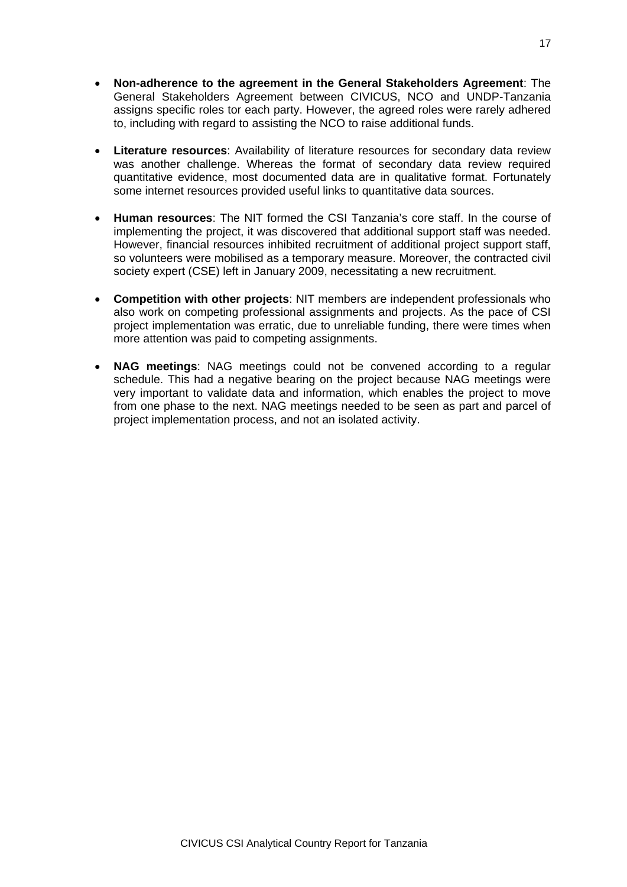- **Non-adherence to the agreement in the General Stakeholders Agreement**: The General Stakeholders Agreement between CIVICUS, NCO and UNDP-Tanzania assigns specific roles tor each party. However, the agreed roles were rarely adhered to, including with regard to assisting the NCO to raise additional funds.
- **Literature resources**: Availability of literature resources for secondary data review was another challenge. Whereas the format of secondary data review required quantitative evidence, most documented data are in qualitative format. Fortunately some internet resources provided useful links to quantitative data sources.
- **Human resources**: The NIT formed the CSI Tanzania's core staff. In the course of implementing the project, it was discovered that additional support staff was needed. However, financial resources inhibited recruitment of additional project support staff, so volunteers were mobilised as a temporary measure. Moreover, the contracted civil society expert (CSE) left in January 2009, necessitating a new recruitment.
- **Competition with other projects**: NIT members are independent professionals who also work on competing professional assignments and projects. As the pace of CSI project implementation was erratic, due to unreliable funding, there were times when more attention was paid to competing assignments.
- **NAG meetings**: NAG meetings could not be convened according to a regular schedule. This had a negative bearing on the project because NAG meetings were very important to validate data and information, which enables the project to move from one phase to the next. NAG meetings needed to be seen as part and parcel of project implementation process, and not an isolated activity.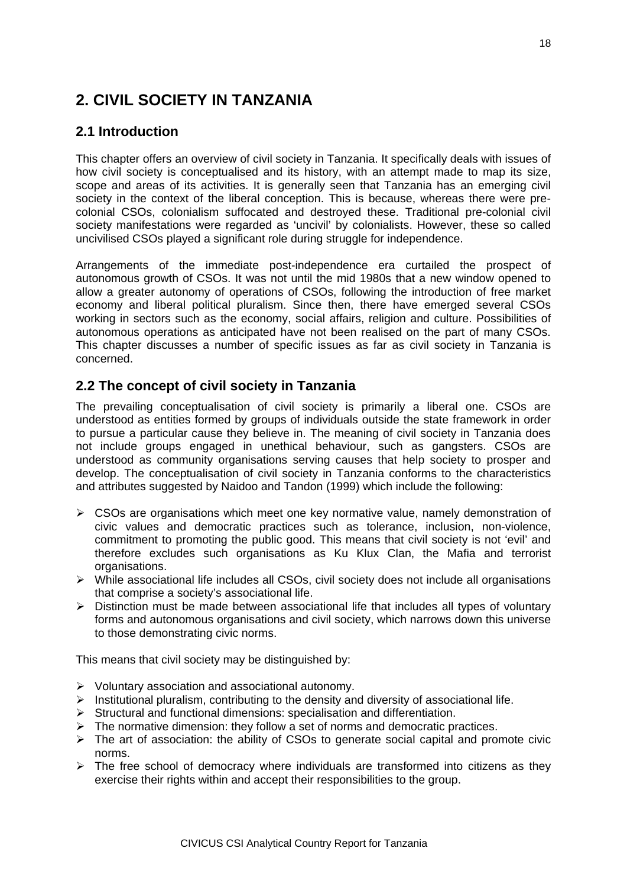# **2. CIVIL SOCIETY IN TANZANIA**

## **2.1 Introduction**

This chapter offers an overview of civil society in Tanzania. It specifically deals with issues of how civil society is conceptualised and its history, with an attempt made to map its size, scope and areas of its activities. It is generally seen that Tanzania has an emerging civil society in the context of the liberal conception. This is because, whereas there were precolonial CSOs, colonialism suffocated and destroyed these. Traditional pre-colonial civil society manifestations were regarded as 'uncivil' by colonialists. However, these so called uncivilised CSOs played a significant role during struggle for independence.

Arrangements of the immediate post-independence era curtailed the prospect of autonomous growth of CSOs. It was not until the mid 1980s that a new window opened to allow a greater autonomy of operations of CSOs, following the introduction of free market economy and liberal political pluralism. Since then, there have emerged several CSOs working in sectors such as the economy, social affairs, religion and culture. Possibilities of autonomous operations as anticipated have not been realised on the part of many CSOs. This chapter discusses a number of specific issues as far as civil society in Tanzania is concerned.

## **2.2 The concept of civil society in Tanzania**

The prevailing conceptualisation of civil society is primarily a liberal one. CSOs are understood as entities formed by groups of individuals outside the state framework in order to pursue a particular cause they believe in. The meaning of civil society in Tanzania does not include groups engaged in unethical behaviour, such as gangsters. CSOs are understood as community organisations serving causes that help society to prosper and develop. The conceptualisation of civil society in Tanzania conforms to the characteristics and attributes suggested by Naidoo and Tandon (1999) which include the following:

- $\triangleright$  CSOs are organisations which meet one key normative value, namely demonstration of civic values and democratic practices such as tolerance, inclusion, non-violence, commitment to promoting the public good. This means that civil society is not 'evil' and therefore excludes such organisations as Ku Klux Clan, the Mafia and terrorist organisations.
- $\triangleright$  While associational life includes all CSOs, civil society does not include all organisations that comprise a society's associational life.
- $\triangleright$  Distinction must be made between associational life that includes all types of voluntary forms and autonomous organisations and civil society, which narrows down this universe to those demonstrating civic norms.

This means that civil society may be distinguished by:

- $\triangleright$  Voluntary association and associational autonomy.
- $\triangleright$  Institutional pluralism, contributing to the density and diversity of associational life.
- $\triangleright$  Structural and functional dimensions: specialisation and differentiation.
- $\triangleright$  The normative dimension: they follow a set of norms and democratic practices.
- $\triangleright$  The art of association: the ability of CSOs to generate social capital and promote civic norms.
- $\triangleright$  The free school of democracy where individuals are transformed into citizens as they exercise their rights within and accept their responsibilities to the group.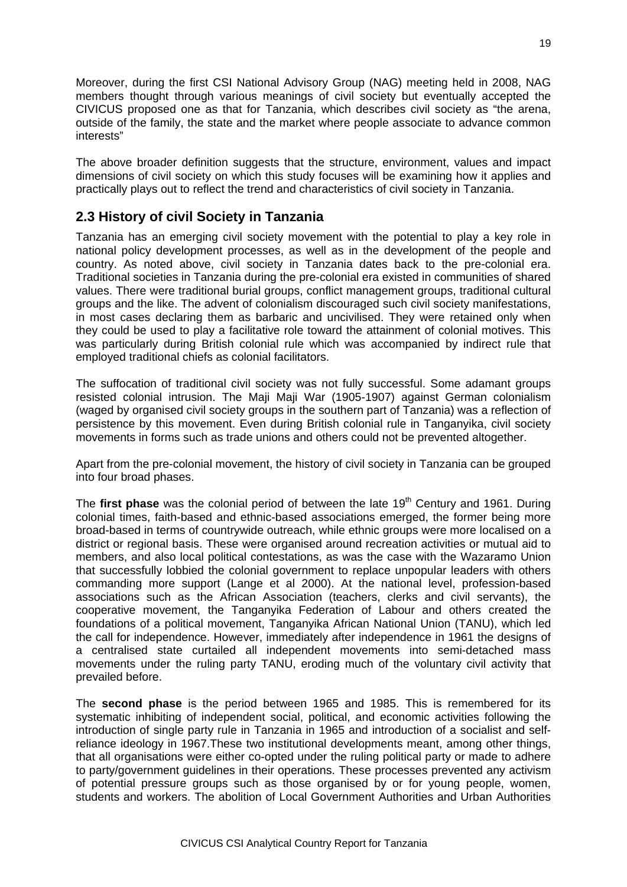Moreover, during the first CSI National Advisory Group (NAG) meeting held in 2008, NAG members thought through various meanings of civil society but eventually accepted the CIVICUS proposed one as that for Tanzania, which describes civil society as "the arena, outside of the family, the state and the market where people associate to advance common interests"

The above broader definition suggests that the structure, environment, values and impact dimensions of civil society on which this study focuses will be examining how it applies and practically plays out to reflect the trend and characteristics of civil society in Tanzania.

## **2.3 History of civil Society in Tanzania**

Tanzania has an emerging civil society movement with the potential to play a key role in national policy development processes, as well as in the development of the people and country. As noted above, civil society in Tanzania dates back to the pre-colonial era. Traditional societies in Tanzania during the pre-colonial era existed in communities of shared values. There were traditional burial groups, conflict management groups, traditional cultural groups and the like. The advent of colonialism discouraged such civil society manifestations, in most cases declaring them as barbaric and uncivilised. They were retained only when they could be used to play a facilitative role toward the attainment of colonial motives. This was particularly during British colonial rule which was accompanied by indirect rule that employed traditional chiefs as colonial facilitators.

The suffocation of traditional civil society was not fully successful. Some adamant groups resisted colonial intrusion. The Maji Maji War (1905-1907) against German colonialism (waged by organised civil society groups in the southern part of Tanzania) was a reflection of persistence by this movement. Even during British colonial rule in Tanganyika, civil society movements in forms such as trade unions and others could not be prevented altogether.

Apart from the pre-colonial movement, the history of civil society in Tanzania can be grouped into four broad phases.

The **first phase** was the colonial period of between the late 19<sup>th</sup> Century and 1961. During colonial times, faith-based and ethnic-based associations emerged, the former being more broad-based in terms of countrywide outreach, while ethnic groups were more localised on a district or regional basis. These were organised around recreation activities or mutual aid to members, and also local political contestations, as was the case with the Wazaramo Union that successfully lobbied the colonial government to replace unpopular leaders with others commanding more support (Lange et al 2000). At the national level, profession-based associations such as the African Association (teachers, clerks and civil servants), the cooperative movement, the Tanganyika Federation of Labour and others created the foundations of a political movement, Tanganyika African National Union (TANU), which led the call for independence. However, immediately after independence in 1961 the designs of a centralised state curtailed all independent movements into semi-detached mass movements under the ruling party TANU, eroding much of the voluntary civil activity that prevailed before.

The **second phase** is the period between 1965 and 1985. This is remembered for its systematic inhibiting of independent social, political, and economic activities following the introduction of single party rule in Tanzania in 1965 and introduction of a socialist and selfreliance ideology in 1967.These two institutional developments meant, among other things, that all organisations were either co-opted under the ruling political party or made to adhere to party/government guidelines in their operations. These processes prevented any activism of potential pressure groups such as those organised by or for young people, women, students and workers. The abolition of Local Government Authorities and Urban Authorities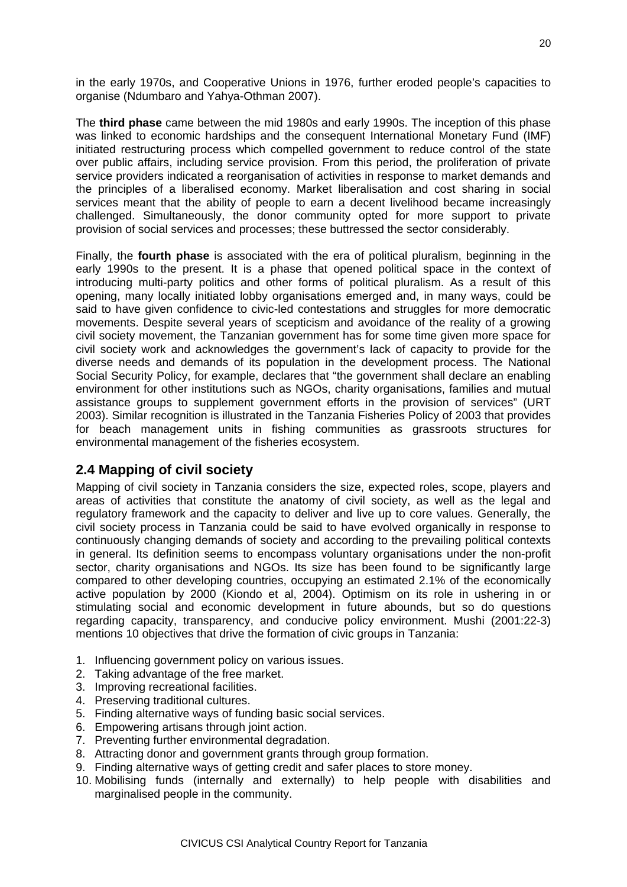in the early 1970s, and Cooperative Unions in 1976, further eroded people's capacities to organise (Ndumbaro and Yahya-Othman 2007).

The **third phase** came between the mid 1980s and early 1990s. The inception of this phase was linked to economic hardships and the consequent International Monetary Fund (IMF) initiated restructuring process which compelled government to reduce control of the state over public affairs, including service provision. From this period, the proliferation of private service providers indicated a reorganisation of activities in response to market demands and the principles of a liberalised economy. Market liberalisation and cost sharing in social services meant that the ability of people to earn a decent livelihood became increasingly challenged. Simultaneously, the donor community opted for more support to private provision of social services and processes; these buttressed the sector considerably.

Finally, the **fourth phase** is associated with the era of political pluralism, beginning in the early 1990s to the present. It is a phase that opened political space in the context of introducing multi-party politics and other forms of political pluralism. As a result of this opening, many locally initiated lobby organisations emerged and, in many ways, could be said to have given confidence to civic-led contestations and struggles for more democratic movements. Despite several years of scepticism and avoidance of the reality of a growing civil society movement, the Tanzanian government has for some time given more space for civil society work and acknowledges the government's lack of capacity to provide for the diverse needs and demands of its population in the development process. The National Social Security Policy, for example, declares that "the government shall declare an enabling environment for other institutions such as NGOs, charity organisations, families and mutual assistance groups to supplement government efforts in the provision of services" (URT 2003). Similar recognition is illustrated in the Tanzania Fisheries Policy of 2003 that provides for beach management units in fishing communities as grassroots structures for environmental management of the fisheries ecosystem.

## **2.4 Mapping of civil society**

Mapping of civil society in Tanzania considers the size, expected roles, scope, players and areas of activities that constitute the anatomy of civil society, as well as the legal and regulatory framework and the capacity to deliver and live up to core values. Generally, the civil society process in Tanzania could be said to have evolved organically in response to continuously changing demands of society and according to the prevailing political contexts in general. Its definition seems to encompass voluntary organisations under the non-profit sector, charity organisations and NGOs. Its size has been found to be significantly large compared to other developing countries, occupying an estimated 2.1% of the economically active population by 2000 (Kiondo et al, 2004). Optimism on its role in ushering in or stimulating social and economic development in future abounds, but so do questions regarding capacity, transparency, and conducive policy environment. Mushi (2001:22-3) mentions 10 objectives that drive the formation of civic groups in Tanzania:

- 1. Influencing government policy on various issues.
- 2. Taking advantage of the free market.
- 3. Improving recreational facilities.
- 4. Preserving traditional cultures.
- 5. Finding alternative ways of funding basic social services.
- 6. Empowering artisans through joint action.
- 7. Preventing further environmental degradation.
- 8. Attracting donor and government grants through group formation.
- 9. Finding alternative ways of getting credit and safer places to store money.
- 10. Mobilising funds (internally and externally) to help people with disabilities and marginalised people in the community.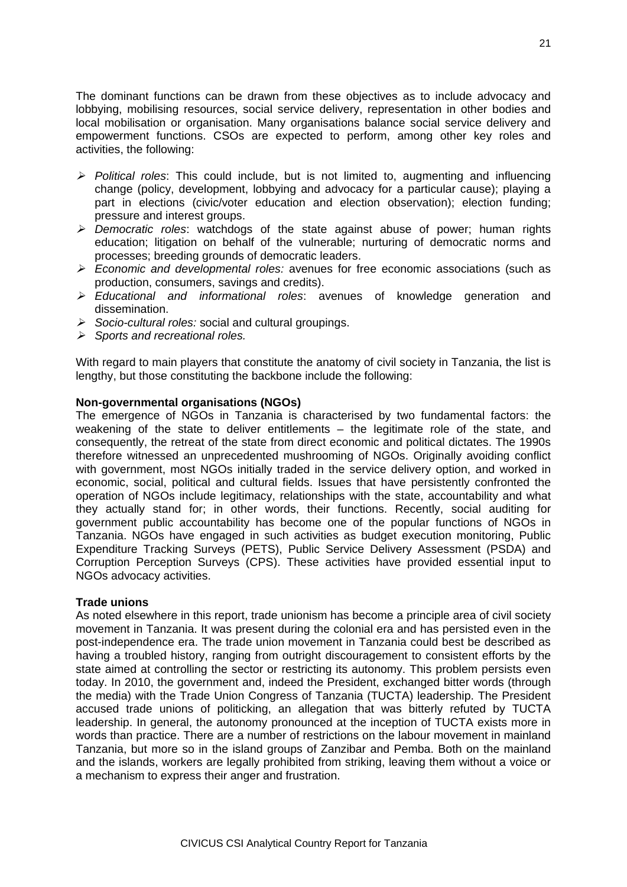The dominant functions can be drawn from these objectives as to include advocacy and lobbying, mobilising resources, social service delivery, representation in other bodies and local mobilisation or organisation. Many organisations balance social service delivery and empowerment functions. CSOs are expected to perform, among other key roles and activities, the following:

- *Political roles*: This could include, but is not limited to, augmenting and influencing change (policy, development, lobbying and advocacy for a particular cause); playing a part in elections (civic/voter education and election observation); election funding; pressure and interest groups.
- *Democratic roles*: watchdogs of the state against abuse of power; human rights education; litigation on behalf of the vulnerable; nurturing of democratic norms and processes; breeding grounds of democratic leaders.
- *Economic and developmental roles:* avenues for free economic associations (such as production, consumers, savings and credits).
- *Educational and informational roles*: avenues of knowledge generation and dissemination.
- *Socio-cultural roles:* social and cultural groupings.
- *Sports and recreational roles.*

With regard to main players that constitute the anatomy of civil society in Tanzania, the list is lengthy, but those constituting the backbone include the following:

#### **Non-governmental organisations (NGOs)**

The emergence of NGOs in Tanzania is characterised by two fundamental factors: the weakening of the state to deliver entitlements – the legitimate role of the state, and consequently, the retreat of the state from direct economic and political dictates. The 1990s therefore witnessed an unprecedented mushrooming of NGOs. Originally avoiding conflict with government, most NGOs initially traded in the service delivery option, and worked in economic, social, political and cultural fields. Issues that have persistently confronted the operation of NGOs include legitimacy, relationships with the state, accountability and what they actually stand for; in other words, their functions. Recently, social auditing for government public accountability has become one of the popular functions of NGOs in Tanzania. NGOs have engaged in such activities as budget execution monitoring, Public Expenditure Tracking Surveys (PETS), Public Service Delivery Assessment (PSDA) and Corruption Perception Surveys (CPS). These activities have provided essential input to NGOs advocacy activities.

#### **Trade unions**

As noted elsewhere in this report, trade unionism has become a principle area of civil society movement in Tanzania. It was present during the colonial era and has persisted even in the post-independence era. The trade union movement in Tanzania could best be described as having a troubled history, ranging from outright discouragement to consistent efforts by the state aimed at controlling the sector or restricting its autonomy. This problem persists even today. In 2010, the government and, indeed the President, exchanged bitter words (through the media) with the Trade Union Congress of Tanzania (TUCTA) leadership. The President accused trade unions of politicking, an allegation that was bitterly refuted by TUCTA leadership. In general, the autonomy pronounced at the inception of TUCTA exists more in words than practice. There are a number of restrictions on the labour movement in mainland Tanzania, but more so in the island groups of Zanzibar and Pemba. Both on the mainland and the islands, workers are legally prohibited from striking, leaving them without a voice or a mechanism to express their anger and frustration.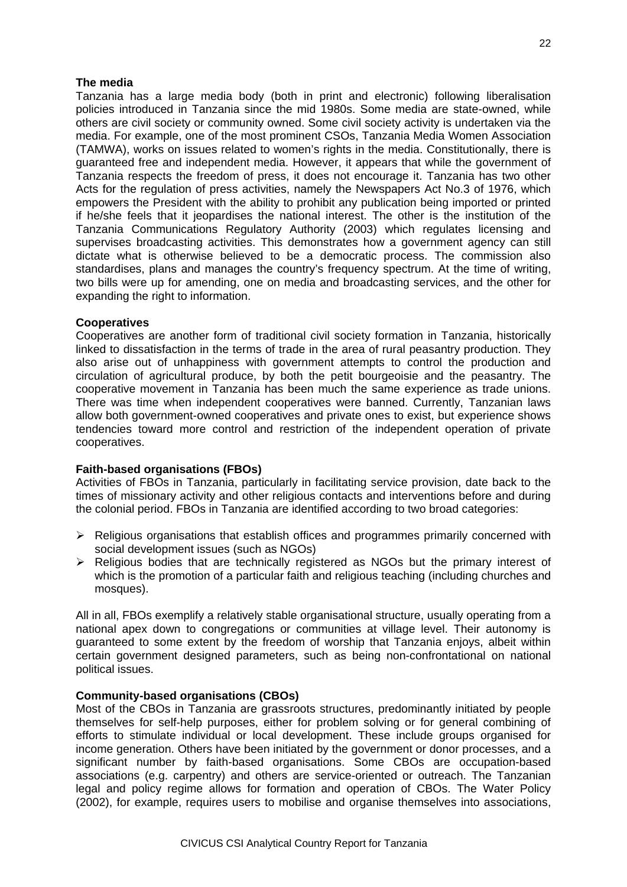#### **The media**

Tanzania has a large media body (both in print and electronic) following liberalisation policies introduced in Tanzania since the mid 1980s. Some media are state-owned, while others are civil society or community owned. Some civil society activity is undertaken via the media. For example, one of the most prominent CSOs, Tanzania Media Women Association (TAMWA), works on issues related to women's rights in the media. Constitutionally, there is guaranteed free and independent media. However, it appears that while the government of Tanzania respects the freedom of press, it does not encourage it. Tanzania has two other Acts for the regulation of press activities, namely the Newspapers Act No.3 of 1976, which empowers the President with the ability to prohibit any publication being imported or printed if he/she feels that it jeopardises the national interest. The other is the institution of the Tanzania Communications Regulatory Authority (2003) which regulates licensing and supervises broadcasting activities. This demonstrates how a government agency can still dictate what is otherwise believed to be a democratic process. The commission also standardises, plans and manages the country's frequency spectrum. At the time of writing, two bills were up for amending, one on media and broadcasting services, and the other for expanding the right to information.

#### **Cooperatives**

Cooperatives are another form of traditional civil society formation in Tanzania, historically linked to dissatisfaction in the terms of trade in the area of rural peasantry production. They also arise out of unhappiness with government attempts to control the production and circulation of agricultural produce, by both the petit bourgeoisie and the peasantry. The cooperative movement in Tanzania has been much the same experience as trade unions. There was time when independent cooperatives were banned. Currently, Tanzanian laws allow both government-owned cooperatives and private ones to exist, but experience shows tendencies toward more control and restriction of the independent operation of private cooperatives.

#### **Faith-based organisations (FBOs)**

Activities of FBOs in Tanzania, particularly in facilitating service provision, date back to the times of missionary activity and other religious contacts and interventions before and during the colonial period. FBOs in Tanzania are identified according to two broad categories:

- $\triangleright$  Religious organisations that establish offices and programmes primarily concerned with social development issues (such as NGOs)
- $\triangleright$  Religious bodies that are technically registered as NGOs but the primary interest of which is the promotion of a particular faith and religious teaching (including churches and mosques).

All in all, FBOs exemplify a relatively stable organisational structure, usually operating from a national apex down to congregations or communities at village level. Their autonomy is guaranteed to some extent by the freedom of worship that Tanzania enjoys, albeit within certain government designed parameters, such as being non-confrontational on national political issues.

#### **Community-based organisations (CBOs)**

Most of the CBOs in Tanzania are grassroots structures, predominantly initiated by people themselves for self-help purposes, either for problem solving or for general combining of efforts to stimulate individual or local development. These include groups organised for income generation. Others have been initiated by the government or donor processes, and a significant number by faith-based organisations. Some CBOs are occupation-based associations (e.g. carpentry) and others are service-oriented or outreach. The Tanzanian legal and policy regime allows for formation and operation of CBOs. The Water Policy (2002), for example, requires users to mobilise and organise themselves into associations,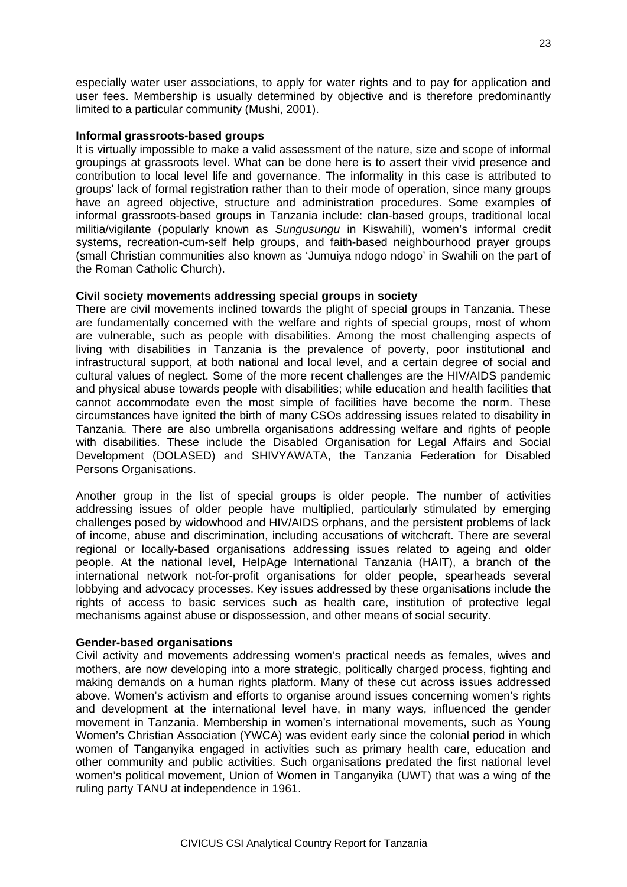especially water user associations, to apply for water rights and to pay for application and user fees. Membership is usually determined by objective and is therefore predominantly limited to a particular community (Mushi, 2001).

#### **Informal grassroots-based groups**

It is virtually impossible to make a valid assessment of the nature, size and scope of informal groupings at grassroots level. What can be done here is to assert their vivid presence and contribution to local level life and governance. The informality in this case is attributed to groups' lack of formal registration rather than to their mode of operation, since many groups have an agreed objective, structure and administration procedures. Some examples of informal grassroots-based groups in Tanzania include: clan-based groups, traditional local militia/vigilante (popularly known as *Sungusungu* in Kiswahili), women's informal credit systems, recreation-cum-self help groups, and faith-based neighbourhood prayer groups (small Christian communities also known as 'Jumuiya ndogo ndogo' in Swahili on the part of the Roman Catholic Church).

#### **Civil society movements addressing special groups in society**

There are civil movements inclined towards the plight of special groups in Tanzania. These are fundamentally concerned with the welfare and rights of special groups, most of whom are vulnerable, such as people with disabilities. Among the most challenging aspects of living with disabilities in Tanzania is the prevalence of poverty, poor institutional and infrastructural support, at both national and local level, and a certain degree of social and cultural values of neglect. Some of the more recent challenges are the HIV/AIDS pandemic and physical abuse towards people with disabilities; while education and health facilities that cannot accommodate even the most simple of facilities have become the norm. These circumstances have ignited the birth of many CSOs addressing issues related to disability in Tanzania. There are also umbrella organisations addressing welfare and rights of people with disabilities. These include the Disabled Organisation for Legal Affairs and Social Development (DOLASED) and SHIVYAWATA, the Tanzania Federation for Disabled Persons Organisations.

Another group in the list of special groups is older people. The number of activities addressing issues of older people have multiplied, particularly stimulated by emerging challenges posed by widowhood and HIV/AIDS orphans, and the persistent problems of lack of income, abuse and discrimination, including accusations of witchcraft. There are several regional or locally-based organisations addressing issues related to ageing and older people. At the national level, HelpAge International Tanzania (HAIT), a branch of the international network not-for-profit organisations for older people, spearheads several lobbying and advocacy processes. Key issues addressed by these organisations include the rights of access to basic services such as health care, institution of protective legal mechanisms against abuse or dispossession, and other means of social security.

#### **Gender-based organisations**

Civil activity and movements addressing women's practical needs as females, wives and mothers, are now developing into a more strategic, politically charged process, fighting and making demands on a human rights platform. Many of these cut across issues addressed above. Women's activism and efforts to organise around issues concerning women's rights and development at the international level have, in many ways, influenced the gender movement in Tanzania. Membership in women's international movements, such as Young Women's Christian Association (YWCA) was evident early since the colonial period in which women of Tanganyika engaged in activities such as primary health care, education and other community and public activities. Such organisations predated the first national level women's political movement, Union of Women in Tanganyika (UWT) that was a wing of the ruling party TANU at independence in 1961.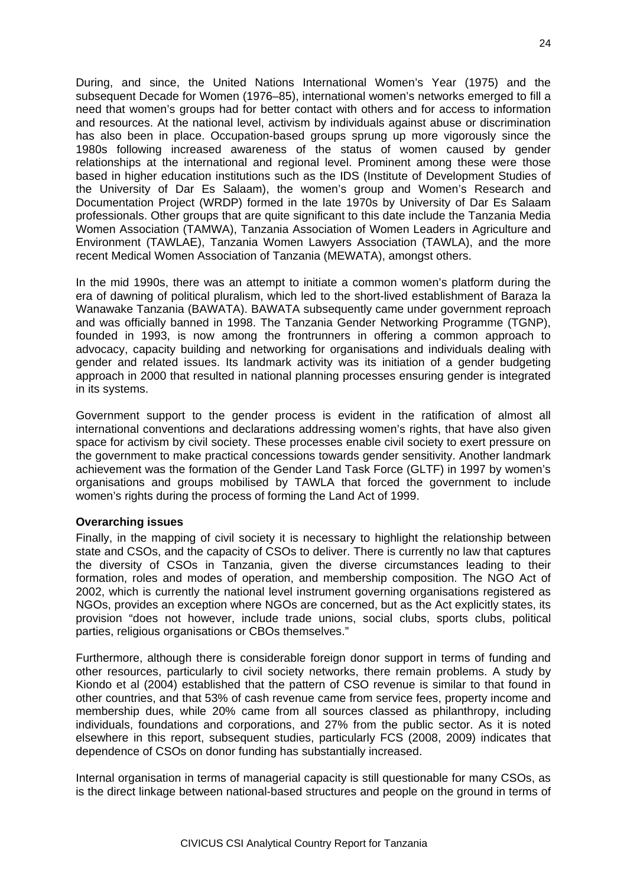During, and since, the United Nations International Women's Year (1975) and the subsequent Decade for Women (1976–85), international women's networks emerged to fill a need that women's groups had for better contact with others and for access to information and resources. At the national level, activism by individuals against abuse or discrimination has also been in place. Occupation-based groups sprung up more vigorously since the 1980s following increased awareness of the status of women caused by gender relationships at the international and regional level. Prominent among these were those based in higher education institutions such as the IDS (Institute of Development Studies of the University of Dar Es Salaam), the women's group and Women's Research and Documentation Project (WRDP) formed in the late 1970s by University of Dar Es Salaam professionals. Other groups that are quite significant to this date include the Tanzania Media Women Association (TAMWA), Tanzania Association of Women Leaders in Agriculture and Environment (TAWLAE), Tanzania Women Lawyers Association (TAWLA), and the more recent Medical Women Association of Tanzania (MEWATA), amongst others.

In the mid 1990s, there was an attempt to initiate a common women's platform during the era of dawning of political pluralism, which led to the short-lived establishment of Baraza la Wanawake Tanzania (BAWATA). BAWATA subsequently came under government reproach and was officially banned in 1998. The Tanzania Gender Networking Programme (TGNP), founded in 1993, is now among the frontrunners in offering a common approach to advocacy, capacity building and networking for organisations and individuals dealing with gender and related issues. Its landmark activity was its initiation of a gender budgeting approach in 2000 that resulted in national planning processes ensuring gender is integrated in its systems.

Government support to the gender process is evident in the ratification of almost all international conventions and declarations addressing women's rights, that have also given space for activism by civil society. These processes enable civil society to exert pressure on the government to make practical concessions towards gender sensitivity. Another landmark achievement was the formation of the Gender Land Task Force (GLTF) in 1997 by women's organisations and groups mobilised by TAWLA that forced the government to include women's rights during the process of forming the Land Act of 1999.

#### **Overarching issues**

Finally, in the mapping of civil society it is necessary to highlight the relationship between state and CSOs, and the capacity of CSOs to deliver. There is currently no law that captures the diversity of CSOs in Tanzania, given the diverse circumstances leading to their formation, roles and modes of operation, and membership composition. The NGO Act of 2002, which is currently the national level instrument governing organisations registered as NGOs, provides an exception where NGOs are concerned, but as the Act explicitly states, its provision "does not however, include trade unions, social clubs, sports clubs, political parties, religious organisations or CBOs themselves."

Furthermore, although there is considerable foreign donor support in terms of funding and other resources, particularly to civil society networks, there remain problems. A study by Kiondo et al (2004) established that the pattern of CSO revenue is similar to that found in other countries, and that 53% of cash revenue came from service fees, property income and membership dues, while 20% came from all sources classed as philanthropy, including individuals, foundations and corporations, and 27% from the public sector. As it is noted elsewhere in this report, subsequent studies, particularly FCS (2008, 2009) indicates that dependence of CSOs on donor funding has substantially increased.

Internal organisation in terms of managerial capacity is still questionable for many CSOs, as is the direct linkage between national-based structures and people on the ground in terms of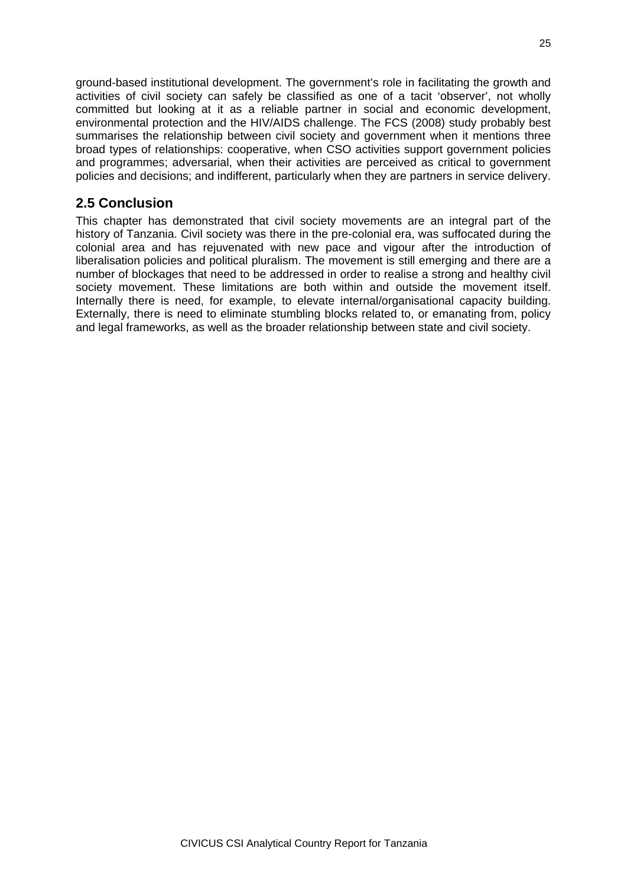ground-based institutional development. The government's role in facilitating the growth and activities of civil society can safely be classified as one of a tacit 'observer', not wholly committed but looking at it as a reliable partner in social and economic development, environmental protection and the HIV/AIDS challenge. The FCS (2008) study probably best summarises the relationship between civil society and government when it mentions three broad types of relationships: cooperative, when CSO activities support government policies and programmes; adversarial, when their activities are perceived as critical to government policies and decisions; and indifferent, particularly when they are partners in service delivery.

## **2.5 Conclusion**

This chapter has demonstrated that civil society movements are an integral part of the history of Tanzania. Civil society was there in the pre-colonial era, was suffocated during the colonial area and has rejuvenated with new pace and vigour after the introduction of liberalisation policies and political pluralism. The movement is still emerging and there are a number of blockages that need to be addressed in order to realise a strong and healthy civil society movement. These limitations are both within and outside the movement itself. Internally there is need, for example, to elevate internal/organisational capacity building. Externally, there is need to eliminate stumbling blocks related to, or emanating from, policy and legal frameworks, as well as the broader relationship between state and civil society.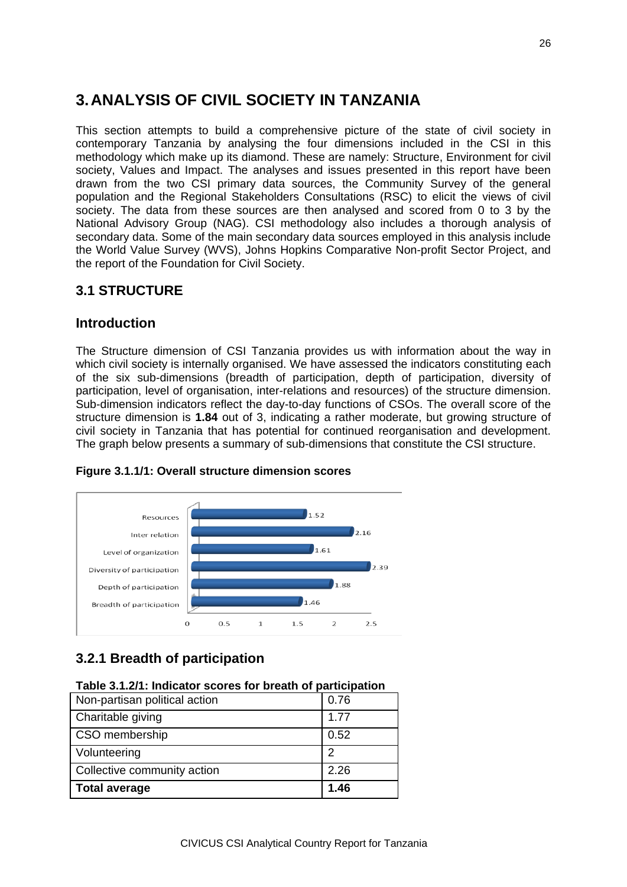# **3.ANALYSIS OF CIVIL SOCIETY IN TANZANIA**

This section attempts to build a comprehensive picture of the state of civil society in contemporary Tanzania by analysing the four dimensions included in the CSI in this methodology which make up its diamond. These are namely: Structure, Environment for civil society, Values and Impact. The analyses and issues presented in this report have been drawn from the two CSI primary data sources, the Community Survey of the general population and the Regional Stakeholders Consultations (RSC) to elicit the views of civil society. The data from these sources are then analysed and scored from 0 to 3 by the National Advisory Group (NAG). CSI methodology also includes a thorough analysis of secondary data. Some of the main secondary data sources employed in this analysis include the World Value Survey (WVS), Johns Hopkins Comparative Non-profit Sector Project, and the report of the Foundation for Civil Society.

# **3.1 STRUCTURE**

### **Introduction**

The Structure dimension of CSI Tanzania provides us with information about the way in which civil society is internally organised. We have assessed the indicators constituting each of the six sub-dimensions (breadth of participation, depth of participation, diversity of participation, level of organisation, inter-relations and resources) of the structure dimension. Sub-dimension indicators reflect the day-to-day functions of CSOs. The overall score of the structure dimension is **1.84** out of 3, indicating a rather moderate, but growing structure of civil society in Tanzania that has potential for continued reorganisation and development. The graph below presents a summary of sub-dimensions that constitute the CSI structure.



#### **Figure 3.1.1/1: Overall structure dimension scores**

# **3.2.1 Breadth of participation**

#### **Table 3.1.2/1: Indicator scores for breath of participation**

| Non-partisan political action | 0.76 |
|-------------------------------|------|
| Charitable giving             | 1.77 |
| CSO membership                | 0.52 |
| Volunteering                  | 2    |
| Collective community action   | 2.26 |
| <b>Total average</b>          | 1.46 |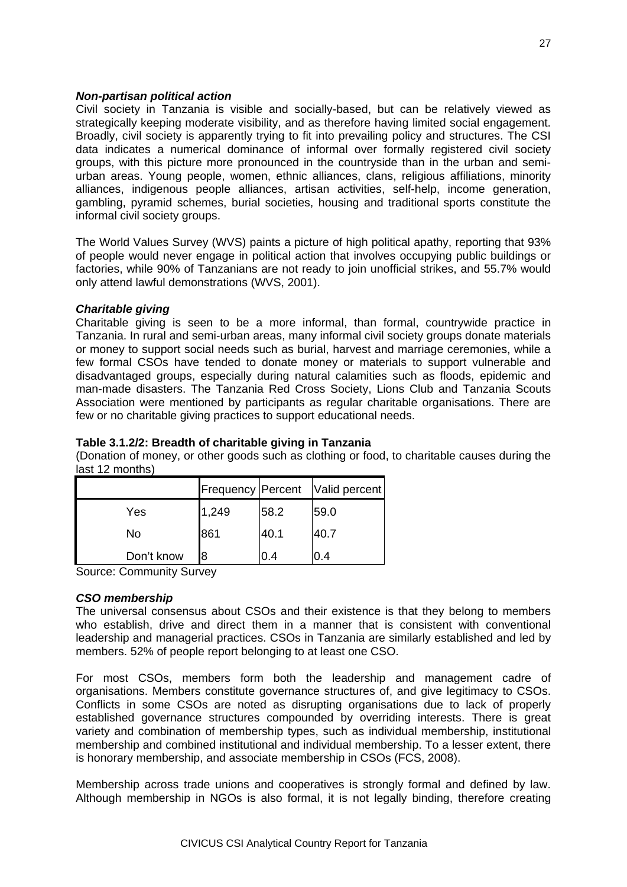#### *Non-partisan political action*

Civil society in Tanzania is visible and socially-based, but can be relatively viewed as strategically keeping moderate visibility, and as therefore having limited social engagement. Broadly, civil society is apparently trying to fit into prevailing policy and structures. The CSI data indicates a numerical dominance of informal over formally registered civil society groups, with this picture more pronounced in the countryside than in the urban and semiurban areas. Young people, women, ethnic alliances, clans, religious affiliations, minority alliances, indigenous people alliances, artisan activities, self-help, income generation, gambling, pyramid schemes, burial societies, housing and traditional sports constitute the informal civil society groups.

The World Values Survey (WVS) paints a picture of high political apathy, reporting that 93% of people would never engage in political action that involves occupying public buildings or factories, while 90% of Tanzanians are not ready to join unofficial strikes, and 55.7% would only attend lawful demonstrations (WVS, 2001).

#### *Charitable giving*

Charitable giving is seen to be a more informal, than formal, countrywide practice in Tanzania. In rural and semi-urban areas, many informal civil society groups donate materials or money to support social needs such as burial, harvest and marriage ceremonies, while a few formal CSOs have tended to donate money or materials to support vulnerable and disadvantaged groups, especially during natural calamities such as floods, epidemic and man-made disasters. The Tanzania Red Cross Society, Lions Club and Tanzania Scouts Association were mentioned by participants as regular charitable organisations. There are few or no charitable giving practices to support educational needs.

#### **Table 3.1.2/2: Breadth of charitable giving in Tanzania**

(Donation of money, or other goods such as clothing or food, to charitable causes during the last 12 months)

|            |       |      | Frequency   Percent   Valid percent |
|------------|-------|------|-------------------------------------|
| Yes        | 1,249 | 58.2 | 59.0                                |
| No         | 861   | 40.1 | 40.7                                |
| Don't know | 8     | 0.4  | υ.4                                 |

Source: Community Survey

#### *CSO membership*

The universal consensus about CSOs and their existence is that they belong to members who establish, drive and direct them in a manner that is consistent with conventional leadership and managerial practices. CSOs in Tanzania are similarly established and led by members. 52% of people report belonging to at least one CSO.

For most CSOs, members form both the leadership and management cadre of organisations. Members constitute governance structures of, and give legitimacy to CSOs. Conflicts in some CSOs are noted as disrupting organisations due to lack of properly established governance structures compounded by overriding interests. There is great variety and combination of membership types, such as individual membership, institutional membership and combined institutional and individual membership. To a lesser extent, there is honorary membership, and associate membership in CSOs (FCS, 2008).

Membership across trade unions and cooperatives is strongly formal and defined by law. Although membership in NGOs is also formal, it is not legally binding, therefore creating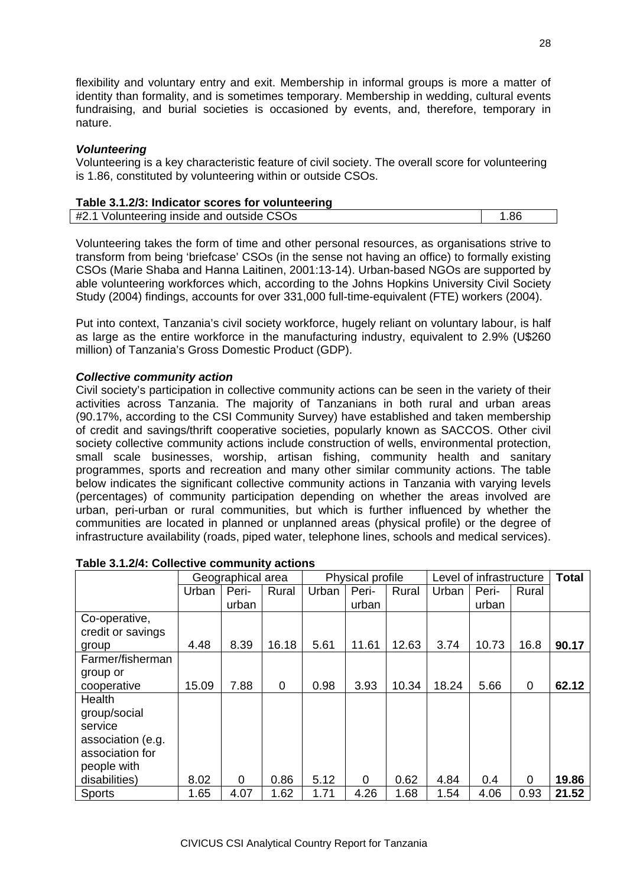flexibility and voluntary entry and exit. Membership in informal groups is more a matter of identity than formality, and is sometimes temporary. Membership in wedding, cultural events fundraising, and burial societies is occasioned by events, and, therefore, temporary in nature.

#### *Volunteering*

Volunteering is a key characteristic feature of civil society. The overall score for volunteering is 1.86, constituted by volunteering within or outside CSOs.

| Table 3.1.2/3: Indicator scores for volunteering |      |
|--------------------------------------------------|------|
| #2.1 Volunteering inside and outside CSOs        | 1.86 |

Volunteering takes the form of time and other personal resources, as organisations strive to transform from being 'briefcase' CSOs (in the sense not having an office) to formally existing CSOs (Marie Shaba and Hanna Laitinen, 2001:13-14). Urban-based NGOs are supported by able volunteering workforces which, according to the Johns Hopkins University Civil Society Study (2004) findings, accounts for over 331,000 full-time-equivalent (FTE) workers (2004).

Put into context, Tanzania's civil society workforce, hugely reliant on voluntary labour, is half as large as the entire workforce in the manufacturing industry, equivalent to 2.9% (U\$260 million) of Tanzania's Gross Domestic Product (GDP).

#### *Collective community action*

Civil society's participation in collective community actions can be seen in the variety of their activities across Tanzania. The majority of Tanzanians in both rural and urban areas (90.17%, according to the CSI Community Survey) have established and taken membership of credit and savings/thrift cooperative societies, popularly known as SACCOS. Other civil society collective community actions include construction of wells, environmental protection, small scale businesses, worship, artisan fishing, community health and sanitary programmes, sports and recreation and many other similar community actions. The table below indicates the significant collective community actions in Tanzania with varying levels (percentages) of community participation depending on whether the areas involved are urban, peri-urban or rural communities, but which is further influenced by whether the communities are located in planned or unplanned areas (physical profile) or the degree of infrastructure availability (roads, piped water, telephone lines, schools and medical services).

|                   | Geographical area |       |       | Physical profile |       |       | Level of infrastructure |       |             | <b>Total</b> |
|-------------------|-------------------|-------|-------|------------------|-------|-------|-------------------------|-------|-------------|--------------|
|                   | Urban             | Peri- | Rural | Urban            | Peri- | Rural | Urban                   | Peri- | Rural       |              |
|                   |                   | urban |       |                  | urban |       |                         | urban |             |              |
| Co-operative,     |                   |       |       |                  |       |       |                         |       |             |              |
| credit or savings |                   |       |       |                  |       |       |                         |       |             |              |
| group             | 4.48              | 8.39  | 16.18 | 5.61             | 11.61 | 12.63 | 3.74                    | 10.73 | 16.8        | 90.17        |
| Farmer/fisherman  |                   |       |       |                  |       |       |                         |       |             |              |
| group or          |                   |       |       |                  |       |       |                         |       |             |              |
| cooperative       | 15.09             | 7.88  | 0     | 0.98             | 3.93  | 10.34 | 18.24                   | 5.66  | $\mathbf 0$ | 62.12        |
| Health            |                   |       |       |                  |       |       |                         |       |             |              |
| group/social      |                   |       |       |                  |       |       |                         |       |             |              |
| service           |                   |       |       |                  |       |       |                         |       |             |              |
| association (e.g. |                   |       |       |                  |       |       |                         |       |             |              |
| association for   |                   |       |       |                  |       |       |                         |       |             |              |
| people with       |                   |       |       |                  |       |       |                         |       |             |              |
| disabilities)     | 8.02              | 0     | 0.86  | 5.12             | 0     | 0.62  | 4.84                    | 0.4   | 0           | 19.86        |
| <b>Sports</b>     | 1.65              | 4.07  | 1.62  | 1.71             | 4.26  | 1.68  | 1.54                    | 4.06  | 0.93        | 21.52        |

#### **Table 3.1.2/4: Collective community actions**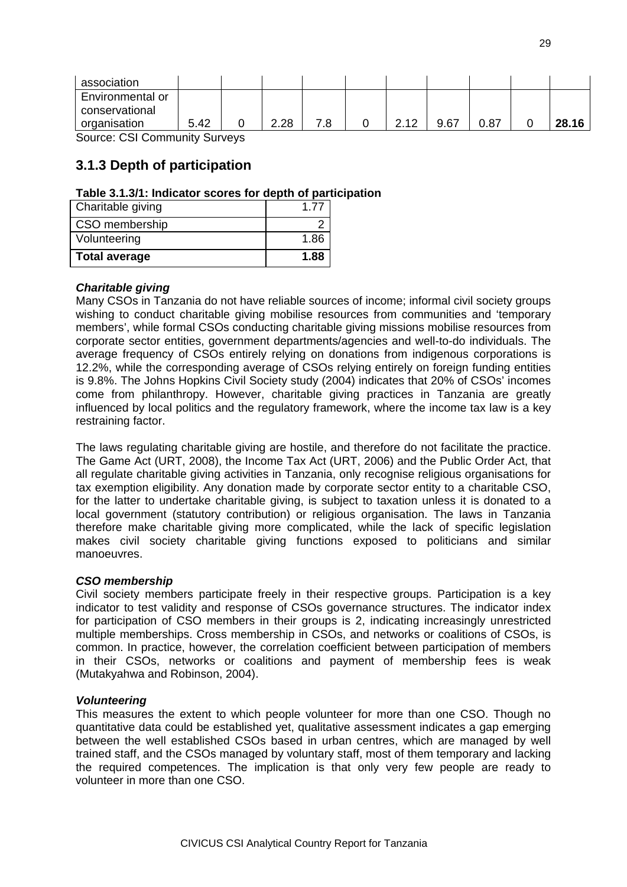| association                          |      |      |     |     |      |      |       |
|--------------------------------------|------|------|-----|-----|------|------|-------|
| Environmental or                     |      |      |     |     |      |      |       |
| conservational                       |      |      |     |     |      |      |       |
| organisation                         | 5.42 | 2.28 | 7.8 | 212 | 9.67 | 0.87 | 28.16 |
| <b>Source: CSI Community Surveys</b> |      |      |     |     |      |      |       |

### **3.1.3 Depth of participation**

#### **Table 3.1.3/1: Indicator scores for depth of participation**

| Charitable giving    | 1.77 |
|----------------------|------|
| CSO membership       |      |
| Volunteering         | 1.86 |
| <b>Total average</b> | 1.88 |

#### *Charitable giving*

Many CSOs in Tanzania do not have reliable sources of income; informal civil society groups wishing to conduct charitable giving mobilise resources from communities and 'temporary members', while formal CSOs conducting charitable giving missions mobilise resources from corporate sector entities, government departments/agencies and well-to-do individuals. The average frequency of CSOs entirely relying on donations from indigenous corporations is 12.2%, while the corresponding average of CSOs relying entirely on foreign funding entities is 9.8%. The Johns Hopkins Civil Society study (2004) indicates that 20% of CSOs' incomes come from philanthropy. However, charitable giving practices in Tanzania are greatly influenced by local politics and the regulatory framework, where the income tax law is a key restraining factor.

The laws regulating charitable giving are hostile, and therefore do not facilitate the practice. The Game Act (URT, 2008), the Income Tax Act (URT, 2006) and the Public Order Act, that all regulate charitable giving activities in Tanzania, only recognise religious organisations for tax exemption eligibility. Any donation made by corporate sector entity to a charitable CSO, for the latter to undertake charitable giving, is subject to taxation unless it is donated to a local government (statutory contribution) or religious organisation. The laws in Tanzania therefore make charitable giving more complicated, while the lack of specific legislation makes civil society charitable giving functions exposed to politicians and similar manoeuvres.

#### *CSO membership*

Civil society members participate freely in their respective groups. Participation is a key indicator to test validity and response of CSOs governance structures. The indicator index for participation of CSO members in their groups is 2, indicating increasingly unrestricted multiple memberships. Cross membership in CSOs, and networks or coalitions of CSOs, is common. In practice, however, the correlation coefficient between participation of members in their CSOs, networks or coalitions and payment of membership fees is weak (Mutakyahwa and Robinson, 2004).

#### *Volunteering*

This measures the extent to which people volunteer for more than one CSO. Though no quantitative data could be established yet, qualitative assessment indicates a gap emerging between the well established CSOs based in urban centres, which are managed by well trained staff, and the CSOs managed by voluntary staff, most of them temporary and lacking the required competences. The implication is that only very few people are ready to volunteer in more than one CSO.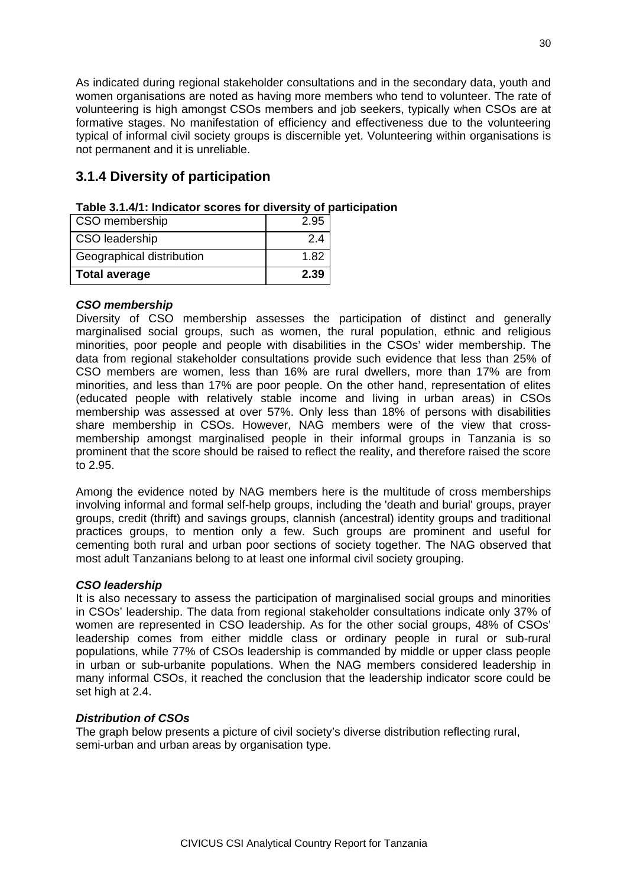As indicated during regional stakeholder consultations and in the secondary data, youth and women organisations are noted as having more members who tend to volunteer. The rate of volunteering is high amongst CSOs members and job seekers, typically when CSOs are at formative stages. No manifestation of efficiency and effectiveness due to the volunteering typical of informal civil society groups is discernible yet. Volunteering within organisations is not permanent and it is unreliable.

## **3.1.4 Diversity of participation**

| CSO membership            | 2.95 |
|---------------------------|------|
| <b>CSO</b> leadership     | 2.4  |
| Geographical distribution | 1.82 |
| <b>Total average</b>      | 2.39 |

| Table 3.1.4/1: Indicator scores for diversity of participation |  |  |
|----------------------------------------------------------------|--|--|
|----------------------------------------------------------------|--|--|

#### *CSO membership*

Diversity of CSO membership assesses the participation of distinct and generally marginalised social groups, such as women, the rural population, ethnic and religious minorities, poor people and people with disabilities in the CSOs' wider membership. The data from regional stakeholder consultations provide such evidence that less than 25% of CSO members are women, less than 16% are rural dwellers, more than 17% are from minorities, and less than 17% are poor people. On the other hand, representation of elites (educated people with relatively stable income and living in urban areas) in CSOs membership was assessed at over 57%. Only less than 18% of persons with disabilities share membership in CSOs. However, NAG members were of the view that crossmembership amongst marginalised people in their informal groups in Tanzania is so prominent that the score should be raised to reflect the reality, and therefore raised the score to 2.95.

Among the evidence noted by NAG members here is the multitude of cross memberships involving informal and formal self-help groups, including the 'death and burial' groups, prayer groups, credit (thrift) and savings groups, clannish (ancestral) identity groups and traditional practices groups, to mention only a few. Such groups are prominent and useful for cementing both rural and urban poor sections of society together. The NAG observed that most adult Tanzanians belong to at least one informal civil society grouping.

#### *CSO leadership*

It is also necessary to assess the participation of marginalised social groups and minorities in CSOs' leadership. The data from regional stakeholder consultations indicate only 37% of women are represented in CSO leadership. As for the other social groups, 48% of CSOs' leadership comes from either middle class or ordinary people in rural or sub-rural populations, while 77% of CSOs leadership is commanded by middle or upper class people in urban or sub-urbanite populations. When the NAG members considered leadership in many informal CSOs, it reached the conclusion that the leadership indicator score could be set high at 2.4.

#### *Distribution of CSOs*

The graph below presents a picture of civil society's diverse distribution reflecting rural, semi-urban and urban areas by organisation type.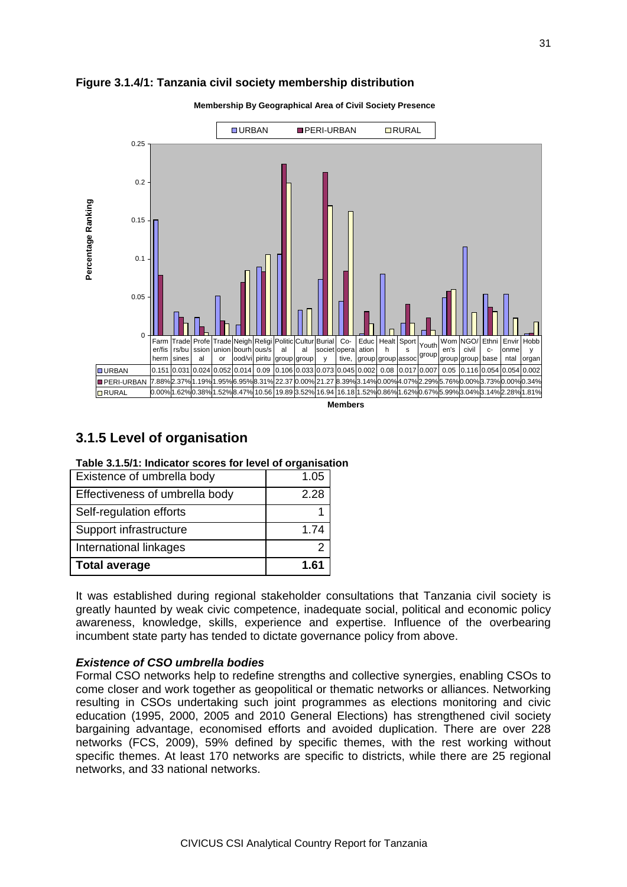

#### **Figure 3.1.4/1: Tanzania civil society membership distribution**

### **3.1.5 Level of organisation**

| Table 3.1.5/1: Indicator scores for level of organisation |  |
|-----------------------------------------------------------|--|
|-----------------------------------------------------------|--|

| Existence of umbrella body     | 1.05 |
|--------------------------------|------|
| Effectiveness of umbrella body | 2.28 |
| Self-regulation efforts        |      |
| Support infrastructure         | 1.74 |
| International linkages         |      |
| <b>Total average</b>           | 1.61 |

It was established during regional stakeholder consultations that Tanzania civil society is greatly haunted by weak civic competence, inadequate social, political and economic policy awareness, knowledge, skills, experience and expertise. Influence of the overbearing incumbent state party has tended to dictate governance policy from above.

#### *Existence of CSO umbrella bodies*

Formal CSO networks help to redefine strengths and collective synergies, enabling CSOs to come closer and work together as geopolitical or thematic networks or alliances. Networking resulting in CSOs undertaking such joint programmes as elections monitoring and civic education (1995, 2000, 2005 and 2010 General Elections) has strengthened civil society bargaining advantage, economised efforts and avoided duplication. There are over 228 networks (FCS, 2009), 59% defined by specific themes, with the rest working without specific themes. At least 170 networks are specific to districts, while there are 25 regional networks, and 33 national networks.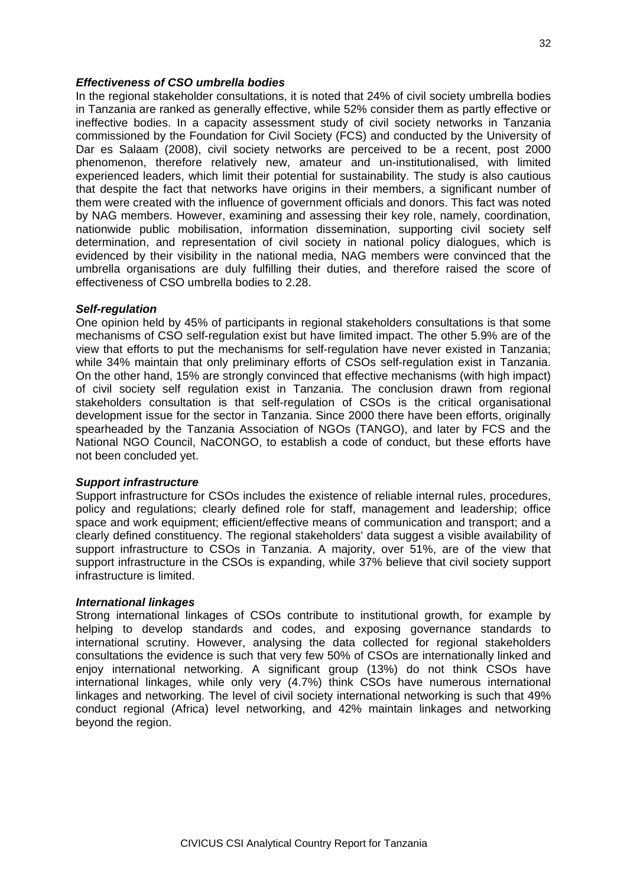#### *Effectiveness of CSO umbrella bodies*

In the regional stakeholder consultations, it is noted that 24% of civil society umbrella bodies in Tanzania are ranked as generally effective, while 52% consider them as partly effective or ineffective bodies. In a capacity assessment study of civil society networks in Tanzania commissioned by the Foundation for Civil Society (FCS) and conducted by the University of Dar es Salaam (2008), civil society networks are perceived to be a recent, post 2000 phenomenon, therefore relatively new, amateur and un-institutionalised, with limited experienced leaders, which limit their potential for sustainability. The study is also cautious that despite the fact that networks have origins in their members, a significant number of them were created with the influence of government officials and donors. This fact was noted by NAG members. However, examining and assessing their key role, namely, coordination, nationwide public mobilisation, information dissemination, supporting civil society self determination, and representation of civil society in national policy dialogues, which is evidenced by their visibility in the national media, NAG members were convinced that the umbrella organisations are duly fulfilling their duties, and therefore raised the score of effectiveness of CSO umbrella bodies to 2.28.

#### *Self-regulation*

One opinion held by 45% of participants in regional stakeholders consultations is that some mechanisms of CSO self-regulation exist but have limited impact. The other 5.9% are of the view that efforts to put the mechanisms for self-regulation have never existed in Tanzania; while 34% maintain that only preliminary efforts of CSOs self-regulation exist in Tanzania. On the other hand, 15% are strongly convinced that effective mechanisms (with high impact) of civil society self regulation exist in Tanzania. The conclusion drawn from regional stakeholders consultation is that self-regulation of CSOs is the critical organisational development issue for the sector in Tanzania. Since 2000 there have been efforts, originally spearheaded by the Tanzania Association of NGOs (TANGO), and later by FCS and the National NGO Council, NaCONGO, to establish a code of conduct, but these efforts have not been concluded yet.

#### *Support infrastructure*

Support infrastructure for CSOs includes the existence of reliable internal rules, procedures, policy and regulations; clearly defined role for staff, management and leadership; office space and work equipment; efficient/effective means of communication and transport; and a clearly defined constituency. The regional stakeholders' data suggest a visible availability of support infrastructure to CSOs in Tanzania. A majority, over 51%, are of the view that support infrastructure in the CSOs is expanding, while 37% believe that civil society support infrastructure is limited.

#### *International linkages*

Strong international linkages of CSOs contribute to institutional growth, for example by helping to develop standards and codes, and exposing governance standards to international scrutiny. However, analysing the data collected for regional stakeholders consultations the evidence is such that very few 50% of CSOs are internationally linked and enjoy international networking. A significant group (13%) do not think CSOs have international linkages, while only very (4.7%) think CSOs have numerous international linkages and networking. The level of civil society international networking is such that 49% conduct regional (Africa) level networking, and 42% maintain linkages and networking beyond the region.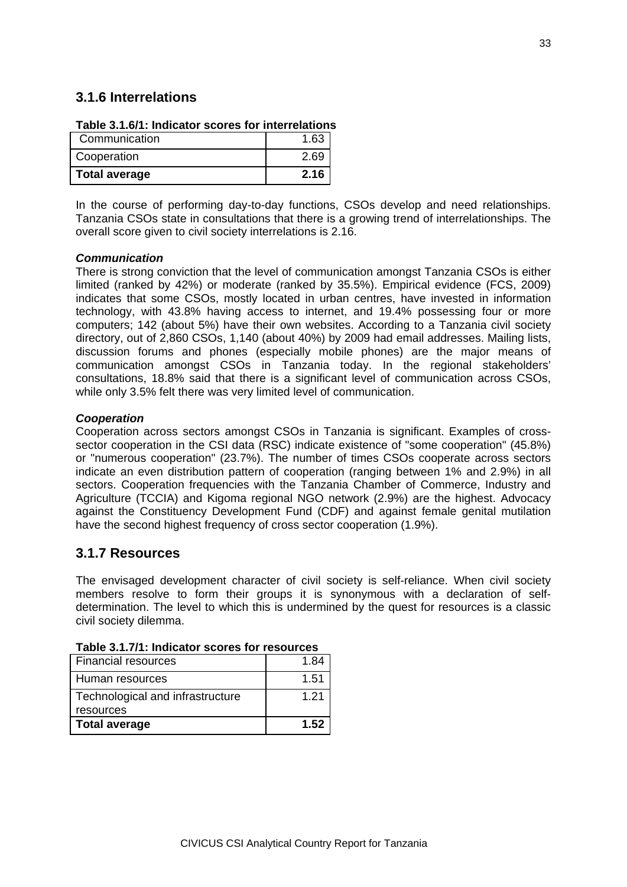### **3.1.6 Interrelations**

| Table 3.1.0/T. Indicator Scores for interrelations |      |
|----------------------------------------------------|------|
| Communication                                      | 1.63 |
| Cooperation                                        | 2.69 |
| <b>Total average</b>                               | 2.16 |

## **Table 3.1.6/1: Indicator scores for interrelations**

In the course of performing day-to-day functions, CSOs develop and need relationships. Tanzania CSOs state in consultations that there is a growing trend of interrelationships. The overall score given to civil society interrelations is 2.16.

#### *Communication*

There is strong conviction that the level of communication amongst Tanzania CSOs is either limited (ranked by 42%) or moderate (ranked by 35.5%). Empirical evidence (FCS, 2009) indicates that some CSOs, mostly located in urban centres, have invested in information technology, with 43.8% having access to internet, and 19.4% possessing four or more computers; 142 (about 5%) have their own websites. According to a Tanzania civil society directory, out of 2,860 CSOs, 1,140 (about 40%) by 2009 had email addresses. Mailing lists, discussion forums and phones (especially mobile phones) are the major means of communication amongst CSOs in Tanzania today. In the regional stakeholders' consultations, 18.8% said that there is a significant level of communication across CSOs, while only 3.5% felt there was very limited level of communication.

#### *Cooperation*

Cooperation across sectors amongst CSOs in Tanzania is significant. Examples of crosssector cooperation in the CSI data (RSC) indicate existence of "some cooperation" (45.8%) or "numerous cooperation" (23.7%). The number of times CSOs cooperate across sectors indicate an even distribution pattern of cooperation (ranging between 1% and 2.9%) in all sectors. Cooperation frequencies with the Tanzania Chamber of Commerce, Industry and Agriculture (TCCIA) and Kigoma regional NGO network (2.9%) are the highest. Advocacy against the Constituency Development Fund (CDF) and against female genital mutilation have the second highest frequency of cross sector cooperation (1.9%).

### **3.1.7 Resources**

The envisaged development character of civil society is self-reliance. When civil society members resolve to form their groups it is synonymous with a declaration of selfdetermination. The level to which this is undermined by the quest for resources is a classic civil society dilemma.

| Financial resources                           | 1.84 |
|-----------------------------------------------|------|
| Human resources                               | 1.51 |
| Technological and infrastructure<br>resources | 1.21 |
| Total average                                 | 1.52 |

#### **Table 3.1.7/1: Indicator scores for resources**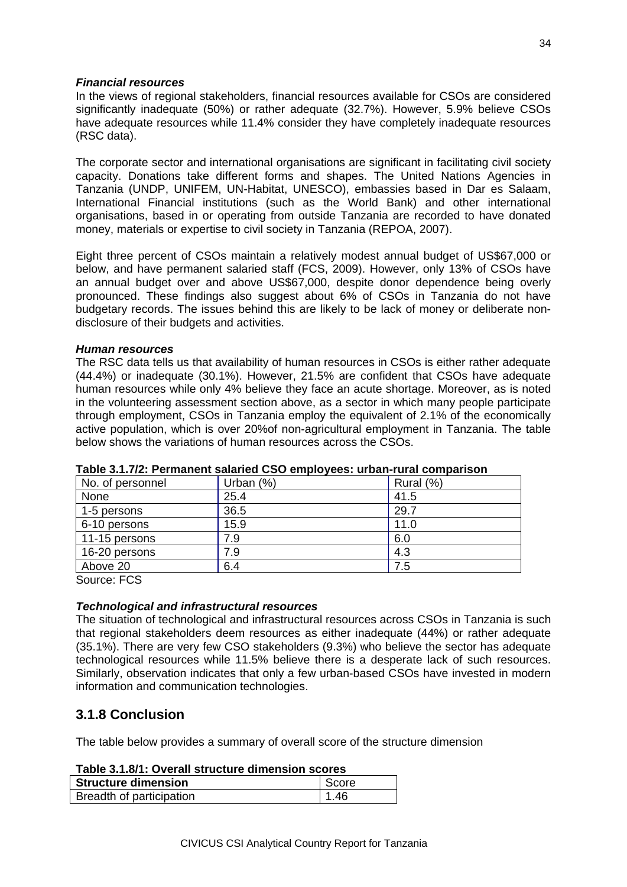#### *Financial resources*

In the views of regional stakeholders, financial resources available for CSOs are considered significantly inadequate (50%) or rather adequate (32.7%). However, 5.9% believe CSOs have adequate resources while 11.4% consider they have completely inadequate resources (RSC data).

The corporate sector and international organisations are significant in facilitating civil society capacity. Donations take different forms and shapes. The United Nations Agencies in Tanzania (UNDP, UNIFEM, UN-Habitat, UNESCO), embassies based in Dar es Salaam, International Financial institutions (such as the World Bank) and other international organisations, based in or operating from outside Tanzania are recorded to have donated money, materials or expertise to civil society in Tanzania (REPOA, 2007).

Eight three percent of CSOs maintain a relatively modest annual budget of US\$67,000 or below, and have permanent salaried staff (FCS, 2009). However, only 13% of CSOs have an annual budget over and above US\$67,000, despite donor dependence being overly pronounced. These findings also suggest about 6% of CSOs in Tanzania do not have budgetary records. The issues behind this are likely to be lack of money or deliberate nondisclosure of their budgets and activities.

#### *Human resources*

The RSC data tells us that availability of human resources in CSOs is either rather adequate (44.4%) or inadequate (30.1%). However, 21.5% are confident that CSOs have adequate human resources while only 4% believe they face an acute shortage. Moreover, as is noted in the volunteering assessment section above, as a sector in which many people participate through employment, CSOs in Tanzania employ the equivalent of 2.1% of the economically active population, which is over 20%of non-agricultural employment in Tanzania. The table below shows the variations of human resources across the CSOs.

| No. of personnel | Urban $(%)$ | Rural (%) |
|------------------|-------------|-----------|
| None             | 25.4        | 41.5      |
| 1-5 persons      | 36.5        | 29.7      |
| 6-10 persons     | 15.9        | 11.0      |
| 11-15 persons    | 7.9         | 6.0       |
| 16-20 persons    | 7.9         | 4.3       |
| Above 20         | 6.4         | 7.5       |
|                  |             |           |

#### **Table 3.1.7/2: Permanent salaried CSO employees: urban-rural comparison**

Source: FCS

#### *Technological and infrastructural resources*

The situation of technological and infrastructural resources across CSOs in Tanzania is such that regional stakeholders deem resources as either inadequate (44%) or rather adequate (35.1%). There are very few CSO stakeholders (9.3%) who believe the sector has adequate technological resources while 11.5% believe there is a desperate lack of such resources. Similarly, observation indicates that only a few urban-based CSOs have invested in modern information and communication technologies.

### **3.1.8 Conclusion**

The table below provides a summary of overall score of the structure dimension

| Table 3.1.8/1: Overall structure dimension scores |             |  |
|---------------------------------------------------|-------------|--|
| <b>Structure dimension</b>                        | l Score     |  |
| Breadth of participation                          | $\mid$ 1.46 |  |

#### **Table 3.1.8/1: Overall structure dimension scores**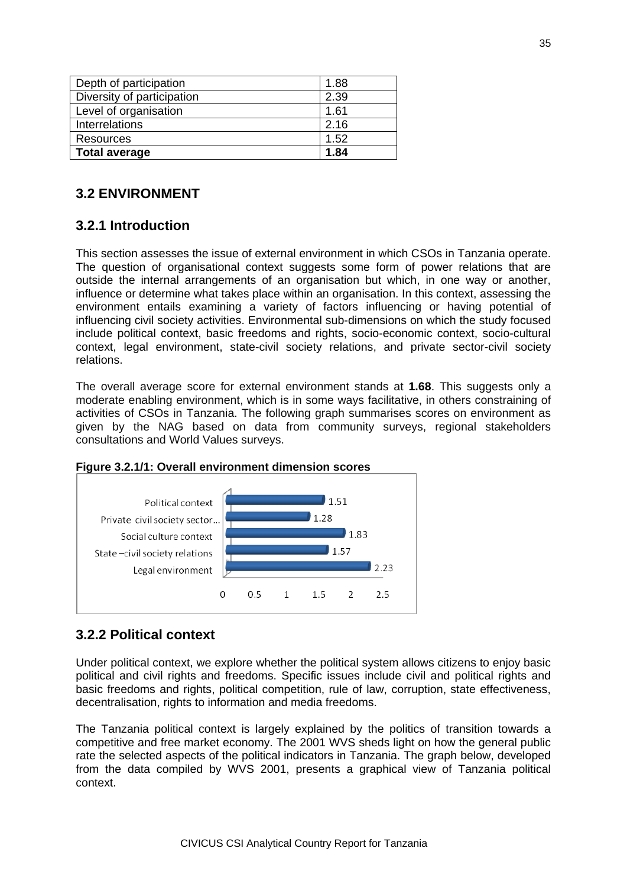| Depth of participation     | 1.88 |
|----------------------------|------|
| Diversity of participation | 2.39 |
| Level of organisation      | 1.61 |
| Interrelations             | 2.16 |
| Resources                  | 1.52 |
| <b>Total average</b>       | 1.84 |

# **3.2 ENVIRONMENT**

# **3.2.1 Introduction**

This section assesses the issue of external environment in which CSOs in Tanzania operate. The question of organisational context suggests some form of power relations that are outside the internal arrangements of an organisation but which, in one way or another, influence or determine what takes place within an organisation. In this context, assessing the environment entails examining a variety of factors influencing or having potential of influencing civil society activities. Environmental sub-dimensions on which the study focused include political context, basic freedoms and rights, socio-economic context, socio-cultural context, legal environment, state-civil society relations, and private sector-civil society relations.

The overall average score for external environment stands at **1.68**. This suggests only a moderate enabling environment, which is in some ways facilitative, in others constraining of activities of CSOs in Tanzania. The following graph summarises scores on environment as given by the NAG based on data from community surveys, regional stakeholders consultations and World Values surveys.



### **Figure 3.2.1/1: Overall environment dimension scores**

# **3.2.2 Political context**

Under political context, we explore whether the political system allows citizens to enjoy basic political and civil rights and freedoms. Specific issues include civil and political rights and basic freedoms and rights, political competition, rule of law, corruption, state effectiveness, decentralisation, rights to information and media freedoms.

The Tanzania political context is largely explained by the politics of transition towards a competitive and free market economy. The 2001 WVS sheds light on how the general public rate the selected aspects of the political indicators in Tanzania. The graph below, developed from the data compiled by WVS 2001, presents a graphical view of Tanzania political context.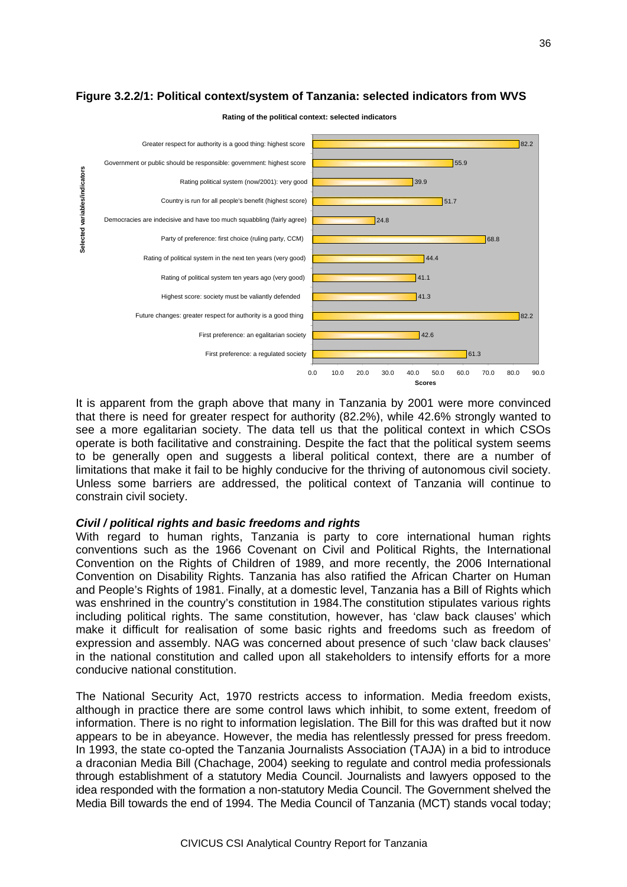

#### **Figure 3.2.2/1: Political context/system of Tanzania: selected indicators from WVS**

**Rating of the political context: selected indicators**

It is apparent from the graph above that many in Tanzania by 2001 were more convinced that there is need for greater respect for authority (82.2%), while 42.6% strongly wanted to see a more egalitarian society. The data tell us that the political context in which CSOs operate is both facilitative and constraining. Despite the fact that the political system seems to be generally open and suggests a liberal political context, there are a number of limitations that make it fail to be highly conducive for the thriving of autonomous civil society. Unless some barriers are addressed, the political context of Tanzania will continue to constrain civil society.

#### *Civil / political rights and basic freedoms and rights*

With regard to human rights. Tanzania is party to core international human rights conventions such as the 1966 Covenant on Civil and Political Rights, the International Convention on the Rights of Children of 1989, and more recently, the 2006 International Convention on Disability Rights. Tanzania has also ratified the African Charter on Human and People's Rights of 1981. Finally, at a domestic level, Tanzania has a Bill of Rights which was enshrined in the country's constitution in 1984.The constitution stipulates various rights including political rights. The same constitution, however, has 'claw back clauses' which make it difficult for realisation of some basic rights and freedoms such as freedom of expression and assembly. NAG was concerned about presence of such 'claw back clauses' in the national constitution and called upon all stakeholders to intensify efforts for a more conducive national constitution.

The National Security Act, 1970 restricts access to information. Media freedom exists, although in practice there are some control laws which inhibit, to some extent, freedom of information. There is no right to information legislation. The Bill for this was drafted but it now appears to be in abeyance. However, the media has relentlessly pressed for press freedom. In 1993, the state co-opted the Tanzania Journalists Association (TAJA) in a bid to introduce a draconian Media Bill (Chachage, 2004) seeking to regulate and control media professionals through establishment of a statutory Media Council. Journalists and lawyers opposed to the idea responded with the formation a non-statutory Media Council. The Government shelved the Media Bill towards the end of 1994. The Media Council of Tanzania (MCT) stands vocal today;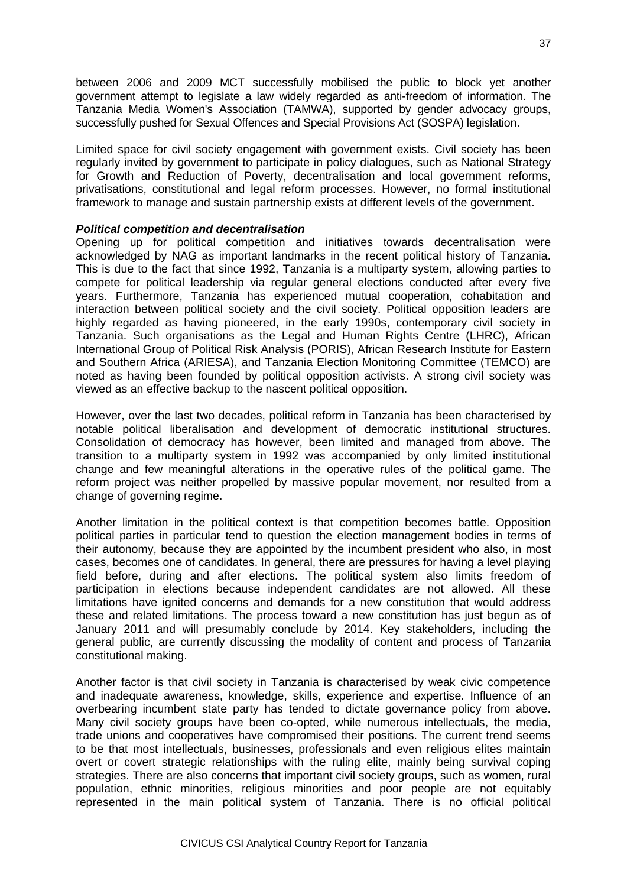between 2006 and 2009 MCT successfully mobilised the public to block yet another government attempt to legislate a law widely regarded as anti-freedom of information. The Tanzania Media Women's Association (TAMWA), supported by gender advocacy groups, successfully pushed for Sexual Offences and Special Provisions Act (SOSPA) legislation.

Limited space for civil society engagement with government exists. Civil society has been regularly invited by government to participate in policy dialogues, such as National Strategy for Growth and Reduction of Poverty, decentralisation and local government reforms, privatisations, constitutional and legal reform processes. However, no formal institutional framework to manage and sustain partnership exists at different levels of the government.

### *Political competition and decentralisation*

Opening up for political competition and initiatives towards decentralisation were acknowledged by NAG as important landmarks in the recent political history of Tanzania. This is due to the fact that since 1992, Tanzania is a multiparty system, allowing parties to compete for political leadership via regular general elections conducted after every five years. Furthermore, Tanzania has experienced mutual cooperation, cohabitation and interaction between political society and the civil society. Political opposition leaders are highly regarded as having pioneered, in the early 1990s, contemporary civil society in Tanzania. Such organisations as the Legal and Human Rights Centre (LHRC), African International Group of Political Risk Analysis (PORIS), African Research Institute for Eastern and Southern Africa (ARIESA), and Tanzania Election Monitoring Committee (TEMCO) are noted as having been founded by political opposition activists. A strong civil society was viewed as an effective backup to the nascent political opposition.

However, over the last two decades, political reform in Tanzania has been characterised by notable political liberalisation and development of democratic institutional structures. Consolidation of democracy has however, been limited and managed from above. The transition to a multiparty system in 1992 was accompanied by only limited institutional change and few meaningful alterations in the operative rules of the political game. The reform project was neither propelled by massive popular movement, nor resulted from a change of governing regime.

Another limitation in the political context is that competition becomes battle. Opposition political parties in particular tend to question the election management bodies in terms of their autonomy, because they are appointed by the incumbent president who also, in most cases, becomes one of candidates. In general, there are pressures for having a level playing field before, during and after elections. The political system also limits freedom of participation in elections because independent candidates are not allowed. All these limitations have ignited concerns and demands for a new constitution that would address these and related limitations. The process toward a new constitution has just begun as of January 2011 and will presumably conclude by 2014. Key stakeholders, including the general public, are currently discussing the modality of content and process of Tanzania constitutional making.

Another factor is that civil society in Tanzania is characterised by weak civic competence and inadequate awareness, knowledge, skills, experience and expertise. Influence of an overbearing incumbent state party has tended to dictate governance policy from above. Many civil society groups have been co-opted, while numerous intellectuals, the media, trade unions and cooperatives have compromised their positions. The current trend seems to be that most intellectuals, businesses, professionals and even religious elites maintain overt or covert strategic relationships with the ruling elite, mainly being survival coping strategies. There are also concerns that important civil society groups, such as women, rural population, ethnic minorities, religious minorities and poor people are not equitably represented in the main political system of Tanzania. There is no official political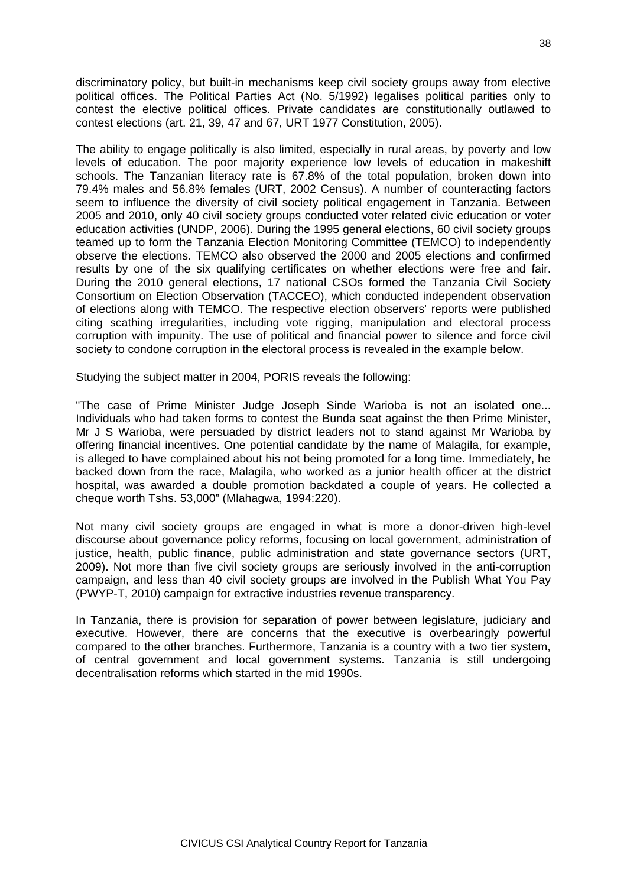discriminatory policy, but built-in mechanisms keep civil society groups away from elective political offices. The Political Parties Act (No. 5/1992) legalises political parities only to contest the elective political offices. Private candidates are constitutionally outlawed to contest elections (art. 21, 39, 47 and 67, URT 1977 Constitution, 2005).

The ability to engage politically is also limited, especially in rural areas, by poverty and low levels of education. The poor majority experience low levels of education in makeshift schools. The Tanzanian literacy rate is 67.8% of the total population, broken down into 79.4% males and 56.8% females (URT, 2002 Census). A number of counteracting factors seem to influence the diversity of civil society political engagement in Tanzania. Between 2005 and 2010, only 40 civil society groups conducted voter related civic education or voter education activities (UNDP, 2006). During the 1995 general elections, 60 civil society groups teamed up to form the Tanzania Election Monitoring Committee (TEMCO) to independently observe the elections. TEMCO also observed the 2000 and 2005 elections and confirmed results by one of the six qualifying certificates on whether elections were free and fair. During the 2010 general elections, 17 national CSOs formed the Tanzania Civil Society Consortium on Election Observation (TACCEO), which conducted independent observation of elections along with TEMCO. The respective election observers' reports were published citing scathing irregularities, including vote rigging, manipulation and electoral process corruption with impunity. The use of political and financial power to silence and force civil society to condone corruption in the electoral process is revealed in the example below.

Studying the subject matter in 2004, PORIS reveals the following:

"The case of Prime Minister Judge Joseph Sinde Warioba is not an isolated one... Individuals who had taken forms to contest the Bunda seat against the then Prime Minister, Mr J S Warioba, were persuaded by district leaders not to stand against Mr Warioba by offering financial incentives. One potential candidate by the name of Malagila, for example, is alleged to have complained about his not being promoted for a long time. Immediately, he backed down from the race, Malagila, who worked as a junior health officer at the district hospital, was awarded a double promotion backdated a couple of years. He collected a cheque worth Tshs. 53,000" (Mlahagwa, 1994:220).

Not many civil society groups are engaged in what is more a donor-driven high-level discourse about governance policy reforms, focusing on local government, administration of justice, health, public finance, public administration and state governance sectors (URT, 2009). Not more than five civil society groups are seriously involved in the anti-corruption campaign, and less than 40 civil society groups are involved in the Publish What You Pay (PWYP-T, 2010) campaign for extractive industries revenue transparency.

In Tanzania, there is provision for separation of power between legislature, judiciary and executive. However, there are concerns that the executive is overbearingly powerful compared to the other branches. Furthermore, Tanzania is a country with a two tier system, of central government and local government systems. Tanzania is still undergoing decentralisation reforms which started in the mid 1990s.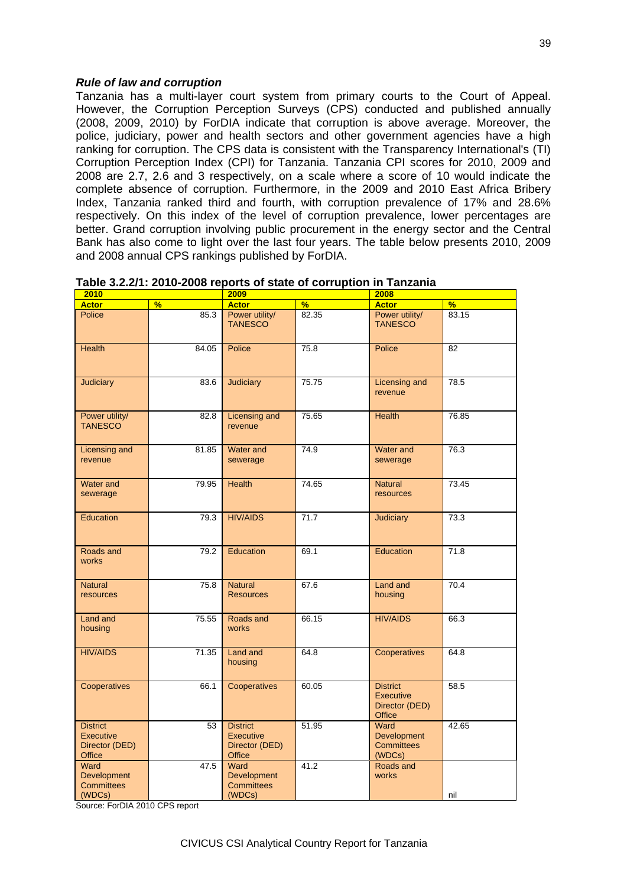#### *Rule of law and corruption*

Tanzania has a multi-layer court system from primary courts to the Court of Appeal. However, the Corruption Perception Surveys (CPS) conducted and published annually (2008, 2009, 2010) by ForDIA indicate that corruption is above average. Moreover, the police, judiciary, power and health sectors and other government agencies have a high ranking for corruption. The CPS data is consistent with the Transparency International's (TI) Corruption Perception Index (CPI) for Tanzania. Tanzania CPI scores for 2010, 2009 and 2008 are 2.7, 2.6 and 3 respectively, on a scale where a score of 10 would indicate the complete absence of corruption. Furthermore, in the 2009 and 2010 East Africa Bribery Index, Tanzania ranked third and fourth, with corruption prevalence of 17% and 28.6% respectively. On this index of the level of corruption prevalence, lower percentages are better. Grand corruption involving public procurement in the energy sector and the Central Bank has also come to light over the last four years. The table below presents 2010, 2009 and 2008 annual CPS rankings published by ForDIA.

| 2010                                                            |               | 2009                                                                   |       | 2008                                                            |                 |
|-----------------------------------------------------------------|---------------|------------------------------------------------------------------------|-------|-----------------------------------------------------------------|-----------------|
| <b>Actor</b>                                                    | $\frac{9}{6}$ | <b>Actor</b>                                                           | %     | <b>Actor</b>                                                    | %               |
| Police                                                          | 85.3          | Power utility/<br><b>TANESCO</b>                                       | 82.35 | Power utility/<br><b>TANESCO</b>                                | 83.15           |
| <b>Health</b>                                                   | 84.05         | Police                                                                 | 75.8  | Police                                                          | $\overline{82}$ |
| <b>Judiciary</b>                                                | 83.6          | Judiciary                                                              | 75.75 | Licensing and<br>revenue                                        | 78.5            |
| Power utility/<br><b>TANESCO</b>                                | 82.8          | Licensing and<br>revenue                                               | 75.65 | <b>Health</b>                                                   | 76.85           |
| Licensing and<br>revenue                                        | 81.85         | Water and<br>sewerage                                                  | 74.9  | Water and<br>sewerage                                           | 76.3            |
| Water and<br>sewerage                                           | 79.95         | <b>Health</b>                                                          | 74.65 | <b>Natural</b><br>resources                                     | 73.45           |
| Education                                                       | 79.3          | <b>HIV/AIDS</b>                                                        | 71.7  | <b>Judiciary</b>                                                | 73.3            |
| Roads and<br>works                                              | 79.2          | Education                                                              | 69.1  | Education                                                       | 71.8            |
| <b>Natural</b><br>resources                                     | 75.8          | <b>Natural</b><br><b>Resources</b>                                     | 67.6  | Land and<br>housing                                             | 70.4            |
| Land and<br>housing                                             | 75.55         | Roads and<br>works                                                     | 66.15 | <b>HIV/AIDS</b>                                                 | 66.3            |
| <b>HIV/AIDS</b>                                                 | 71.35         | Land and<br>housing                                                    | 64.8  | Cooperatives                                                    | 64.8            |
| Cooperatives                                                    | 66.1          | Cooperatives                                                           | 60.05 | <b>District</b><br>Executive<br>Director (DED)<br><b>Office</b> | 58.5            |
| <b>District</b><br>Executive<br>Director (DED)<br><b>Office</b> | 53            | <b>District</b><br><b>Executive</b><br>Director (DED)<br><b>Office</b> | 51.95 | Ward<br><b>Development</b><br><b>Committees</b><br>(WDCs)       | 42.65           |
| Ward<br>Development<br><b>Committees</b><br>(WDCs)              | 47.5          | Ward<br>Development<br><b>Committees</b><br>(WDCs)                     | 41.2  | Roads and<br>works                                              | nil             |
|                                                                 |               |                                                                        |       |                                                                 |                 |

**Table 3.2.2/1: 2010-2008 reports of state of corruption in Tanzania**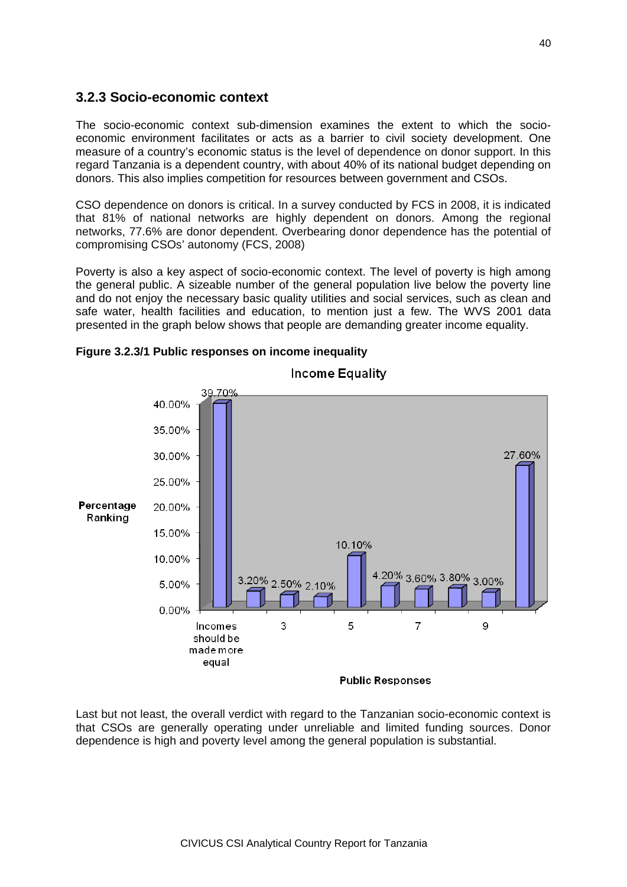### **3.2.3 Socio-economic context**

The socio-economic context sub-dimension examines the extent to which the socioeconomic environment facilitates or acts as a barrier to civil society development. One measure of a country's economic status is the level of dependence on donor support. In this regard Tanzania is a dependent country, with about 40% of its national budget depending on donors. This also implies competition for resources between government and CSOs.

CSO dependence on donors is critical. In a survey conducted by FCS in 2008, it is indicated that 81% of national networks are highly dependent on donors. Among the regional networks, 77.6% are donor dependent. Overbearing donor dependence has the potential of compromising CSOs' autonomy (FCS, 2008)

Poverty is also a key aspect of socio-economic context. The level of poverty is high among the general public. A sizeable number of the general population live below the poverty line and do not enjoy the necessary basic quality utilities and social services, such as clean and safe water, health facilities and education, to mention just a few. The WVS 2001 data presented in the graph below shows that people are demanding greater income equality.



### **Figure 3.2.3/1 Public responses on income inequality**

Last but not least, the overall verdict with regard to the Tanzanian socio-economic context is that CSOs are generally operating under unreliable and limited funding sources. Donor dependence is high and poverty level among the general population is substantial.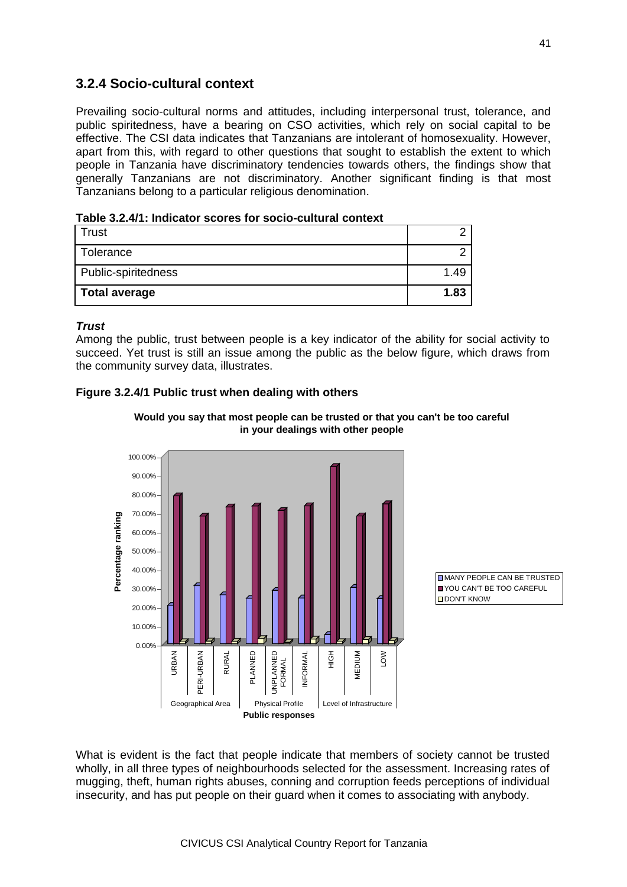### **3.2.4 Socio-cultural context**

Prevailing socio-cultural norms and attitudes, including interpersonal trust, tolerance, and public spiritedness, have a bearing on CSO activities, which rely on social capital to be effective. The CSI data indicates that Tanzanians are intolerant of homosexuality. However, apart from this, with regard to other questions that sought to establish the extent to which people in Tanzania have discriminatory tendencies towards others, the findings show that generally Tanzanians are not discriminatory. Another significant finding is that most Tanzanians belong to a particular religious denomination.

**Table 3.2.4/1: Indicator scores for socio-cultural context**

| Trust               |      |
|---------------------|------|
| Tolerance           |      |
| Public-spiritedness | 1.49 |
| Total average       | 1.83 |

### *Trust*

Among the public, trust between people is a key indicator of the ability for social activity to succeed. Yet trust is still an issue among the public as the below figure, which draws from the community survey data, illustrates.

### **Figure 3.2.4/1 Public trust when dealing with others**





**EMANY PEOPLE CAN BE TRUSTED** YOU CAN'T BE TOO CAREFUL **DON'T KNOW** 

What is evident is the fact that people indicate that members of society cannot be trusted wholly, in all three types of neighbourhoods selected for the assessment. Increasing rates of mugging, theft, human rights abuses, conning and corruption feeds perceptions of individual insecurity, and has put people on their guard when it comes to associating with anybody.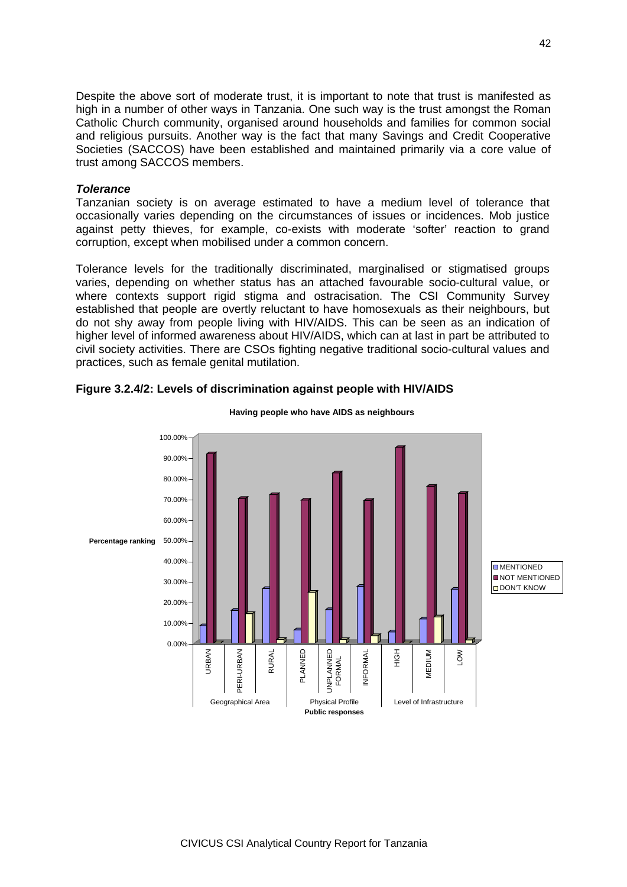Despite the above sort of moderate trust, it is important to note that trust is manifested as high in a number of other ways in Tanzania. One such way is the trust amongst the Roman Catholic Church community, organised around households and families for common social and religious pursuits. Another way is the fact that many Savings and Credit Cooperative Societies (SACCOS) have been established and maintained primarily via a core value of trust among SACCOS members.

#### *Tolerance*

Tanzanian society is on average estimated to have a medium level of tolerance that occasionally varies depending on the circumstances of issues or incidences. Mob justice against petty thieves, for example, co-exists with moderate 'softer' reaction to grand corruption, except when mobilised under a common concern.

Tolerance levels for the traditionally discriminated, marginalised or stigmatised groups varies, depending on whether status has an attached favourable socio-cultural value, or where contexts support rigid stigma and ostracisation. The CSI Community Survey established that people are overtly reluctant to have homosexuals as their neighbours, but do not shy away from people living with HIV/AIDS. This can be seen as an indication of higher level of informed awareness about HIV/AIDS, which can at last in part be attributed to civil society activities. There are CSOs fighting negative traditional socio-cultural values and practices, such as female genital mutilation.



#### **Figure 3.2.4/2: Levels of discrimination against people with HIV/AIDS**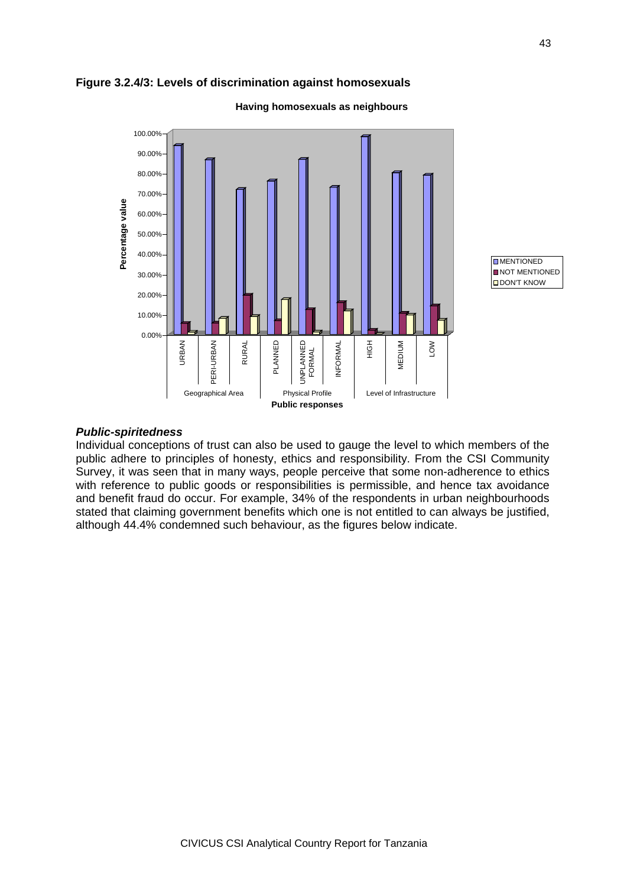



**Having homosexuals as neighbours**

### *Public-spiritedness*

Individual conceptions of trust can also be used to gauge the level to which members of the public adhere to principles of honesty, ethics and responsibility. From the CSI Community Survey, it was seen that in many ways, people perceive that some non-adherence to ethics with reference to public goods or responsibilities is permissible, and hence tax avoidance and benefit fraud do occur. For example, 34% of the respondents in urban neighbourhoods stated that claiming government benefits which one is not entitled to can always be justified, although 44.4% condemned such behaviour, as the figures below indicate.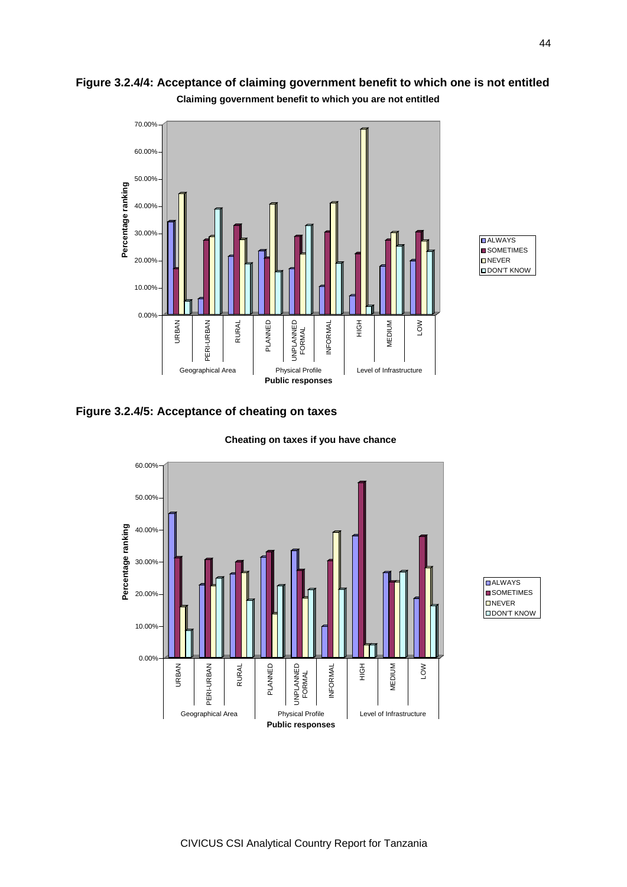

**Figure 3.2.4/4: Acceptance of claiming government benefit to which one is not entitled**

**Claiming government benefit to which you are not entitled**



### **Figure 3.2.4/5: Acceptance of cheating on taxes**



#### **Cheating on taxes if you have chance**

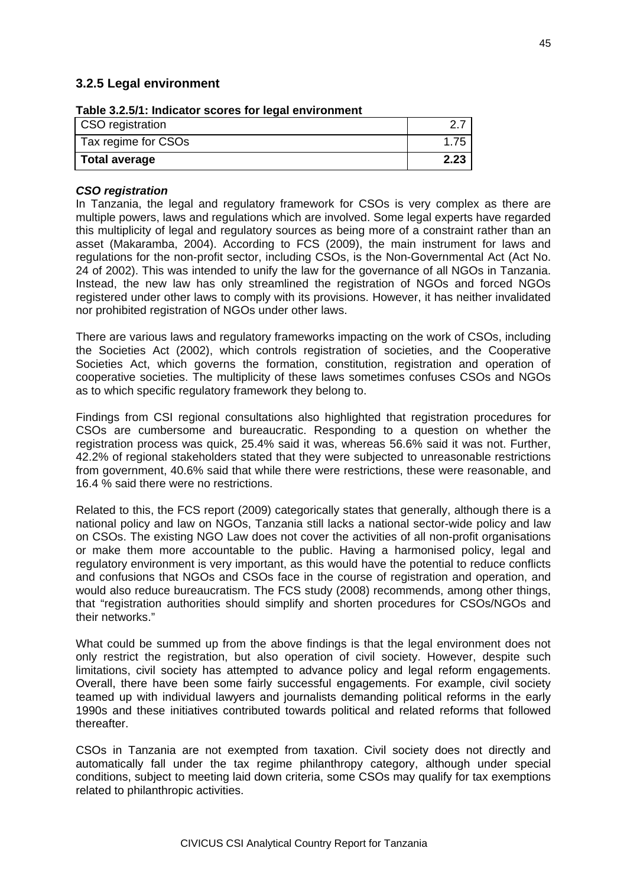### **3.2.5 Legal environment**

| Table 3.2.5/T. Indicator Scores for legal environment<br>CSO registration |      |
|---------------------------------------------------------------------------|------|
| Tax regime for CSOs                                                       | 1.75 |
| <b>Total average</b>                                                      | 2.23 |

### **Table 3.2.5/1: Indicator scores for legal environment**

#### *CSO registration*

In Tanzania, the legal and regulatory framework for CSOs is very complex as there are multiple powers, laws and regulations which are involved. Some legal experts have regarded this multiplicity of legal and regulatory sources as being more of a constraint rather than an asset (Makaramba, 2004). According to FCS (2009), the main instrument for laws and regulations for the non-profit sector, including CSOs, is the Non-Governmental Act (Act No. 24 of 2002). This was intended to unify the law for the governance of all NGOs in Tanzania. Instead, the new law has only streamlined the registration of NGOs and forced NGOs registered under other laws to comply with its provisions. However, it has neither invalidated nor prohibited registration of NGOs under other laws.

There are various laws and regulatory frameworks impacting on the work of CSOs, including the Societies Act (2002), which controls registration of societies, and the Cooperative Societies Act, which governs the formation, constitution, registration and operation of cooperative societies. The multiplicity of these laws sometimes confuses CSOs and NGOs as to which specific regulatory framework they belong to.

Findings from CSI regional consultations also highlighted that registration procedures for CSOs are cumbersome and bureaucratic. Responding to a question on whether the registration process was quick, 25.4% said it was, whereas 56.6% said it was not. Further, 42.2% of regional stakeholders stated that they were subjected to unreasonable restrictions from government, 40.6% said that while there were restrictions, these were reasonable, and 16.4 % said there were no restrictions.

Related to this, the FCS report (2009) categorically states that generally, although there is a national policy and law on NGOs, Tanzania still lacks a national sector-wide policy and law on CSOs. The existing NGO Law does not cover the activities of all non-profit organisations or make them more accountable to the public. Having a harmonised policy, legal and regulatory environment is very important, as this would have the potential to reduce conflicts and confusions that NGOs and CSOs face in the course of registration and operation, and would also reduce bureaucratism. The FCS study (2008) recommends, among other things, that "registration authorities should simplify and shorten procedures for CSOs/NGOs and their networks."

What could be summed up from the above findings is that the legal environment does not only restrict the registration, but also operation of civil society. However, despite such limitations, civil society has attempted to advance policy and legal reform engagements. Overall, there have been some fairly successful engagements. For example, civil society teamed up with individual lawyers and journalists demanding political reforms in the early 1990s and these initiatives contributed towards political and related reforms that followed thereafter.

CSOs in Tanzania are not exempted from taxation. Civil society does not directly and automatically fall under the tax regime philanthropy category, although under special conditions, subject to meeting laid down criteria, some CSOs may qualify for tax exemptions related to philanthropic activities.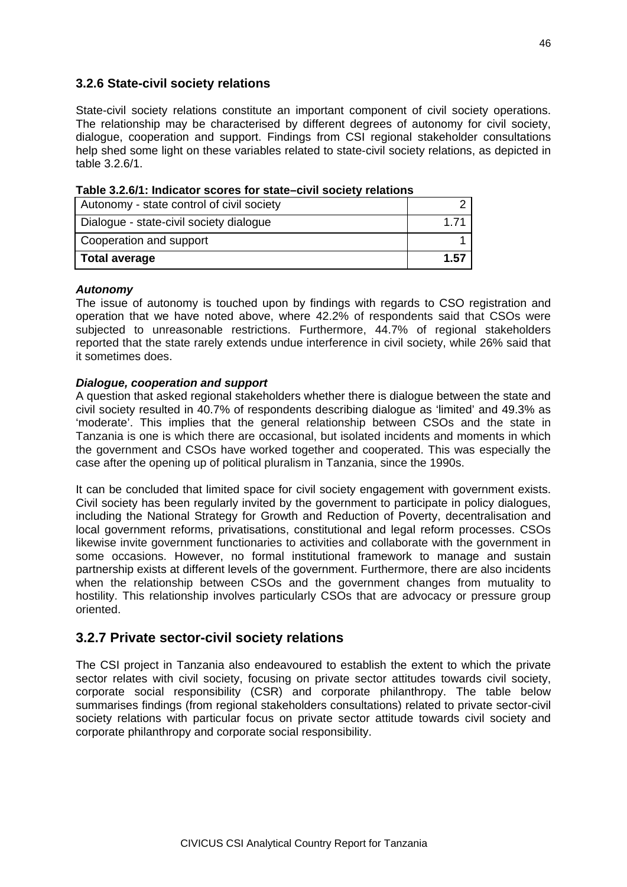### **3.2.6 State-civil society relations**

State-civil society relations constitute an important component of civil society operations. The relationship may be characterised by different degrees of autonomy for civil society, dialogue, cooperation and support. Findings from CSI regional stakeholder consultations help shed some light on these variables related to state-civil society relations, as depicted in table 3.2.6/1.

| Autonomy - state control of civil society |      |
|-------------------------------------------|------|
| Dialogue - state-civil society dialogue   |      |
| Cooperation and support                   |      |
| <b>Total average</b>                      | 1.57 |

| Table 3.2.6/1: Indicator scores for state-civil society relations |  |
|-------------------------------------------------------------------|--|
|-------------------------------------------------------------------|--|

#### *Autonomy*

The issue of autonomy is touched upon by findings with regards to CSO registration and operation that we have noted above, where 42.2% of respondents said that CSOs were subjected to unreasonable restrictions. Furthermore, 44.7% of regional stakeholders reported that the state rarely extends undue interference in civil society, while 26% said that it sometimes does.

### *Dialogue, cooperation and support*

A question that asked regional stakeholders whether there is dialogue between the state and civil society resulted in 40.7% of respondents describing dialogue as 'limited' and 49.3% as 'moderate'. This implies that the general relationship between CSOs and the state in Tanzania is one is which there are occasional, but isolated incidents and moments in which the government and CSOs have worked together and cooperated. This was especially the case after the opening up of political pluralism in Tanzania, since the 1990s.

It can be concluded that limited space for civil society engagement with government exists. Civil society has been regularly invited by the government to participate in policy dialogues, including the National Strategy for Growth and Reduction of Poverty, decentralisation and local government reforms, privatisations, constitutional and legal reform processes. CSOs likewise invite government functionaries to activities and collaborate with the government in some occasions. However, no formal institutional framework to manage and sustain partnership exists at different levels of the government. Furthermore, there are also incidents when the relationship between CSOs and the government changes from mutuality to hostility. This relationship involves particularly CSOs that are advocacy or pressure group oriented.

### **3.2.7 Private sector-civil society relations**

The CSI project in Tanzania also endeavoured to establish the extent to which the private sector relates with civil society, focusing on private sector attitudes towards civil society, corporate social responsibility (CSR) and corporate philanthropy. The table below summarises findings (from regional stakeholders consultations) related to private sector-civil society relations with particular focus on private sector attitude towards civil society and corporate philanthropy and corporate social responsibility.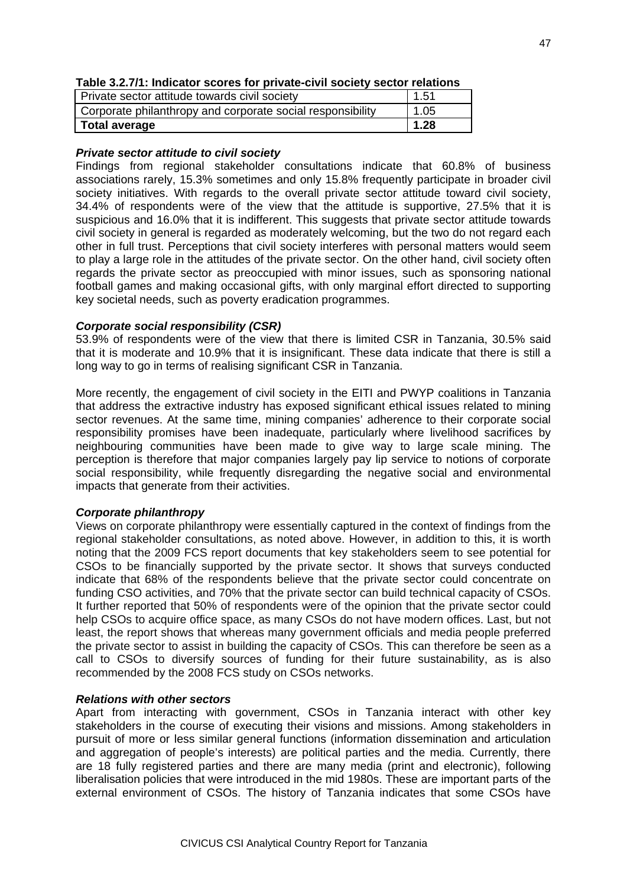| Table 3.2.7/1: Indicator scores for private-civil society sector relations |  |  |
|----------------------------------------------------------------------------|--|--|
|----------------------------------------------------------------------------|--|--|

| Private sector attitude towards civil society              | 1.51 |
|------------------------------------------------------------|------|
| Corporate philanthropy and corporate social responsibility | 1.05 |
| Total average                                              | 1.28 |

### *Private sector attitude to civil society*

Findings from regional stakeholder consultations indicate that 60.8% of business associations rarely, 15.3% sometimes and only 15.8% frequently participate in broader civil society initiatives. With regards to the overall private sector attitude toward civil society, 34.4% of respondents were of the view that the attitude is supportive, 27.5% that it is suspicious and 16.0% that it is indifferent. This suggests that private sector attitude towards civil society in general is regarded as moderately welcoming, but the two do not regard each other in full trust. Perceptions that civil society interferes with personal matters would seem to play a large role in the attitudes of the private sector. On the other hand, civil society often regards the private sector as preoccupied with minor issues, such as sponsoring national football games and making occasional gifts, with only marginal effort directed to supporting key societal needs, such as poverty eradication programmes.

### *Corporate social responsibility (CSR)*

53.9% of respondents were of the view that there is limited CSR in Tanzania, 30.5% said that it is moderate and 10.9% that it is insignificant. These data indicate that there is still a long way to go in terms of realising significant CSR in Tanzania.

More recently, the engagement of civil society in the EITI and PWYP coalitions in Tanzania that address the extractive industry has exposed significant ethical issues related to mining sector revenues. At the same time, mining companies' adherence to their corporate social responsibility promises have been inadequate, particularly where livelihood sacrifices by neighbouring communities have been made to give way to large scale mining. The perception is therefore that major companies largely pay lip service to notions of corporate social responsibility, while frequently disregarding the negative social and environmental impacts that generate from their activities.

### *Corporate philanthropy*

Views on corporate philanthropy were essentially captured in the context of findings from the regional stakeholder consultations, as noted above. However, in addition to this, it is worth noting that the 2009 FCS report documents that key stakeholders seem to see potential for CSOs to be financially supported by the private sector. It shows that surveys conducted indicate that 68% of the respondents believe that the private sector could concentrate on funding CSO activities, and 70% that the private sector can build technical capacity of CSOs. It further reported that 50% of respondents were of the opinion that the private sector could help CSOs to acquire office space, as many CSOs do not have modern offices. Last, but not least, the report shows that whereas many government officials and media people preferred the private sector to assist in building the capacity of CSOs. This can therefore be seen as a call to CSOs to diversify sources of funding for their future sustainability, as is also recommended by the 2008 FCS study on CSOs networks.

### *Relations with other sectors*

Apart from interacting with government, CSOs in Tanzania interact with other key stakeholders in the course of executing their visions and missions. Among stakeholders in pursuit of more or less similar general functions (information dissemination and articulation and aggregation of people's interests) are political parties and the media. Currently, there are 18 fully registered parties and there are many media (print and electronic), following liberalisation policies that were introduced in the mid 1980s. These are important parts of the external environment of CSOs. The history of Tanzania indicates that some CSOs have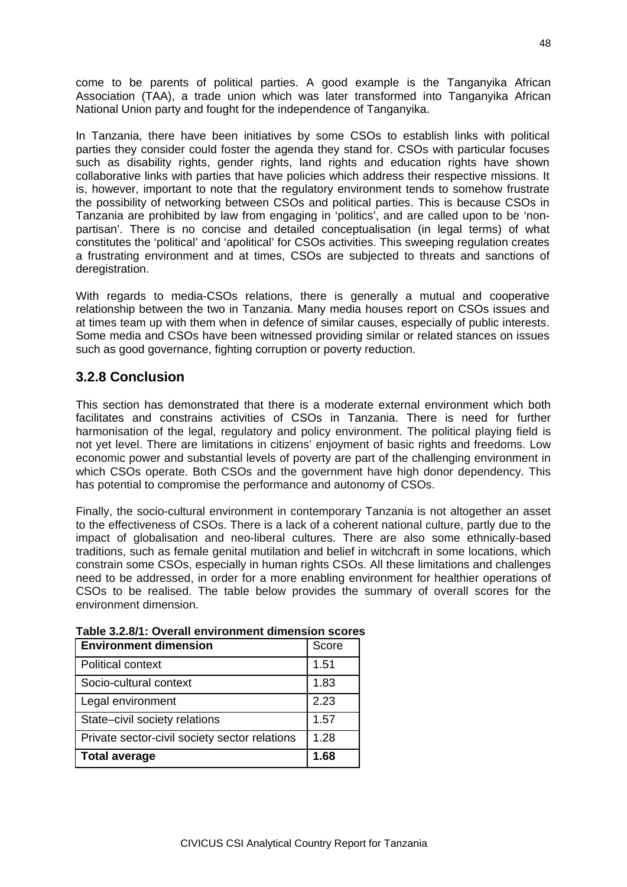come to be parents of political parties. A good example is the Tanganyika African Association (TAA), a trade union which was later transformed into Tanganyika African National Union party and fought for the independence of Tanganyika.

In Tanzania, there have been initiatives by some CSOs to establish links with political parties they consider could foster the agenda they stand for. CSOs with particular focuses such as disability rights, gender rights, land rights and education rights have shown collaborative links with parties that have policies which address their respective missions. It is, however, important to note that the regulatory environment tends to somehow frustrate the possibility of networking between CSOs and political parties. This is because CSOs in Tanzania are prohibited by law from engaging in 'politics', and are called upon to be 'nonpartisan'. There is no concise and detailed conceptualisation (in legal terms) of what constitutes the 'political' and 'apolitical' for CSOs activities. This sweeping regulation creates a frustrating environment and at times, CSOs are subjected to threats and sanctions of deregistration.

With regards to media-CSOs relations, there is generally a mutual and cooperative relationship between the two in Tanzania. Many media houses report on CSOs issues and at times team up with them when in defence of similar causes, especially of public interests. Some media and CSOs have been witnessed providing similar or related stances on issues such as good governance, fighting corruption or poverty reduction.

### **3.2.8 Conclusion**

This section has demonstrated that there is a moderate external environment which both facilitates and constrains activities of CSOs in Tanzania. There is need for further harmonisation of the legal, regulatory and policy environment. The political playing field is not yet level. There are limitations in citizens' enjoyment of basic rights and freedoms. Low economic power and substantial levels of poverty are part of the challenging environment in which CSOs operate. Both CSOs and the government have high donor dependency. This has potential to compromise the performance and autonomy of CSOs.

Finally, the socio-cultural environment in contemporary Tanzania is not altogether an asset to the effectiveness of CSOs. There is a lack of a coherent national culture, partly due to the impact of globalisation and neo-liberal cultures. There are also some ethnically-based traditions, such as female genital mutilation and belief in witchcraft in some locations, which constrain some CSOs, especially in human rights CSOs. All these limitations and challenges need to be addressed, in order for a more enabling environment for healthier operations of CSOs to be realised. The table below provides the summary of overall scores for the environment dimension.

| <b>Environment dimension</b>                  | Score |
|-----------------------------------------------|-------|
| <b>Political context</b>                      | 1.51  |
| Socio-cultural context                        | 1.83  |
| Legal environment                             | 2.23  |
| State-civil society relations                 | 1.57  |
| Private sector-civil society sector relations | 1.28  |
| <b>Total average</b>                          | 1.68  |

### **Table 3.2.8/1: Overall environment dimension scores**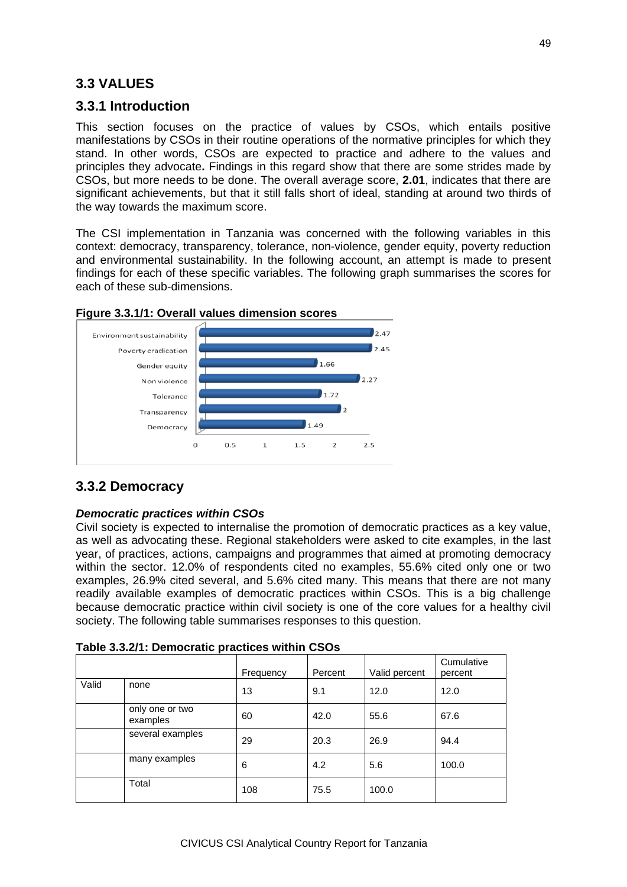# **3.3 VALUES**

### **3.3.1 Introduction**

This section focuses on the practice of values by CSOs, which entails positive manifestations by CSOs in their routine operations of the normative principles for which they stand. In other words, CSOs are expected to practice and adhere to the values and principles they advocate**.** Findings in this regard show that there are some strides made by CSOs, but more needs to be done. The overall average score, **2.01**, indicates that there are significant achievements, but that it still falls short of ideal, standing at around two thirds of the way towards the maximum score.

The CSI implementation in Tanzania was concerned with the following variables in this context: democracy, transparency, tolerance, non-violence, gender equity, poverty reduction and environmental sustainability. In the following account, an attempt is made to present findings for each of these specific variables. The following graph summarises the scores for each of these sub-dimensions.



### **Figure 3.3.1/1: Overall values dimension scores**

# **3.3.2 Democracy**

### *Democratic practices within CSOs*

Civil society is expected to internalise the promotion of democratic practices as a key value, as well as advocating these. Regional stakeholders were asked to cite examples, in the last year, of practices, actions, campaigns and programmes that aimed at promoting democracy within the sector. 12.0% of respondents cited no examples, 55.6% cited only one or two examples, 26.9% cited several, and 5.6% cited many. This means that there are not many readily available examples of democratic practices within CSOs. This is a big challenge because democratic practice within civil society is one of the core values for a healthy civil society. The following table summarises responses to this question.

|       |                             | Frequency | Percent | Valid percent | Cumulative<br>percent |
|-------|-----------------------------|-----------|---------|---------------|-----------------------|
| Valid | none                        | 13        | 9.1     | 12.0          | 12.0                  |
|       | only one or two<br>examples | 60        | 42.0    | 55.6          | 67.6                  |
|       | several examples            | 29        | 20.3    | 26.9          | 94.4                  |
|       | many examples               | 6         | 4.2     | 5.6           | 100.0                 |
|       | Total                       | 108       | 75.5    | 100.0         |                       |

| Table 3.3.2/1: Democratic practices within CSOs |  |  |
|-------------------------------------------------|--|--|
|-------------------------------------------------|--|--|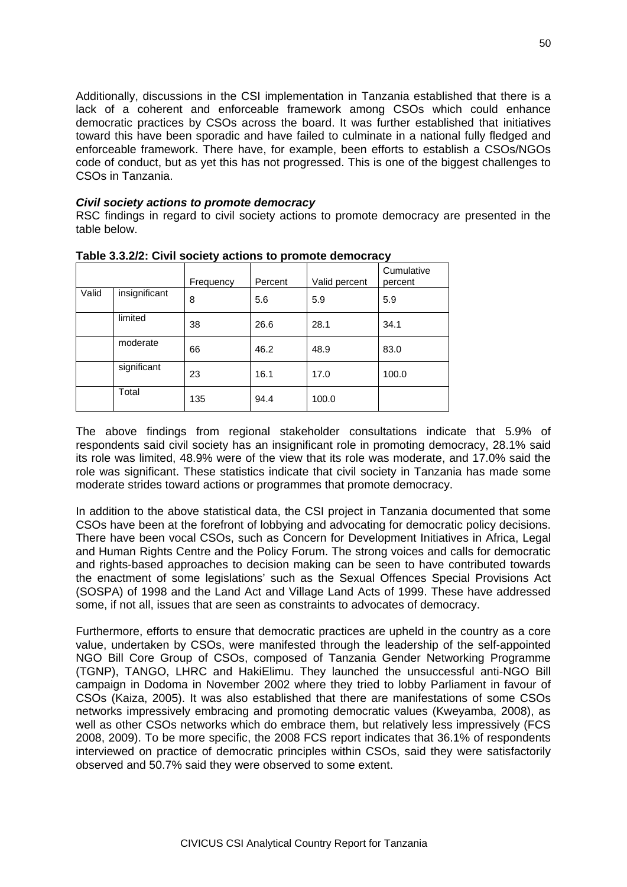Additionally, discussions in the CSI implementation in Tanzania established that there is a lack of a coherent and enforceable framework among CSOs which could enhance democratic practices by CSOs across the board. It was further established that initiatives toward this have been sporadic and have failed to culminate in a national fully fledged and enforceable framework. There have, for example, been efforts to establish a CSOs/NGOs code of conduct, but as yet this has not progressed. This is one of the biggest challenges to CSOs in Tanzania.

### *Civil society actions to promote democracy*

RSC findings in regard to civil society actions to promote democracy are presented in the table below.

|       |               | Frequency | Percent | Valid percent | Cumulative<br>percent |
|-------|---------------|-----------|---------|---------------|-----------------------|
| Valid | insignificant | 8         | 5.6     | 5.9           | 5.9                   |
|       | limited       | 38        | 26.6    | 28.1          | 34.1                  |
|       | moderate      | 66        | 46.2    | 48.9          | 83.0                  |
|       | significant   | 23        | 16.1    | 17.0          | 100.0                 |
|       | Total         | 135       | 94.4    | 100.0         |                       |

**Table 3.3.2/2: Civil society actions to promote democracy**

The above findings from regional stakeholder consultations indicate that 5.9% of respondents said civil society has an insignificant role in promoting democracy, 28.1% said its role was limited, 48.9% were of the view that its role was moderate, and 17.0% said the role was significant. These statistics indicate that civil society in Tanzania has made some moderate strides toward actions or programmes that promote democracy.

In addition to the above statistical data, the CSI project in Tanzania documented that some CSOs have been at the forefront of lobbying and advocating for democratic policy decisions. There have been vocal CSOs, such as Concern for Development Initiatives in Africa, Legal and Human Rights Centre and the Policy Forum. The strong voices and calls for democratic and rights-based approaches to decision making can be seen to have contributed towards the enactment of some legislations' such as the Sexual Offences Special Provisions Act (SOSPA) of 1998 and the Land Act and Village Land Acts of 1999. These have addressed some, if not all, issues that are seen as constraints to advocates of democracy.

Furthermore, efforts to ensure that democratic practices are upheld in the country as a core value, undertaken by CSOs, were manifested through the leadership of the self-appointed NGO Bill Core Group of CSOs, composed of Tanzania Gender Networking Programme (TGNP), TANGO, LHRC and HakiElimu. They launched the unsuccessful anti-NGO Bill campaign in Dodoma in November 2002 where they tried to lobby Parliament in favour of CSOs (Kaiza, 2005). It was also established that there are manifestations of some CSOs networks impressively embracing and promoting democratic values (Kweyamba, 2008), as well as other CSOs networks which do embrace them, but relatively less impressively (FCS 2008, 2009). To be more specific, the 2008 FCS report indicates that 36.1% of respondents interviewed on practice of democratic principles within CSOs, said they were satisfactorily observed and 50.7% said they were observed to some extent.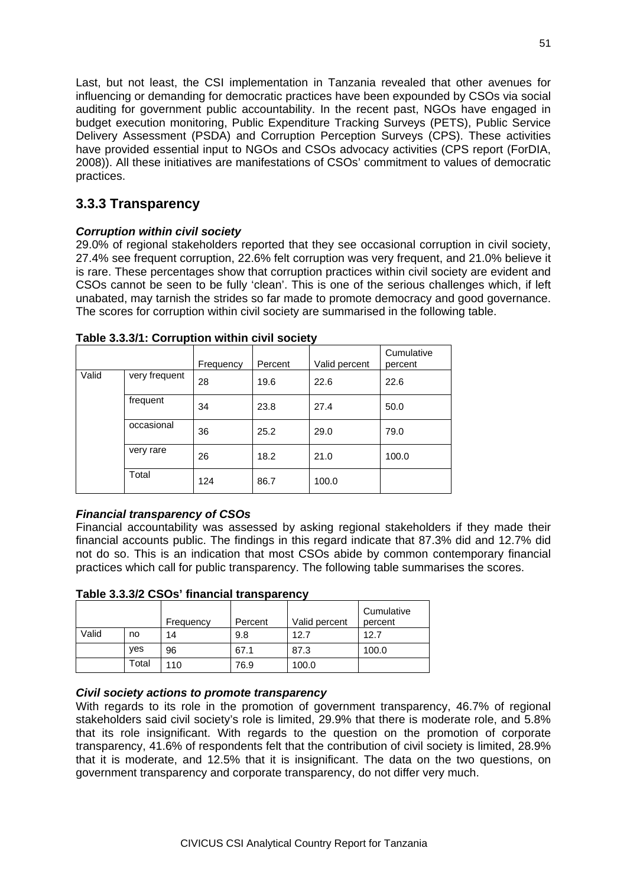Last, but not least, the CSI implementation in Tanzania revealed that other avenues for influencing or demanding for democratic practices have been expounded by CSOs via social auditing for government public accountability. In the recent past, NGOs have engaged in budget execution monitoring, Public Expenditure Tracking Surveys (PETS), Public Service Delivery Assessment (PSDA) and Corruption Perception Surveys (CPS). These activities have provided essential input to NGOs and CSOs advocacy activities (CPS report (ForDIA, 2008)). All these initiatives are manifestations of CSOs' commitment to values of democratic practices.

## **3.3.3 Transparency**

### *Corruption within civil society*

29.0% of regional stakeholders reported that they see occasional corruption in civil society, 27.4% see frequent corruption, 22.6% felt corruption was very frequent, and 21.0% believe it is rare. These percentages show that corruption practices within civil society are evident and CSOs cannot be seen to be fully 'clean'. This is one of the serious challenges which, if left unabated, may tarnish the strides so far made to promote democracy and good governance. The scores for corruption within civil society are summarised in the following table.

|       |               | Frequency | Percent | Valid percent | Cumulative<br>percent |
|-------|---------------|-----------|---------|---------------|-----------------------|
| Valid | very frequent | 28        | 19.6    | 22.6          | 22.6                  |
|       | frequent      | 34        | 23.8    | 27.4          | 50.0                  |
|       | occasional    | 36        | 25.2    | 29.0          | 79.0                  |
|       | very rare     | 26        | 18.2    | 21.0          | 100.0                 |
|       | Total         | 124       | 86.7    | 100.0         |                       |

**Table 3.3.3/1: Corruption within civil society**

### *Financial transparency of CSOs*

Financial accountability was assessed by asking regional stakeholders if they made their financial accounts public. The findings in this regard indicate that 87.3% did and 12.7% did not do so. This is an indication that most CSOs abide by common contemporary financial practices which call for public transparency. The following table summarises the scores.

|--|

|       |       | Frequency | Percent | Valid percent | Cumulative<br>percent |
|-------|-------|-----------|---------|---------------|-----------------------|
| Valid | no    | 14        | 9.8     | 12.7          | 12.7                  |
|       | yes   | 96        | 67.1    | 87.3          | 100.0                 |
|       | Total | 110       | 76.9    | 100.0         |                       |

### *Civil society actions to promote transparency*

With regards to its role in the promotion of government transparency, 46.7% of regional stakeholders said civil society's role is limited, 29.9% that there is moderate role, and 5.8% that its role insignificant. With regards to the question on the promotion of corporate transparency, 41.6% of respondents felt that the contribution of civil society is limited, 28.9% that it is moderate, and 12.5% that it is insignificant. The data on the two questions, on government transparency and corporate transparency, do not differ very much.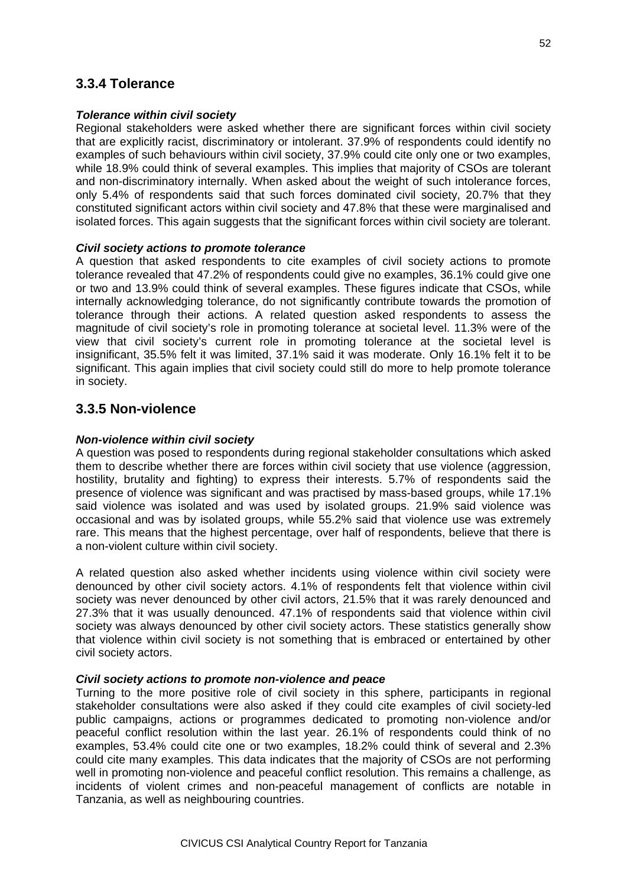### **3.3.4 Tolerance**

### *Tolerance within civil society*

Regional stakeholders were asked whether there are significant forces within civil society that are explicitly racist, discriminatory or intolerant. 37.9% of respondents could identify no examples of such behaviours within civil society, 37.9% could cite only one or two examples, while 18.9% could think of several examples. This implies that majority of CSOs are tolerant and non-discriminatory internally. When asked about the weight of such intolerance forces, only 5.4% of respondents said that such forces dominated civil society, 20.7% that they constituted significant actors within civil society and 47.8% that these were marginalised and isolated forces. This again suggests that the significant forces within civil society are tolerant.

### *Civil society actions to promote tolerance*

A question that asked respondents to cite examples of civil society actions to promote tolerance revealed that 47.2% of respondents could give no examples, 36.1% could give one or two and 13.9% could think of several examples. These figures indicate that CSOs, while internally acknowledging tolerance, do not significantly contribute towards the promotion of tolerance through their actions. A related question asked respondents to assess the magnitude of civil society's role in promoting tolerance at societal level. 11.3% were of the view that civil society's current role in promoting tolerance at the societal level is insignificant, 35.5% felt it was limited, 37.1% said it was moderate. Only 16.1% felt it to be significant. This again implies that civil society could still do more to help promote tolerance in society.

### **3.3.5 Non-violence**

### *Non-violence within civil society*

A question was posed to respondents during regional stakeholder consultations which asked them to describe whether there are forces within civil society that use violence (aggression, hostility, brutality and fighting) to express their interests. 5.7% of respondents said the presence of violence was significant and was practised by mass-based groups, while 17.1% said violence was isolated and was used by isolated groups. 21.9% said violence was occasional and was by isolated groups, while 55.2% said that violence use was extremely rare. This means that the highest percentage, over half of respondents, believe that there is a non-violent culture within civil society.

A related question also asked whether incidents using violence within civil society were denounced by other civil society actors. 4.1% of respondents felt that violence within civil society was never denounced by other civil actors, 21.5% that it was rarely denounced and 27.3% that it was usually denounced. 47.1% of respondents said that violence within civil society was always denounced by other civil society actors. These statistics generally show that violence within civil society is not something that is embraced or entertained by other civil society actors.

### *Civil society actions to promote non-violence and peace*

Turning to the more positive role of civil society in this sphere, participants in regional stakeholder consultations were also asked if they could cite examples of civil society-led public campaigns, actions or programmes dedicated to promoting non-violence and/or peaceful conflict resolution within the last year. 26.1% of respondents could think of no examples, 53.4% could cite one or two examples, 18.2% could think of several and 2.3% could cite many examples. This data indicates that the majority of CSOs are not performing well in promoting non-violence and peaceful conflict resolution. This remains a challenge, as incidents of violent crimes and non-peaceful management of conflicts are notable in Tanzania, as well as neighbouring countries.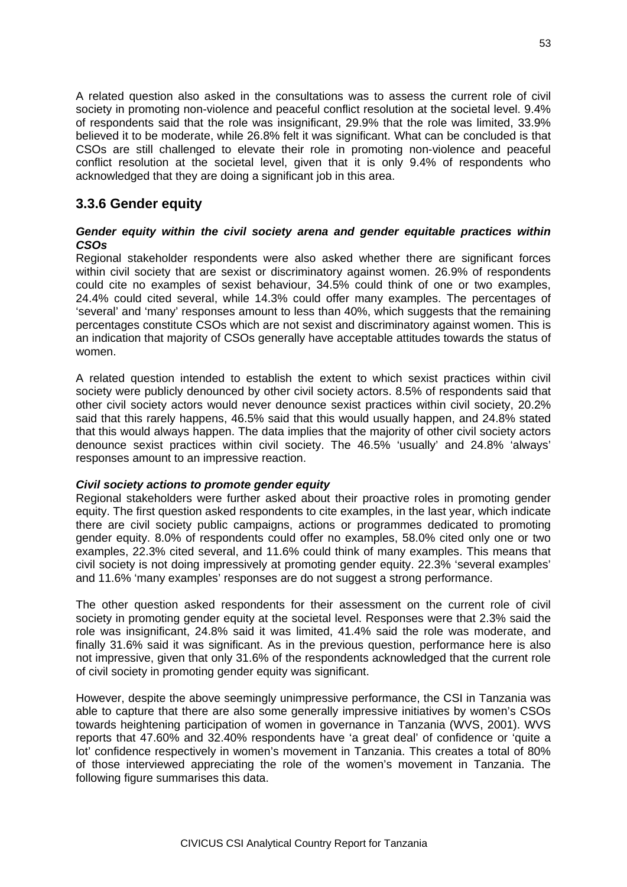A related question also asked in the consultations was to assess the current role of civil society in promoting non-violence and peaceful conflict resolution at the societal level. 9.4% of respondents said that the role was insignificant, 29.9% that the role was limited, 33.9% believed it to be moderate, while 26.8% felt it was significant. What can be concluded is that CSOs are still challenged to elevate their role in promoting non-violence and peaceful conflict resolution at the societal level, given that it is only 9.4% of respondents who acknowledged that they are doing a significant job in this area.

### **3.3.6 Gender equity**

### *Gender equity within the civil society arena and gender equitable practices within CSOs*

Regional stakeholder respondents were also asked whether there are significant forces within civil society that are sexist or discriminatory against women. 26.9% of respondents could cite no examples of sexist behaviour, 34.5% could think of one or two examples, 24.4% could cited several, while 14.3% could offer many examples. The percentages of 'several' and 'many' responses amount to less than 40%, which suggests that the remaining percentages constitute CSOs which are not sexist and discriminatory against women. This is an indication that majority of CSOs generally have acceptable attitudes towards the status of women.

A related question intended to establish the extent to which sexist practices within civil society were publicly denounced by other civil society actors. 8.5% of respondents said that other civil society actors would never denounce sexist practices within civil society, 20.2% said that this rarely happens, 46.5% said that this would usually happen, and 24.8% stated that this would always happen. The data implies that the majority of other civil society actors denounce sexist practices within civil society. The 46.5% 'usually' and 24.8% 'always' responses amount to an impressive reaction.

### *Civil society actions to promote gender equity*

Regional stakeholders were further asked about their proactive roles in promoting gender equity. The first question asked respondents to cite examples, in the last year, which indicate there are civil society public campaigns, actions or programmes dedicated to promoting gender equity. 8.0% of respondents could offer no examples, 58.0% cited only one or two examples, 22.3% cited several, and 11.6% could think of many examples. This means that civil society is not doing impressively at promoting gender equity. 22.3% 'several examples' and 11.6% 'many examples' responses are do not suggest a strong performance.

The other question asked respondents for their assessment on the current role of civil society in promoting gender equity at the societal level. Responses were that 2.3% said the role was insignificant, 24.8% said it was limited, 41.4% said the role was moderate, and finally 31.6% said it was significant. As in the previous question, performance here is also not impressive, given that only 31.6% of the respondents acknowledged that the current role of civil society in promoting gender equity was significant.

However, despite the above seemingly unimpressive performance, the CSI in Tanzania was able to capture that there are also some generally impressive initiatives by women's CSOs towards heightening participation of women in governance in Tanzania (WVS, 2001). WVS reports that 47.60% and 32.40% respondents have 'a great deal' of confidence or 'quite a lot' confidence respectively in women's movement in Tanzania. This creates a total of 80% of those interviewed appreciating the role of the women's movement in Tanzania. The following figure summarises this data.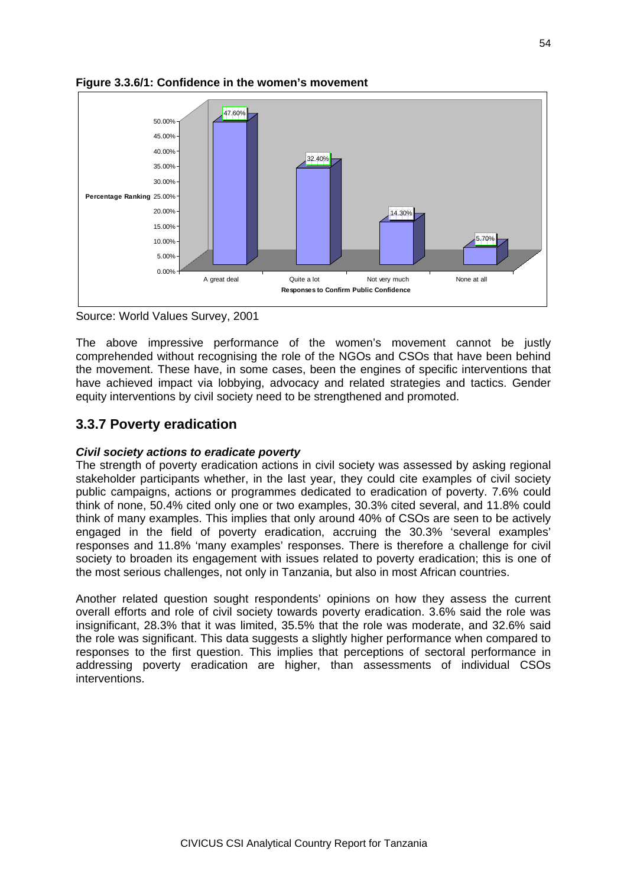

### **Figure 3.3.6/1: Confidence in the women's movement**

Source: World Values Survey, 2001

The above impressive performance of the women's movement cannot be justly comprehended without recognising the role of the NGOs and CSOs that have been behind the movement. These have, in some cases, been the engines of specific interventions that have achieved impact via lobbying, advocacy and related strategies and tactics. Gender equity interventions by civil society need to be strengthened and promoted.

### **3.3.7 Poverty eradication**

### *Civil society actions to eradicate poverty*

The strength of poverty eradication actions in civil society was assessed by asking regional stakeholder participants whether, in the last year, they could cite examples of civil society public campaigns, actions or programmes dedicated to eradication of poverty. 7.6% could think of none, 50.4% cited only one or two examples, 30.3% cited several, and 11.8% could think of many examples. This implies that only around 40% of CSOs are seen to be actively engaged in the field of poverty eradication, accruing the 30.3% 'several examples' responses and 11.8% 'many examples' responses. There is therefore a challenge for civil society to broaden its engagement with issues related to poverty eradication; this is one of the most serious challenges, not only in Tanzania, but also in most African countries.

Another related question sought respondents' opinions on how they assess the current overall efforts and role of civil society towards poverty eradication. 3.6% said the role was insignificant, 28.3% that it was limited, 35.5% that the role was moderate, and 32.6% said the role was significant. This data suggests a slightly higher performance when compared to responses to the first question. This implies that perceptions of sectoral performance in addressing poverty eradication are higher, than assessments of individual CSOs interventions.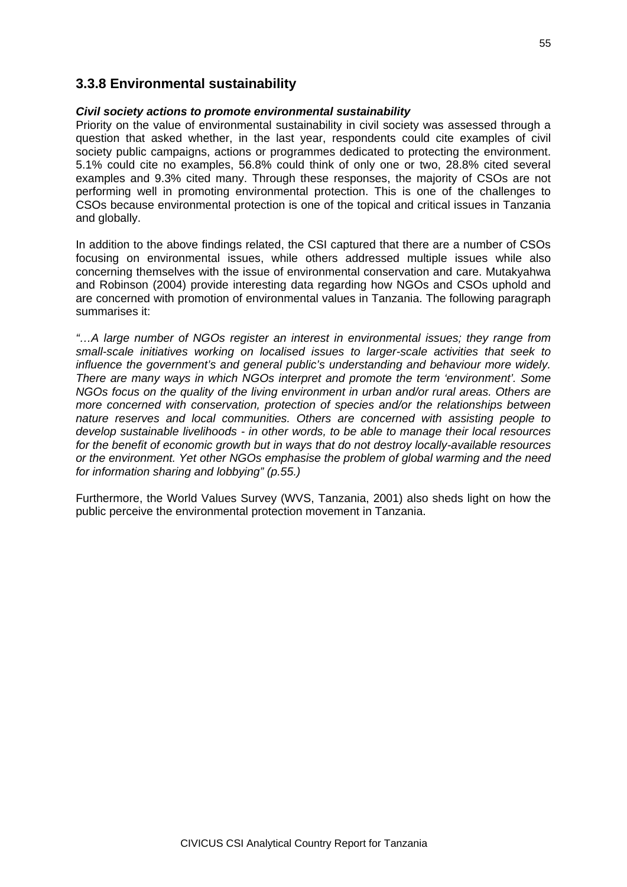### **3.3.8 Environmental sustainability**

#### *Civil society actions to promote environmental sustainability*

Priority on the value of environmental sustainability in civil society was assessed through a question that asked whether, in the last year, respondents could cite examples of civil society public campaigns, actions or programmes dedicated to protecting the environment. 5.1% could cite no examples, 56.8% could think of only one or two, 28.8% cited several examples and 9.3% cited many. Through these responses, the majority of CSOs are not performing well in promoting environmental protection. This is one of the challenges to CSOs because environmental protection is one of the topical and critical issues in Tanzania and globally.

In addition to the above findings related, the CSI captured that there are a number of CSOs focusing on environmental issues, while others addressed multiple issues while also concerning themselves with the issue of environmental conservation and care. Mutakyahwa and Robinson (2004) provide interesting data regarding how NGOs and CSOs uphold and are concerned with promotion of environmental values in Tanzania. The following paragraph summarises it:

*"…A large number of NGOs register an interest in environmental issues; they range from small-scale initiatives working on localised issues to larger-scale activities that seek to influence the government's and general public's understanding and behaviour more widely. There are many ways in which NGOs interpret and promote the term 'environment'. Some NGOs focus on the quality of the living environment in urban and/or rural areas. Others are more concerned with conservation, protection of species and/or the relationships between nature reserves and local communities. Others are concerned with assisting people to develop sustainable livelihoods - in other words, to be able to manage their local resources for the benefit of economic growth but in ways that do not destroy locally-available resources or the environment. Yet other NGOs emphasise the problem of global warming and the need for information sharing and lobbying" (p.55.)*

Furthermore, the World Values Survey (WVS, Tanzania, 2001) also sheds light on how the public perceive the environmental protection movement in Tanzania.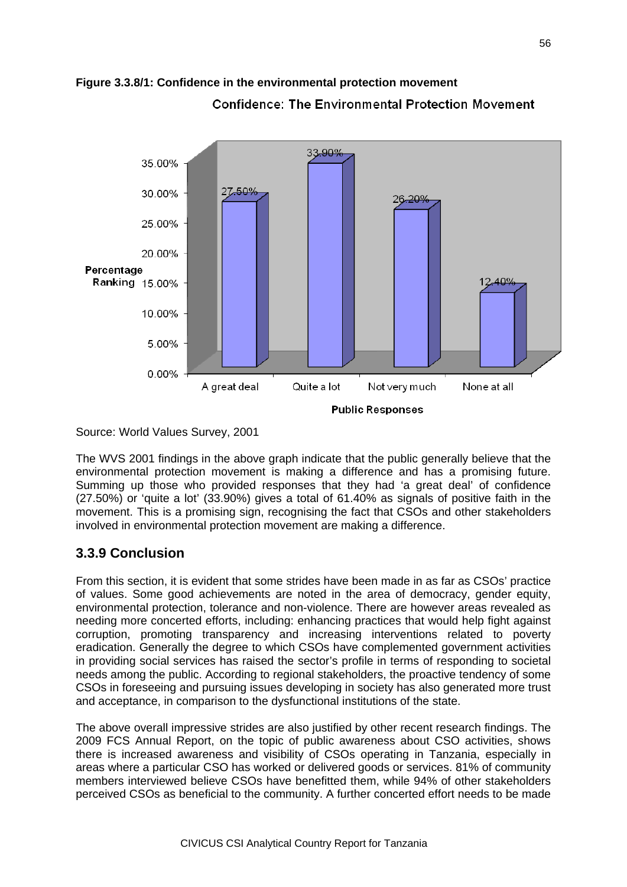

# **Figure 3.3.8/1: Confidence in the environmental protection movement Confidence: The Environmental Protection Movement**

Source: World Values Survey, 2001

The WVS 2001 findings in the above graph indicate that the public generally believe that the environmental protection movement is making a difference and has a promising future. Summing up those who provided responses that they had 'a great deal' of confidence (27.50%) or 'quite a lot' (33.90%) gives a total of 61.40% as signals of positive faith in the movement. This is a promising sign, recognising the fact that CSOs and other stakeholders involved in environmental protection movement are making a difference.

# **3.3.9 Conclusion**

From this section, it is evident that some strides have been made in as far as CSOs' practice of values. Some good achievements are noted in the area of democracy, gender equity, environmental protection, tolerance and non-violence. There are however areas revealed as needing more concerted efforts, including: enhancing practices that would help fight against corruption, promoting transparency and increasing interventions related to poverty eradication. Generally the degree to which CSOs have complemented government activities in providing social services has raised the sector's profile in terms of responding to societal needs among the public. According to regional stakeholders, the proactive tendency of some CSOs in foreseeing and pursuing issues developing in society has also generated more trust and acceptance, in comparison to the dysfunctional institutions of the state.

The above overall impressive strides are also justified by other recent research findings. The 2009 FCS Annual Report, on the topic of public awareness about CSO activities, shows there is increased awareness and visibility of CSOs operating in Tanzania, especially in areas where a particular CSO has worked or delivered goods or services. 81% of community members interviewed believe CSOs have benefitted them, while 94% of other stakeholders perceived CSOs as beneficial to the community. A further concerted effort needs to be made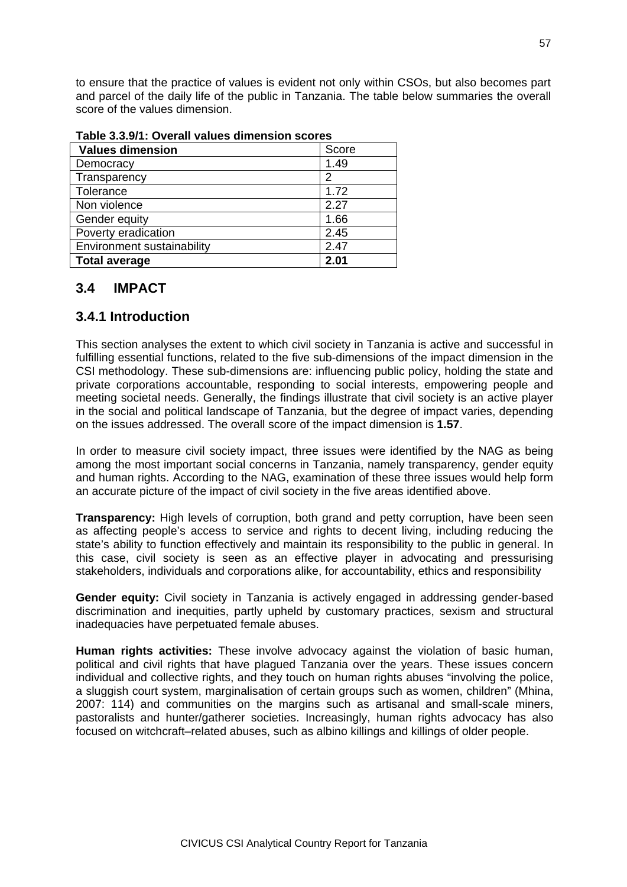to ensure that the practice of values is evident not only within CSOs, but also becomes part and parcel of the daily life of the public in Tanzania. The table below summaries the overall score of the values dimension.

| <b>Values dimension</b>    | Score |  |  |  |
|----------------------------|-------|--|--|--|
| Democracy                  | 1.49  |  |  |  |
| Transparency               | 2     |  |  |  |
| Tolerance                  | 1.72  |  |  |  |
| Non violence               | 2.27  |  |  |  |
| Gender equity              | 1.66  |  |  |  |
| Poverty eradication        | 2.45  |  |  |  |
| Environment sustainability | 2.47  |  |  |  |
| <b>Total average</b>       | 2.01  |  |  |  |

**Table 3.3.9/1: Overall values dimension scores**

### **3.4 IMPACT**

### **3.4.1 Introduction**

This section analyses the extent to which civil society in Tanzania is active and successful in fulfilling essential functions, related to the five sub-dimensions of the impact dimension in the CSI methodology. These sub-dimensions are: influencing public policy, holding the state and private corporations accountable, responding to social interests, empowering people and meeting societal needs. Generally, the findings illustrate that civil society is an active player in the social and political landscape of Tanzania, but the degree of impact varies, depending on the issues addressed. The overall score of the impact dimension is **1.57**.

In order to measure civil society impact, three issues were identified by the NAG as being among the most important social concerns in Tanzania, namely transparency, gender equity and human rights. According to the NAG, examination of these three issues would help form an accurate picture of the impact of civil society in the five areas identified above.

**Transparency:** High levels of corruption, both grand and petty corruption, have been seen as affecting people's access to service and rights to decent living, including reducing the state's ability to function effectively and maintain its responsibility to the public in general. In this case, civil society is seen as an effective player in advocating and pressurising stakeholders, individuals and corporations alike, for accountability, ethics and responsibility

**Gender equity:** Civil society in Tanzania is actively engaged in addressing gender-based discrimination and inequities, partly upheld by customary practices, sexism and structural inadequacies have perpetuated female abuses.

**Human rights activities:** These involve advocacy against the violation of basic human, political and civil rights that have plagued Tanzania over the years. These issues concern individual and collective rights, and they touch on human rights abuses "involving the police, a sluggish court system, marginalisation of certain groups such as women, children" (Mhina, 2007: 114) and communities on the margins such as artisanal and small-scale miners, pastoralists and hunter/gatherer societies. Increasingly, human rights advocacy has also focused on witchcraft–related abuses, such as albino killings and killings of older people.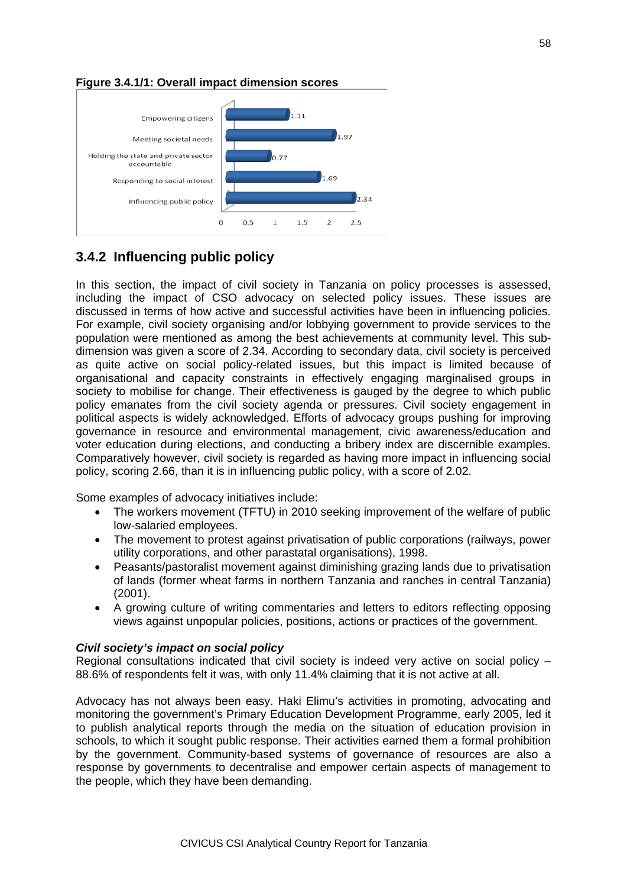

### **Figure 3.4.1/1: Overall impact dimension scores**

# **3.4.2 Influencing public policy**

In this section, the impact of civil society in Tanzania on policy processes is assessed, including the impact of CSO advocacy on selected policy issues. These issues are discussed in terms of how active and successful activities have been in influencing policies. For example, civil society organising and/or lobbying government to provide services to the population were mentioned as among the best achievements at community level. This subdimension was given a score of 2.34. According to secondary data, civil society is perceived as quite active on social policy-related issues, but this impact is limited because of organisational and capacity constraints in effectively engaging marginalised groups in society to mobilise for change. Their effectiveness is gauged by the degree to which public policy emanates from the civil society agenda or pressures. Civil society engagement in political aspects is widely acknowledged. Efforts of advocacy groups pushing for improving governance in resource and environmental management, civic awareness/education and voter education during elections, and conducting a bribery index are discernible examples. Comparatively however, civil society is regarded as having more impact in influencing social policy, scoring 2.66, than it is in influencing public policy, with a score of 2.02.

Some examples of advocacy initiatives include:

- The workers movement (TFTU) in 2010 seeking improvement of the welfare of public low-salaried employees.
- The movement to protest against privatisation of public corporations (railways, power utility corporations, and other parastatal organisations), 1998.
- Peasants/pastoralist movement against diminishing grazing lands due to privatisation of lands (former wheat farms in northern Tanzania and ranches in central Tanzania) (2001).
- A growing culture of writing commentaries and letters to editors reflecting opposing views against unpopular policies, positions, actions or practices of the government.

### *Civil society's impact on social policy*

Regional consultations indicated that civil society is indeed very active on social policy – 88.6% of respondents felt it was, with only 11.4% claiming that it is not active at all.

Advocacy has not always been easy. Haki Elimu's activities in promoting, advocating and monitoring the government's Primary Education Development Programme, early 2005, led it to publish analytical reports through the media on the situation of education provision in schools, to which it sought public response. Their activities earned them a formal prohibition by the government. Community-based systems of governance of resources are also a response by governments to decentralise and empower certain aspects of management to the people, which they have been demanding.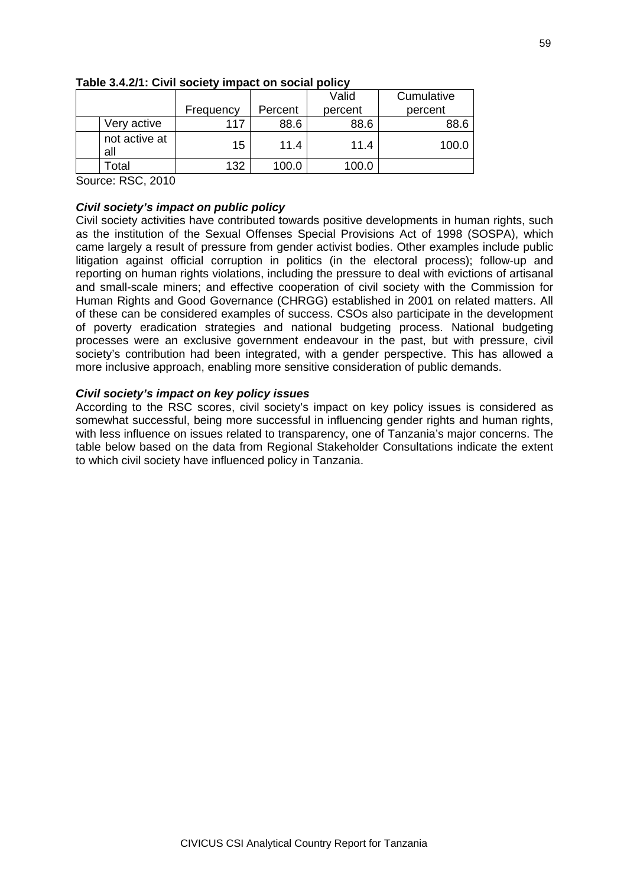|                      |           |         | Valid   | Cumulative |
|----------------------|-----------|---------|---------|------------|
|                      | Frequency | Percent | percent | percent    |
| Very active          | 117       | 88.6    | 88.6    | 88.6       |
| not active at<br>all | 15        | 11.4    | 11.4    | 100.C      |
| otal <sup>-</sup>    | 132       | 100.0   | 100.0   |            |

### **Table 3.4.2/1: Civil society impact on social policy**

Source: RSC, 2010

### *Civil society's impact on public policy*

Civil society activities have contributed towards positive developments in human rights, such as the institution of the Sexual Offenses Special Provisions Act of 1998 (SOSPA), which came largely a result of pressure from gender activist bodies. Other examples include public litigation against official corruption in politics (in the electoral process); follow-up and reporting on human rights violations, including the pressure to deal with evictions of artisanal and small-scale miners; and effective cooperation of civil society with the Commission for Human Rights and Good Governance (CHRGG) established in 2001 on related matters. All of these can be considered examples of success. CSOs also participate in the development of poverty eradication strategies and national budgeting process. National budgeting processes were an exclusive government endeavour in the past, but with pressure, civil society's contribution had been integrated, with a gender perspective. This has allowed a more inclusive approach, enabling more sensitive consideration of public demands.

### *Civil society's impact on key policy issues*

According to the RSC scores, civil society's impact on key policy issues is considered as somewhat successful, being more successful in influencing gender rights and human rights, with less influence on issues related to transparency, one of Tanzania's major concerns. The table below based on the data from Regional Stakeholder Consultations indicate the extent to which civil society have influenced policy in Tanzania.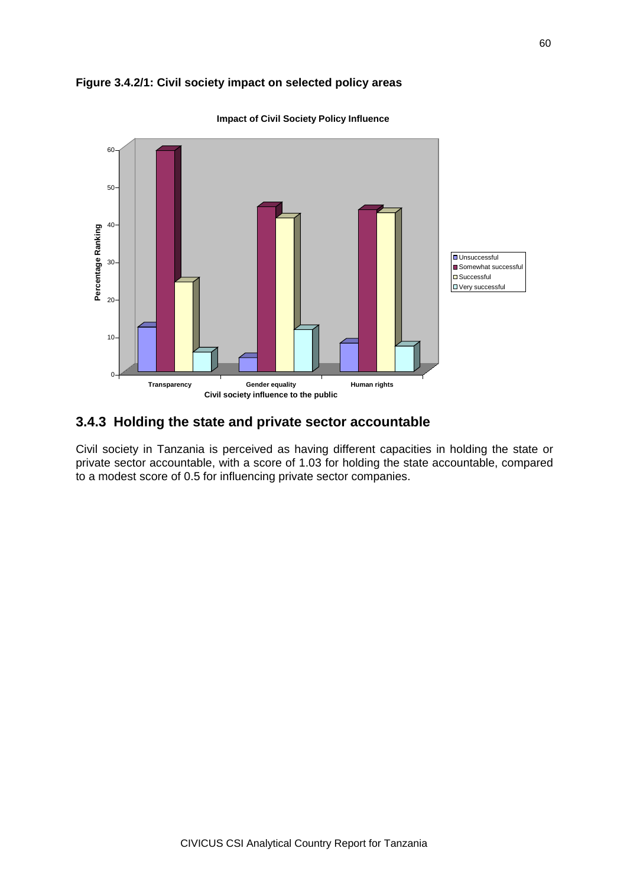### **Figure 3.4.2/1: Civil society impact on selected policy areas**



**Impact of Civil Society Policy Influence**

### **3.4.3 Holding the state and private sector accountable**

Civil society in Tanzania is perceived as having different capacities in holding the state or private sector accountable, with a score of 1.03 for holding the state accountable, compared to a modest score of 0.5 for influencing private sector companies.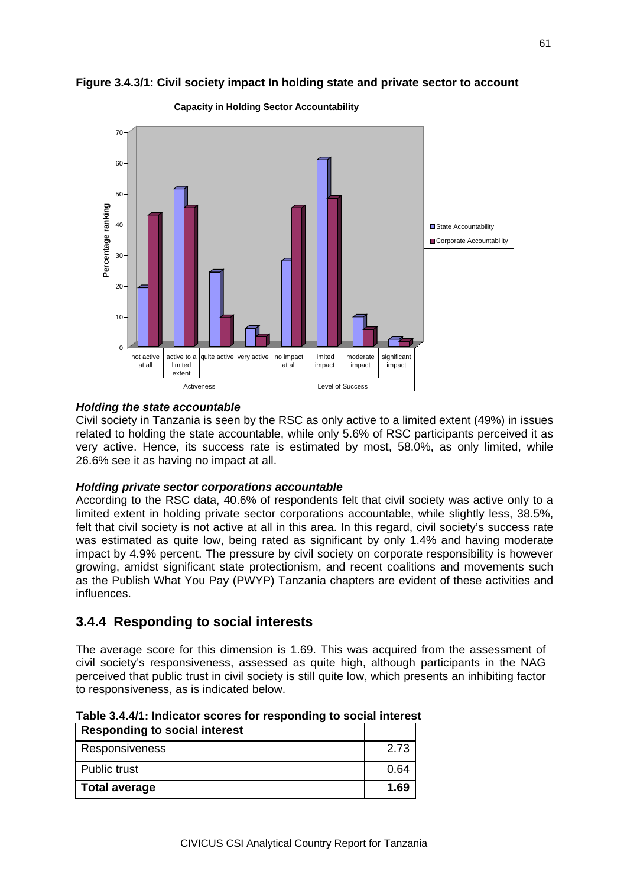

#### **Figure 3.4.3/1: Civil society impact In holding state and private sector to account**

**Capacity in Holding Sector Accountability**

#### *Holding the state accountable*

Civil society in Tanzania is seen by the RSC as only active to a limited extent (49%) in issues related to holding the state accountable, while only 5.6% of RSC participants perceived it as very active. Hence, its success rate is estimated by most, 58.0%, as only limited, while 26.6% see it as having no impact at all.

### *Holding private sector corporations accountable*

According to the RSC data, 40.6% of respondents felt that civil society was active only to a limited extent in holding private sector corporations accountable, while slightly less, 38.5%, felt that civil society is not active at all in this area. In this regard, civil society's success rate was estimated as quite low, being rated as significant by only 1.4% and having moderate impact by 4.9% percent. The pressure by civil society on corporate responsibility is however growing, amidst significant state protectionism, and recent coalitions and movements such as the Publish What You Pay (PWYP) Tanzania chapters are evident of these activities and influences.

### **3.4.4 Responding to social interests**

The average score for this dimension is 1.69. This was acquired from the assessment of civil society's responsiveness, assessed as quite high, although participants in the NAG perceived that public trust in civil society is still quite low, which presents an inhibiting factor to responsiveness, as is indicated below.

| <b>Responding to social interest</b> |      |
|--------------------------------------|------|
| <b>Responsiveness</b>                | 2.73 |
| Public trust                         | 0.64 |
| Total average                        | 1.69 |

**Table 3.4.4/1: Indicator scores for responding to social interest**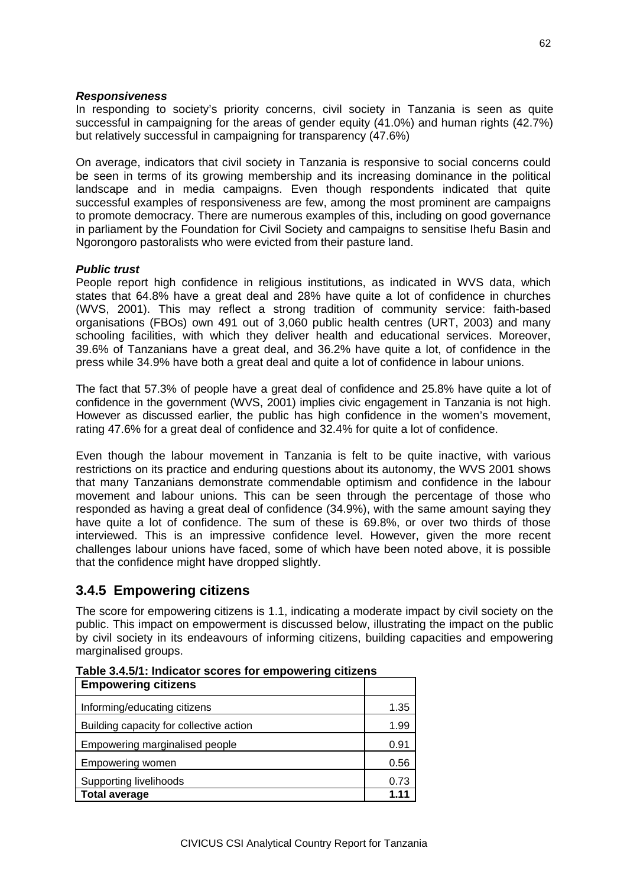### *Responsiveness*

In responding to society's priority concerns, civil society in Tanzania is seen as quite successful in campaigning for the areas of gender equity (41.0%) and human rights (42.7%) but relatively successful in campaigning for transparency (47.6%)

On average, indicators that civil society in Tanzania is responsive to social concerns could be seen in terms of its growing membership and its increasing dominance in the political landscape and in media campaigns. Even though respondents indicated that quite successful examples of responsiveness are few, among the most prominent are campaigns to promote democracy. There are numerous examples of this, including on good governance in parliament by the Foundation for Civil Society and campaigns to sensitise Ihefu Basin and Ngorongoro pastoralists who were evicted from their pasture land.

### *Public trust*

People report high confidence in religious institutions, as indicated in WVS data, which states that 64.8% have a great deal and 28% have quite a lot of confidence in churches (WVS, 2001). This may reflect a strong tradition of community service: faith-based organisations (FBOs) own 491 out of 3,060 public health centres (URT, 2003) and many schooling facilities, with which they deliver health and educational services. Moreover, 39.6% of Tanzanians have a great deal, and 36.2% have quite a lot, of confidence in the press while 34.9% have both a great deal and quite a lot of confidence in labour unions.

The fact that 57.3% of people have a great deal of confidence and 25.8% have quite a lot of confidence in the government (WVS, 2001) implies civic engagement in Tanzania is not high. However as discussed earlier, the public has high confidence in the women's movement, rating 47.6% for a great deal of confidence and 32.4% for quite a lot of confidence.

Even though the labour movement in Tanzania is felt to be quite inactive, with various restrictions on its practice and enduring questions about its autonomy, the WVS 2001 shows that many Tanzanians demonstrate commendable optimism and confidence in the labour movement and labour unions. This can be seen through the percentage of those who responded as having a great deal of confidence (34.9%), with the same amount saying they have quite a lot of confidence. The sum of these is 69.8%, or over two thirds of those interviewed. This is an impressive confidence level. However, given the more recent challenges labour unions have faced, some of which have been noted above, it is possible that the confidence might have dropped slightly.

### **3.4.5 Empowering citizens**

The score for empowering citizens is 1.1, indicating a moderate impact by civil society on the public. This impact on empowerment is discussed below, illustrating the impact on the public by civil society in its endeavours of informing citizens, building capacities and empowering marginalised groups.

| <b>Empowering citizens</b>              |       |  |
|-----------------------------------------|-------|--|
| Informing/educating citizens            |       |  |
| Building capacity for collective action | 1.99  |  |
| Empowering marginalised people          |       |  |
| Empowering women                        | 0.56  |  |
| Supporting livelihoods                  |       |  |
| <b>Total average</b>                    | 1 1 1 |  |

**Table 3.4.5/1: Indicator scores for empowering citizens**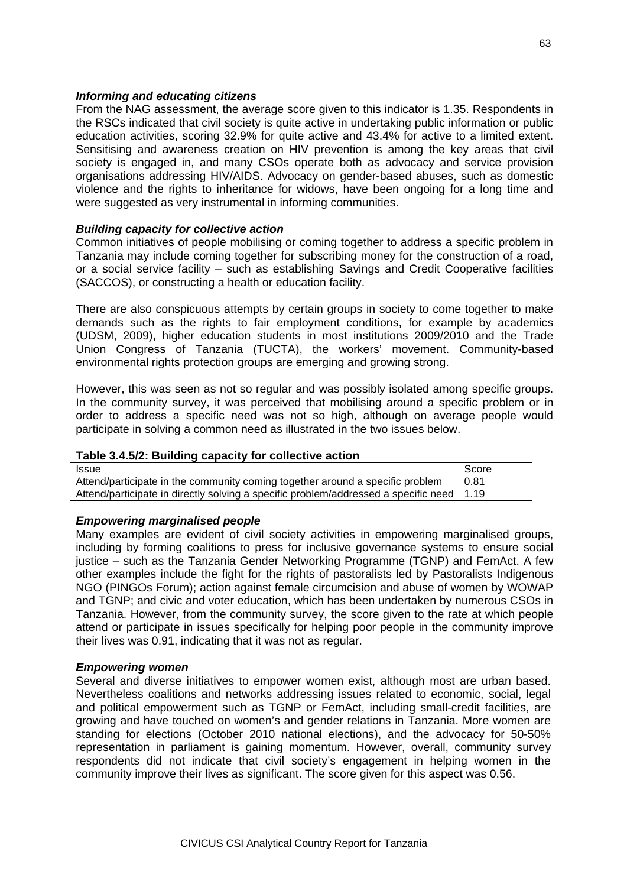### *Informing and educating citizens*

From the NAG assessment, the average score given to this indicator is 1.35. Respondents in the RSCs indicated that civil society is quite active in undertaking public information or public education activities, scoring 32.9% for quite active and 43.4% for active to a limited extent. Sensitising and awareness creation on HIV prevention is among the key areas that civil society is engaged in, and many CSOs operate both as advocacy and service provision organisations addressing HIV/AIDS. Advocacy on gender-based abuses, such as domestic violence and the rights to inheritance for widows, have been ongoing for a long time and were suggested as very instrumental in informing communities.

### *Building capacity for collective action*

Common initiatives of people mobilising or coming together to address a specific problem in Tanzania may include coming together for subscribing money for the construction of a road, or a social service facility – such as establishing Savings and Credit Cooperative facilities (SACCOS), or constructing a health or education facility.

There are also conspicuous attempts by certain groups in society to come together to make demands such as the rights to fair employment conditions, for example by academics (UDSM, 2009), higher education students in most institutions 2009/2010 and the Trade Union Congress of Tanzania (TUCTA), the workers' movement. Community-based environmental rights protection groups are emerging and growing strong.

However, this was seen as not so regular and was possibly isolated among specific groups. In the community survey, it was perceived that mobilising around a specific problem or in order to address a specific need was not so high, although on average people would participate in solving a common need as illustrated in the two issues below.

### **Table 3.4.5/2: Building capacity for collective action**

| <b>Issue</b>                                                                               | Score |
|--------------------------------------------------------------------------------------------|-------|
| Attend/participate in the community coming together around a specific problem              | 0.81  |
| Attend/participate in directly solving a specific problem/addressed a specific need   1.19 |       |

### *Empowering marginalised people*

Many examples are evident of civil society activities in empowering marginalised groups, including by forming coalitions to press for inclusive governance systems to ensure social justice – such as the Tanzania Gender Networking Programme (TGNP) and FemAct. A few other examples include the fight for the rights of pastoralists led by Pastoralists Indigenous NGO (PINGOs Forum); action against female circumcision and abuse of women by WOWAP and TGNP; and civic and voter education, which has been undertaken by numerous CSOs in Tanzania. However, from the community survey, the score given to the rate at which people attend or participate in issues specifically for helping poor people in the community improve their lives was 0.91, indicating that it was not as regular.

### *Empowering women*

Several and diverse initiatives to empower women exist, although most are urban based. Nevertheless coalitions and networks addressing issues related to economic, social, legal and political empowerment such as TGNP or FemAct, including small-credit facilities, are growing and have touched on women's and gender relations in Tanzania. More women are standing for elections (October 2010 national elections), and the advocacy for 50-50% representation in parliament is gaining momentum. However, overall, community survey respondents did not indicate that civil society's engagement in helping women in the community improve their lives as significant. The score given for this aspect was 0.56.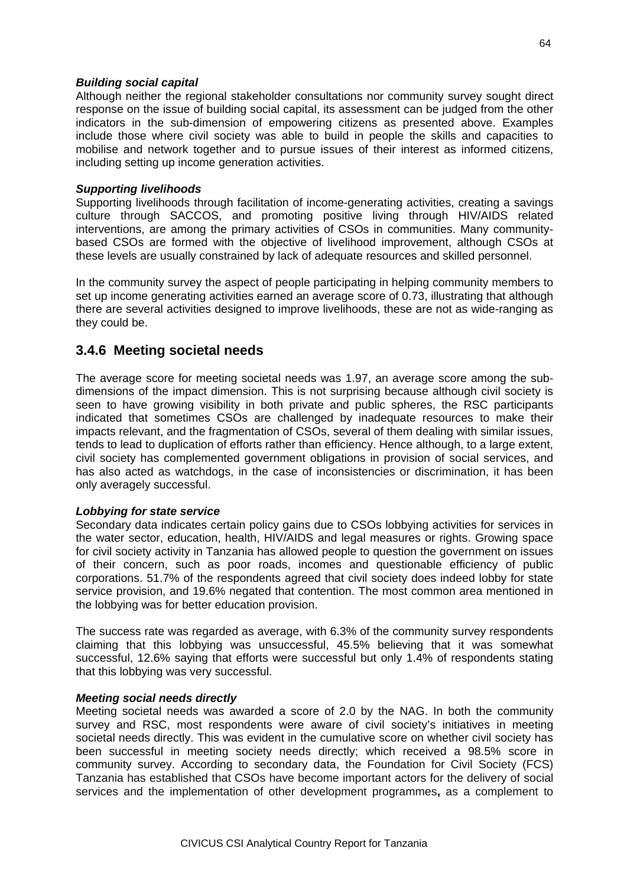#### *Building social capital*

Although neither the regional stakeholder consultations nor community survey sought direct response on the issue of building social capital, its assessment can be judged from the other indicators in the sub-dimension of empowering citizens as presented above. Examples include those where civil society was able to build in people the skills and capacities to mobilise and network together and to pursue issues of their interest as informed citizens, including setting up income generation activities.

#### *Supporting livelihoods*

Supporting livelihoods through facilitation of income-generating activities, creating a savings culture through SACCOS, and promoting positive living through HIV/AIDS related interventions, are among the primary activities of CSOs in communities. Many communitybased CSOs are formed with the objective of livelihood improvement, although CSOs at these levels are usually constrained by lack of adequate resources and skilled personnel.

In the community survey the aspect of people participating in helping community members to set up income generating activities earned an average score of 0.73, illustrating that although there are several activities designed to improve livelihoods, these are not as wide-ranging as they could be.

### **3.4.6 Meeting societal needs**

The average score for meeting societal needs was 1.97, an average score among the subdimensions of the impact dimension. This is not surprising because although civil society is seen to have growing visibility in both private and public spheres, the RSC participants indicated that sometimes CSOs are challenged by inadequate resources to make their impacts relevant, and the fragmentation of CSOs, several of them dealing with similar issues, tends to lead to duplication of efforts rather than efficiency. Hence although, to a large extent, civil society has complemented government obligations in provision of social services, and has also acted as watchdogs, in the case of inconsistencies or discrimination, it has been only averagely successful.

### *Lobbying for state service*

Secondary data indicates certain policy gains due to CSOs lobbying activities for services in the water sector, education, health, HIV/AIDS and legal measures or rights. Growing space for civil society activity in Tanzania has allowed people to question the government on issues of their concern, such as poor roads, incomes and questionable efficiency of public corporations. 51.7% of the respondents agreed that civil society does indeed lobby for state service provision, and 19.6% negated that contention. The most common area mentioned in the lobbying was for better education provision.

The success rate was regarded as average, with 6.3% of the community survey respondents claiming that this lobbying was unsuccessful, 45.5% believing that it was somewhat successful, 12.6% saying that efforts were successful but only 1.4% of respondents stating that this lobbying was very successful.

### *Meeting social needs directly*

Meeting societal needs was awarded a score of 2.0 by the NAG. In both the community survey and RSC, most respondents were aware of civil society's initiatives in meeting societal needs directly. This was evident in the cumulative score on whether civil society has been successful in meeting society needs directly; which received a 98.5% score in community survey. According to secondary data, the Foundation for Civil Society (FCS) Tanzania has established that CSOs have become important actors for the delivery of social services and the implementation of other development programmes**,** as a complement to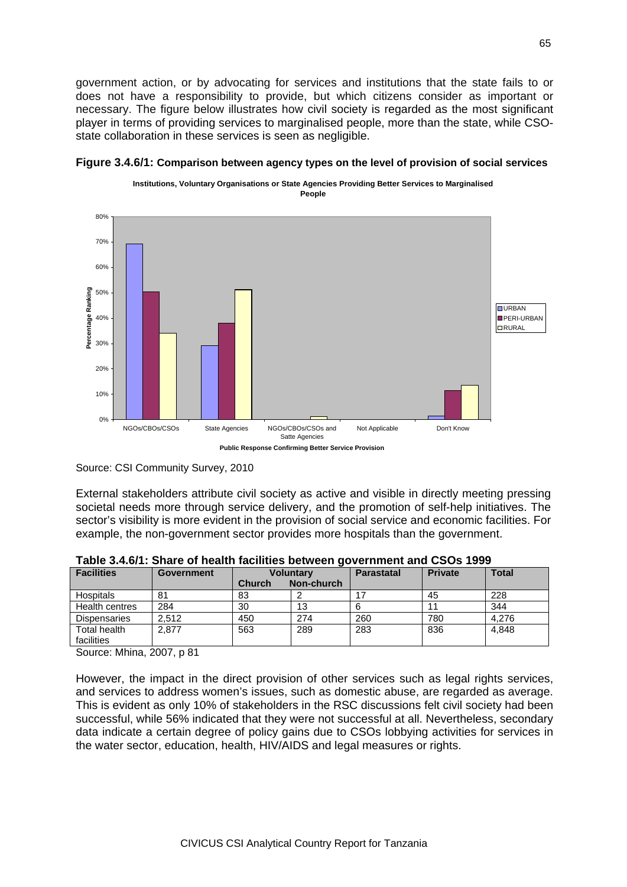government action, or by advocating for services and institutions that the state fails to or does not have a responsibility to provide, but which citizens consider as important or necessary. The figure below illustrates how civil society is regarded as the most significant player in terms of providing services to marginalised people, more than the state, while CSOstate collaboration in these services is seen as negligible.





Source: CSI Community Survey, 2010

External stakeholders attribute civil society as active and visible in directly meeting pressing societal needs more through service delivery, and the promotion of self-help initiatives. The sector's visibility is more evident in the provision of social service and economic facilities. For example, the non-government sector provides more hospitals than the government.

| <b>Facilities</b>          | <b>Government</b> | <b>Voluntary</b> |            | <b>Parastatal</b> | <b>Private</b> | <b>Total</b> |
|----------------------------|-------------------|------------------|------------|-------------------|----------------|--------------|
|                            |                   | <b>Church</b>    | Non-church |                   |                |              |
| Hospitals                  | 81                | 83               |            |                   | 45             | 228          |
| Health centres             | 284               | 30               | 13         |                   |                | 344          |
| <b>Dispensaries</b>        | 2.512             | 450              | 274        | 260               | 780            | 4.276        |
| Total health<br>facilities | 2.877             | 563              | 289        | 283               | 836            | 4.848        |

**Table 3.4.6/1: Share of health facilities between government and CSOs 1999**

Source: Mhina, 2007, p 81

However, the impact in the direct provision of other services such as legal rights services, and services to address women's issues, such as domestic abuse, are regarded as average. This is evident as only 10% of stakeholders in the RSC discussions felt civil society had been successful, while 56% indicated that they were not successful at all. Nevertheless, secondary data indicate a certain degree of policy gains due to CSOs lobbying activities for services in the water sector, education, health, HIV/AIDS and legal measures or rights.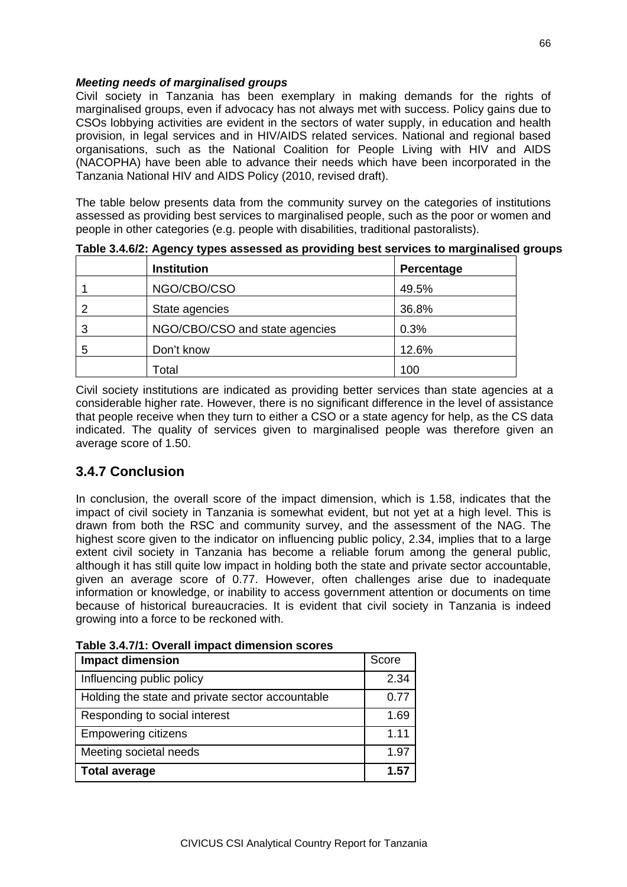### *Meeting needs of marginalised groups*

Civil society in Tanzania has been exemplary in making demands for the rights of marginalised groups, even if advocacy has not always met with success. Policy gains due to CSOs lobbying activities are evident in the sectors of water supply, in education and health provision, in legal services and in HIV/AIDS related services. National and regional based organisations, such as the National Coalition for People Living with HIV and AIDS (NACOPHA) have been able to advance their needs which have been incorporated in the Tanzania National HIV and AIDS Policy (2010, revised draft).

The table below presents data from the community survey on the categories of institutions assessed as providing best services to marginalised people, such as the poor or women and people in other categories (e.g. people with disabilities, traditional pastoralists).

| -9------<br>- - - -<br>-- -- -- - |                                |            |  |  |  |
|-----------------------------------|--------------------------------|------------|--|--|--|
|                                   | <b>Institution</b>             | Percentage |  |  |  |
|                                   | NGO/CBO/CSO                    | 49.5%      |  |  |  |
|                                   | State agencies                 | 36.8%      |  |  |  |
| 3                                 | NGO/CBO/CSO and state agencies | 0.3%       |  |  |  |
| 5                                 | Don't know                     | 12.6%      |  |  |  |
|                                   | Гоtal                          | 100        |  |  |  |

**Table 3.4.6/2: Agency types assessed as providing best services to marginalised groups**

Civil society institutions are indicated as providing better services than state agencies at a considerable higher rate. However, there is no significant difference in the level of assistance that people receive when they turn to either a CSO or a state agency for help, as the CS data indicated. The quality of services given to marginalised people was therefore given an average score of 1.50.

# **3.4.7 Conclusion**

In conclusion, the overall score of the impact dimension, which is 1.58, indicates that the impact of civil society in Tanzania is somewhat evident, but not yet at a high level. This is drawn from both the RSC and community survey, and the assessment of the NAG. The highest score given to the indicator on influencing public policy, 2.34, implies that to a large extent civil society in Tanzania has become a reliable forum among the general public, although it has still quite low impact in holding both the state and private sector accountable, given an average score of 0.77. However, often challenges arise due to inadequate information or knowledge, or inability to access government attention or documents on time because of historical bureaucracies. It is evident that civil society in Tanzania is indeed growing into a force to be reckoned with.

| Table 3.4.7/1: Overall impact dimension scores |  |
|------------------------------------------------|--|
|------------------------------------------------|--|

| <b>Impact dimension</b>                          |      |  |
|--------------------------------------------------|------|--|
| Influencing public policy                        | 2.34 |  |
| Holding the state and private sector accountable | 0.77 |  |
| Responding to social interest                    | 1.69 |  |
| <b>Empowering citizens</b>                       | 1.11 |  |
| Meeting societal needs                           |      |  |
| <b>Total average</b>                             | 1.57 |  |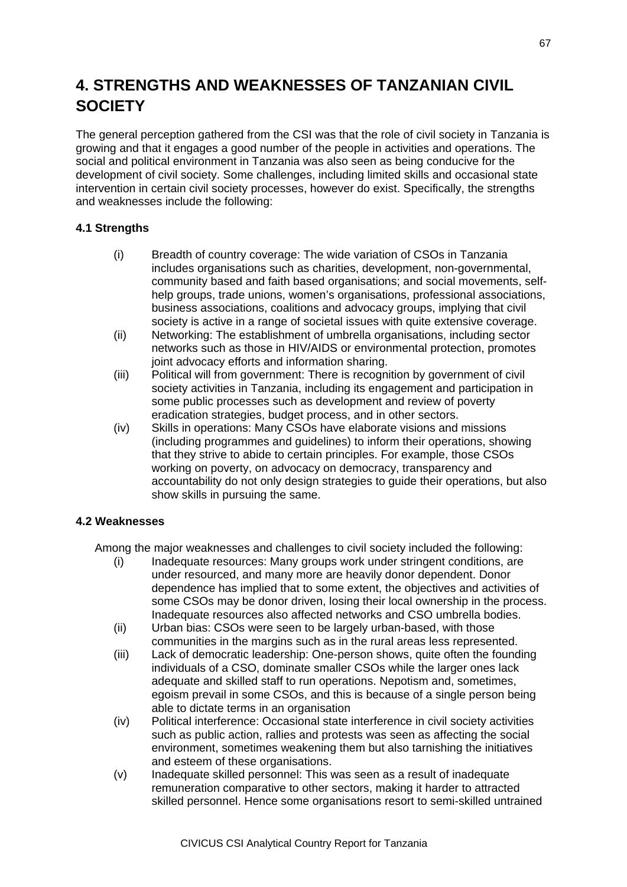# **4. STRENGTHS AND WEAKNESSES OF TANZANIAN CIVIL SOCIETY**

The general perception gathered from the CSI was that the role of civil society in Tanzania is growing and that it engages a good number of the people in activities and operations. The social and political environment in Tanzania was also seen as being conducive for the development of civil society. Some challenges, including limited skills and occasional state intervention in certain civil society processes, however do exist. Specifically, the strengths and weaknesses include the following:

### **4.1 Strengths**

- (i) Breadth of country coverage: The wide variation of CSOs in Tanzania includes organisations such as charities, development, non-governmental, community based and faith based organisations; and social movements, selfhelp groups, trade unions, women's organisations, professional associations, business associations, coalitions and advocacy groups, implying that civil society is active in a range of societal issues with quite extensive coverage.
- (ii) Networking: The establishment of umbrella organisations, including sector networks such as those in HIV/AIDS or environmental protection, promotes joint advocacy efforts and information sharing.
- (iii) Political will from government: There is recognition by government of civil society activities in Tanzania, including its engagement and participation in some public processes such as development and review of poverty eradication strategies, budget process, and in other sectors.
- (iv) Skills in operations: Many CSOs have elaborate visions and missions (including programmes and guidelines) to inform their operations, showing that they strive to abide to certain principles. For example, those CSOs working on poverty, on advocacy on democracy, transparency and accountability do not only design strategies to guide their operations, but also show skills in pursuing the same.

### **4.2 Weaknesses**

Among the major weaknesses and challenges to civil society included the following:

- (i) Inadequate resources: Many groups work under stringent conditions, are under resourced, and many more are heavily donor dependent. Donor dependence has implied that to some extent, the objectives and activities of some CSOs may be donor driven, losing their local ownership in the process. Inadequate resources also affected networks and CSO umbrella bodies.
- (ii) Urban bias: CSOs were seen to be largely urban-based, with those communities in the margins such as in the rural areas less represented.
- (iii) Lack of democratic leadership: One-person shows, quite often the founding individuals of a CSO, dominate smaller CSOs while the larger ones lack adequate and skilled staff to run operations. Nepotism and, sometimes, egoism prevail in some CSOs, and this is because of a single person being able to dictate terms in an organisation
- (iv) Political interference: Occasional state interference in civil society activities such as public action, rallies and protests was seen as affecting the social environment, sometimes weakening them but also tarnishing the initiatives and esteem of these organisations.
- (v) Inadequate skilled personnel: This was seen as a result of inadequate remuneration comparative to other sectors, making it harder to attracted skilled personnel. Hence some organisations resort to semi-skilled untrained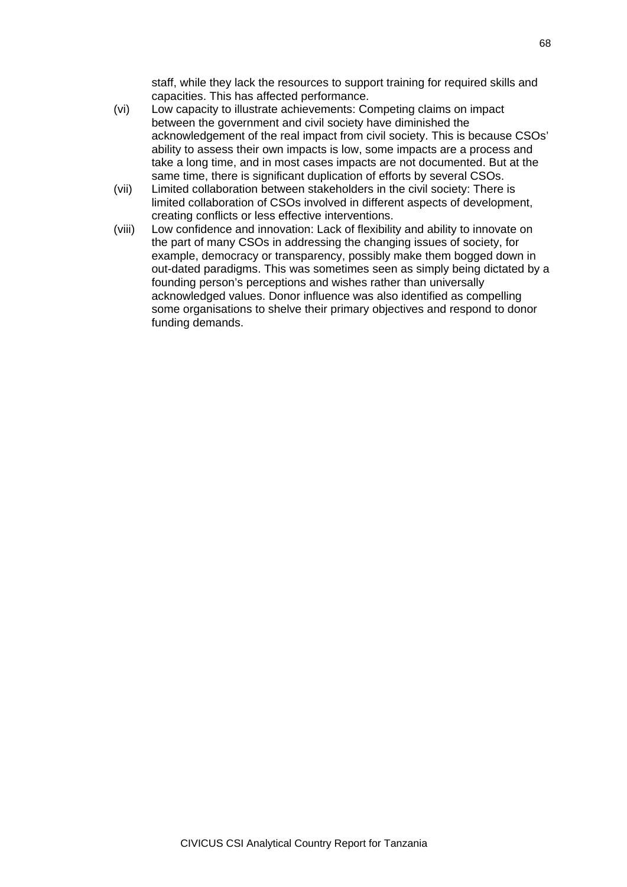staff, while they lack the resources to support training for required skills and capacities. This has affected performance.

- (vi) Low capacity to illustrate achievements: Competing claims on impact between the government and civil society have diminished the acknowledgement of the real impact from civil society. This is because CSOs' ability to assess their own impacts is low, some impacts are a process and take a long time, and in most cases impacts are not documented. But at the same time, there is significant duplication of efforts by several CSOs.
- (vii) Limited collaboration between stakeholders in the civil society: There is limited collaboration of CSOs involved in different aspects of development, creating conflicts or less effective interventions.
- (viii) Low confidence and innovation: Lack of flexibility and ability to innovate on the part of many CSOs in addressing the changing issues of society, for example, democracy or transparency, possibly make them bogged down in out-dated paradigms. This was sometimes seen as simply being dictated by a founding person's perceptions and wishes rather than universally acknowledged values. Donor influence was also identified as compelling some organisations to shelve their primary objectives and respond to donor funding demands.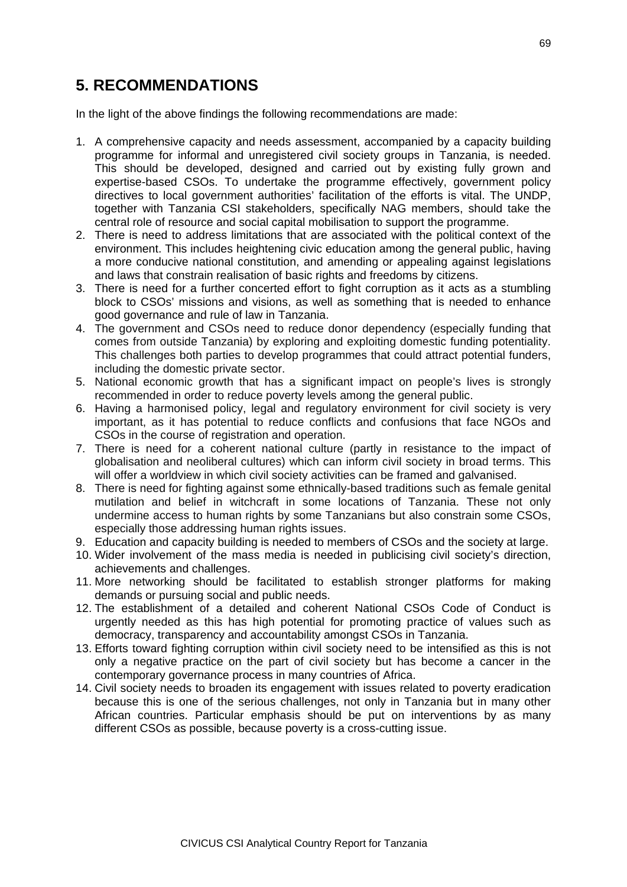# **5. RECOMMENDATIONS**

In the light of the above findings the following recommendations are made:

- 1. A comprehensive capacity and needs assessment, accompanied by a capacity building programme for informal and unregistered civil society groups in Tanzania, is needed. This should be developed, designed and carried out by existing fully grown and expertise-based CSOs. To undertake the programme effectively, government policy directives to local government authorities' facilitation of the efforts is vital. The UNDP, together with Tanzania CSI stakeholders, specifically NAG members, should take the central role of resource and social capital mobilisation to support the programme.
- 2. There is need to address limitations that are associated with the political context of the environment. This includes heightening civic education among the general public, having a more conducive national constitution, and amending or appealing against legislations and laws that constrain realisation of basic rights and freedoms by citizens.
- 3. There is need for a further concerted effort to fight corruption as it acts as a stumbling block to CSOs' missions and visions, as well as something that is needed to enhance good governance and rule of law in Tanzania.
- 4. The government and CSOs need to reduce donor dependency (especially funding that comes from outside Tanzania) by exploring and exploiting domestic funding potentiality. This challenges both parties to develop programmes that could attract potential funders, including the domestic private sector.
- 5. National economic growth that has a significant impact on people's lives is strongly recommended in order to reduce poverty levels among the general public.
- 6. Having a harmonised policy, legal and regulatory environment for civil society is very important, as it has potential to reduce conflicts and confusions that face NGOs and CSOs in the course of registration and operation.
- 7. There is need for a coherent national culture (partly in resistance to the impact of globalisation and neoliberal cultures) which can inform civil society in broad terms. This will offer a worldview in which civil society activities can be framed and galvanised.
- 8. There is need for fighting against some ethnically-based traditions such as female genital mutilation and belief in witchcraft in some locations of Tanzania. These not only undermine access to human rights by some Tanzanians but also constrain some CSOs, especially those addressing human rights issues.
- 9. Education and capacity building is needed to members of CSOs and the society at large.
- 10. Wider involvement of the mass media is needed in publicising civil society's direction, achievements and challenges.
- 11. More networking should be facilitated to establish stronger platforms for making demands or pursuing social and public needs.
- 12. The establishment of a detailed and coherent National CSOs Code of Conduct is urgently needed as this has high potential for promoting practice of values such as democracy, transparency and accountability amongst CSOs in Tanzania.
- 13. Efforts toward fighting corruption within civil society need to be intensified as this is not only a negative practice on the part of civil society but has become a cancer in the contemporary governance process in many countries of Africa.
- 14. Civil society needs to broaden its engagement with issues related to poverty eradication because this is one of the serious challenges, not only in Tanzania but in many other African countries. Particular emphasis should be put on interventions by as many different CSOs as possible, because poverty is a cross-cutting issue.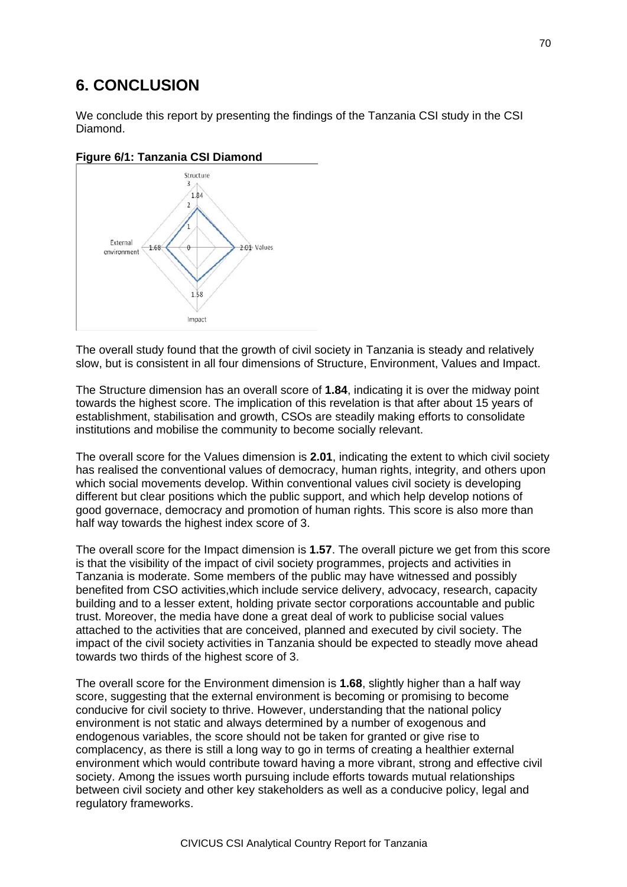# **6. CONCLUSION**

We conclude this report by presenting the findings of the Tanzania CSI study in the CSI Diamond.



**Figure 6/1: Tanzania CSI Diamond**

The overall study found that the growth of civil society in Tanzania is steady and relatively slow, but is consistent in all four dimensions of Structure, Environment, Values and Impact.

The Structure dimension has an overall score of **1.84**, indicating it is over the midway point towards the highest score. The implication of this revelation is that after about 15 years of establishment, stabilisation and growth, CSOs are steadily making efforts to consolidate institutions and mobilise the community to become socially relevant.

The overall score for the Values dimension is **2.01**, indicating the extent to which civil society has realised the conventional values of democracy, human rights, integrity, and others upon which social movements develop. Within conventional values civil society is developing different but clear positions which the public support, and which help develop notions of good governace, democracy and promotion of human rights. This score is also more than half way towards the highest index score of 3.

The overall score for the Impact dimension is **1.57**. The overall picture we get from this score is that the visibility of the impact of civil society programmes, projects and activities in Tanzania is moderate. Some members of the public may have witnessed and possibly benefited from CSO activities,which include service delivery, advocacy, research, capacity building and to a lesser extent, holding private sector corporations accountable and public trust. Moreover, the media have done a great deal of work to publicise social values attached to the activities that are conceived, planned and executed by civil society. The impact of the civil society activities in Tanzania should be expected to steadly move ahead towards two thirds of the highest score of 3.

The overall score for the Environment dimension is **1.68**, slightly higher than a half way score, suggesting that the external environment is becoming or promising to become conducive for civil society to thrive. However, understanding that the national policy environment is not static and always determined by a number of exogenous and endogenous variables, the score should not be taken for granted or give rise to complacency, as there is still a long way to go in terms of creating a healthier external environment which would contribute toward having a more vibrant, strong and effective civil society. Among the issues worth pursuing include efforts towards mutual relationships between civil society and other key stakeholders as well as a conducive policy, legal and regulatory frameworks.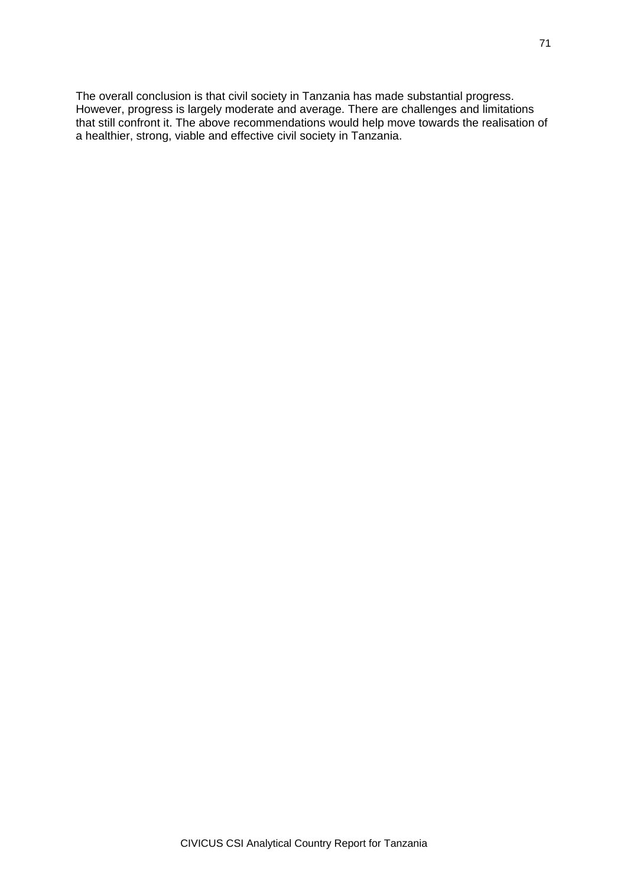The overall conclusion is that civil society in Tanzania has made substantial progress. However, progress is largely moderate and average. There are challenges and limitations that still confront it. The above recommendations would help move towards the realisation of a healthier, strong, viable and effective civil society in Tanzania.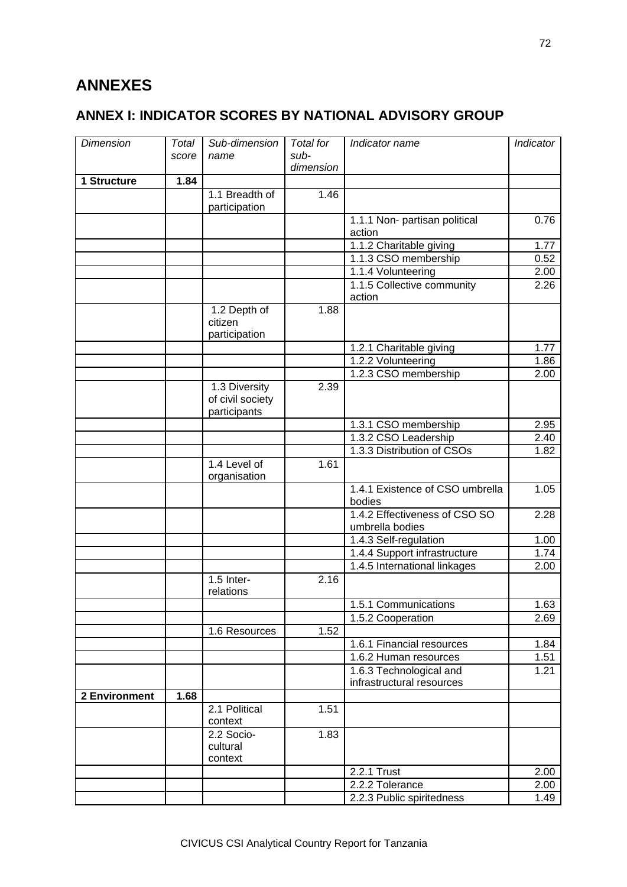# **ANNEXES**

# **ANNEX I: INDICATOR SCORES BY NATIONAL ADVISORY GROUP**

| <b>Dimension</b> | Total | Sub-dimension                                     | Total for | Indicator name                                   | Indicator    |
|------------------|-------|---------------------------------------------------|-----------|--------------------------------------------------|--------------|
|                  | score | name                                              | sub-      |                                                  |              |
|                  |       |                                                   | dimension |                                                  |              |
| 1 Structure      | 1.84  | 1.1 Breadth of                                    | 1.46      |                                                  |              |
|                  |       | participation                                     |           |                                                  |              |
|                  |       |                                                   |           | 1.1.1 Non- partisan political                    | 0.76         |
|                  |       |                                                   |           | action                                           |              |
|                  |       |                                                   |           | 1.1.2 Charitable giving<br>1.1.3 CSO membership  | 1.77<br>0.52 |
|                  |       |                                                   |           | 1.1.4 Volunteering                               |              |
|                  |       |                                                   |           | 1.1.5 Collective community                       | 2.00<br>2.26 |
|                  |       |                                                   |           | action                                           |              |
|                  |       | 1.2 Depth of<br>citizen<br>participation          | 1.88      |                                                  |              |
|                  |       |                                                   |           | 1.2.1 Charitable giving                          | 1.77         |
|                  |       |                                                   |           | 1.2.2 Volunteering                               | 1.86         |
|                  |       |                                                   |           | 1.2.3 CSO membership                             | 2.00         |
|                  |       | 1.3 Diversity<br>of civil society<br>participants | 2.39      |                                                  |              |
|                  |       |                                                   |           | 1.3.1 CSO membership                             | 2.95         |
|                  |       |                                                   |           | 1.3.2 CSO Leadership                             | 2.40         |
|                  |       |                                                   |           | 1.3.3 Distribution of CSOs                       | 1.82         |
|                  |       | 1.4 Level of<br>organisation                      | 1.61      |                                                  |              |
|                  |       |                                                   |           | 1.4.1 Existence of CSO umbrella<br>bodies        | 1.05         |
|                  |       |                                                   |           | 1.4.2 Effectiveness of CSO SO<br>umbrella bodies | 2.28         |
|                  |       |                                                   |           | 1.4.3 Self-regulation                            | 1.00         |
|                  |       |                                                   |           | 1.4.4 Support infrastructure                     | 1.74         |
|                  |       |                                                   |           | 1.4.5 International linkages                     | 2.00         |
|                  |       | 1.5 Inter-<br>relations                           | 2.16      |                                                  |              |
|                  |       |                                                   |           | 1.5.1 Communications                             | 1.63         |
|                  |       |                                                   |           | 1.5.2 Cooperation                                | 2.69         |
|                  |       | 1.6 Resources                                     | 1.52      |                                                  |              |
|                  |       |                                                   |           | 1.6.1 Financial resources                        | 1.84         |
|                  |       |                                                   |           | 1.6.2 Human resources                            | 1.51         |
|                  |       |                                                   |           | 1.6.3 Technological and                          | 1.21         |
|                  |       |                                                   |           | infrastructural resources                        |              |
| 2 Environment    | 1.68  |                                                   |           |                                                  |              |
|                  |       | 2.1 Political<br>context                          | 1.51      |                                                  |              |
|                  |       | 2.2 Socio-<br>cultural<br>context                 | 1.83      |                                                  |              |
|                  |       |                                                   |           | 2.2.1 Trust                                      | 2.00         |
|                  |       |                                                   |           | 2.2.2 Tolerance                                  | 2.00         |
|                  |       |                                                   |           | 2.2.3 Public spiritedness                        | 1.49         |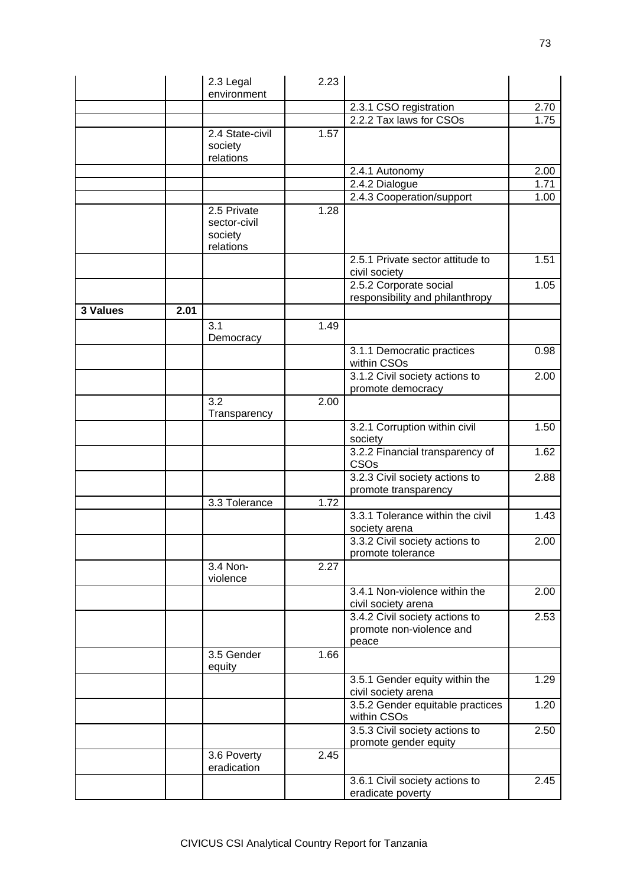|          |      | 2.3 Legal<br>environment                            | 2.23 |                                                                     |                   |
|----------|------|-----------------------------------------------------|------|---------------------------------------------------------------------|-------------------|
|          |      |                                                     |      | 2.3.1 CSO registration                                              | 2.70              |
|          |      |                                                     |      | 2.2.2 Tax laws for CSOs                                             | 1.75              |
|          |      | 2.4 State-civil<br>society<br>relations             | 1.57 |                                                                     |                   |
|          |      |                                                     |      | 2.4.1 Autonomy                                                      | 2.00              |
|          |      |                                                     |      | 2.4.2 Dialogue                                                      | 1.71              |
|          |      |                                                     |      | 2.4.3 Cooperation/support                                           | 1.00              |
|          |      | 2.5 Private<br>sector-civil<br>society<br>relations | 1.28 |                                                                     |                   |
|          |      |                                                     |      | 2.5.1 Private sector attitude to<br>civil society                   | 1.51              |
|          |      |                                                     |      | 2.5.2 Corporate social<br>responsibility and philanthropy           | 1.05              |
| 3 Values | 2.01 |                                                     |      |                                                                     |                   |
|          |      | $\overline{3.1}$<br>Democracy                       | 1.49 |                                                                     |                   |
|          |      |                                                     |      | 3.1.1 Democratic practices<br>within CSOs                           | 0.98              |
|          |      |                                                     |      | 3.1.2 Civil society actions to<br>promote democracy                 | $\overline{2.00}$ |
|          |      | $\overline{3.2}$<br>Transparency                    | 2.00 |                                                                     |                   |
|          |      |                                                     |      | 3.2.1 Corruption within civil<br>society                            | 1.50              |
|          |      |                                                     |      | 3.2.2 Financial transparency of<br>CSOs                             | 1.62              |
|          |      |                                                     |      | 3.2.3 Civil society actions to<br>promote transparency              | 2.88              |
|          |      | 3.3 Tolerance                                       | 1.72 |                                                                     |                   |
|          |      |                                                     |      | 3.3.1 Tolerance within the civil<br>society arena                   | 1.43              |
|          |      |                                                     |      | 3.3.2 Civil society actions to<br>promote tolerance                 | 2.00              |
|          |      | 3.4 Non-<br>violence                                | 2.27 |                                                                     |                   |
|          |      |                                                     |      | 3.4.1 Non-violence within the<br>civil society arena                | 2.00              |
|          |      |                                                     |      | 3.4.2 Civil society actions to<br>promote non-violence and<br>peace | 2.53              |
|          |      | 3.5 Gender<br>equity                                | 1.66 |                                                                     |                   |
|          |      |                                                     |      | 3.5.1 Gender equity within the<br>civil society arena               | 1.29              |
|          |      |                                                     |      | 3.5.2 Gender equitable practices<br>within CSOs                     | 1.20              |
|          |      |                                                     |      | 3.5.3 Civil society actions to<br>promote gender equity             | 2.50              |
|          |      | 3.6 Poverty<br>eradication                          | 2.45 |                                                                     |                   |
|          |      |                                                     |      | 3.6.1 Civil society actions to<br>eradicate poverty                 | 2.45              |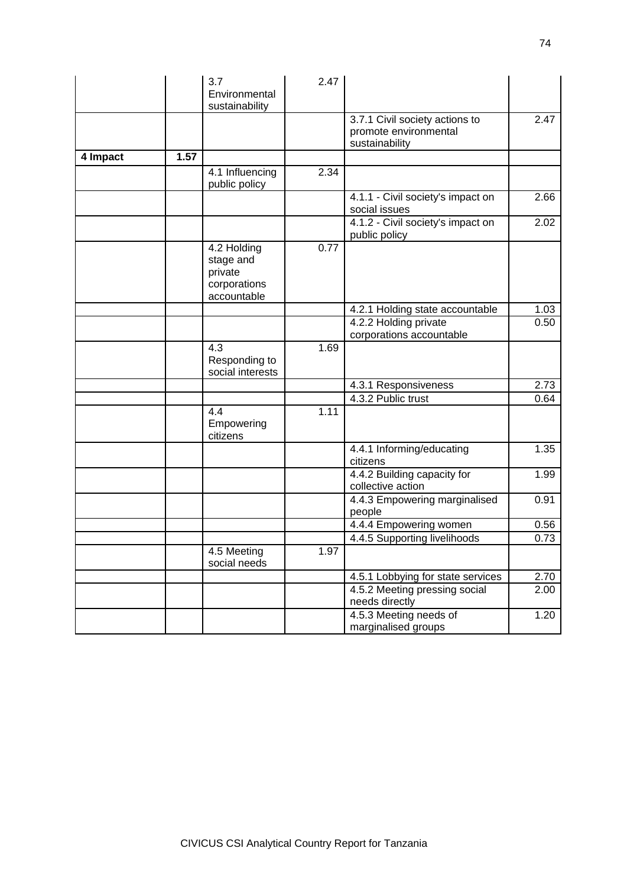|          |      | 3.7<br>Environmental                                               | 2.47 |                                                                           |      |
|----------|------|--------------------------------------------------------------------|------|---------------------------------------------------------------------------|------|
|          |      | sustainability                                                     |      |                                                                           |      |
|          |      |                                                                    |      | 3.7.1 Civil society actions to<br>promote environmental<br>sustainability | 2.47 |
| 4 Impact | 1.57 |                                                                    |      |                                                                           |      |
|          |      | 4.1 Influencing<br>public policy                                   | 2.34 |                                                                           |      |
|          |      |                                                                    |      | 4.1.1 - Civil society's impact on<br>social issues                        | 2.66 |
|          |      |                                                                    |      | 4.1.2 - Civil society's impact on<br>public policy                        | 2.02 |
|          |      | 4.2 Holding<br>stage and<br>private<br>corporations<br>accountable | 0.77 |                                                                           |      |
|          |      |                                                                    |      | 4.2.1 Holding state accountable                                           | 1.03 |
|          |      |                                                                    |      | 4.2.2 Holding private<br>corporations accountable                         | 0.50 |
|          |      | 4.3<br>Responding to<br>social interests                           | 1.69 |                                                                           |      |
|          |      |                                                                    |      | 4.3.1 Responsiveness                                                      | 2.73 |
|          |      |                                                                    |      | 4.3.2 Public trust                                                        | 0.64 |
|          |      | 4.4<br>Empowering<br>citizens                                      | 1.11 |                                                                           |      |
|          |      |                                                                    |      | 4.4.1 Informing/educating<br>citizens                                     | 1.35 |
|          |      |                                                                    |      | 4.4.2 Building capacity for<br>collective action                          | 1.99 |
|          |      |                                                                    |      | 4.4.3 Empowering marginalised<br>people                                   | 0.91 |
|          |      |                                                                    |      | 4.4.4 Empowering women                                                    | 0.56 |
|          |      |                                                                    |      | 4.4.5 Supporting livelihoods                                              | 0.73 |
|          |      | 4.5 Meeting<br>social needs                                        | 1.97 |                                                                           |      |
|          |      |                                                                    |      | 4.5.1 Lobbying for state services                                         | 2.70 |
|          |      |                                                                    |      | 4.5.2 Meeting pressing social<br>needs directly                           | 2.00 |
|          |      |                                                                    |      | 4.5.3 Meeting needs of<br>marginalised groups                             | 1.20 |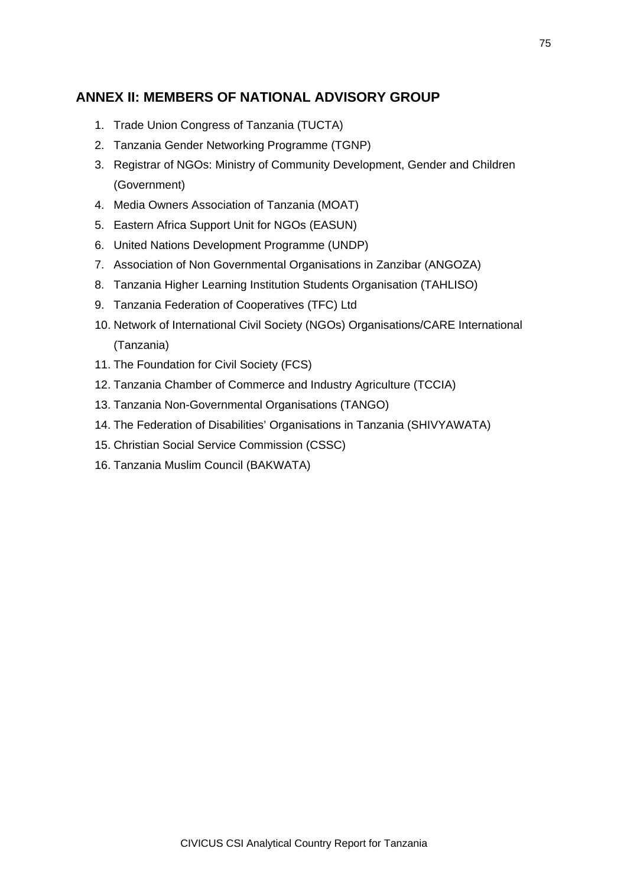## **ANNEX II: MEMBERS OF NATIONAL ADVISORY GROUP**

- 1. Trade Union Congress of Tanzania (TUCTA)
- 2. Tanzania Gender Networking Programme (TGNP)
- 3. Registrar of NGOs: Ministry of Community Development, Gender and Children (Government)
- 4. Media Owners Association of Tanzania (MOAT)
- 5. Eastern Africa Support Unit for NGOs (EASUN)
- 6. United Nations Development Programme (UNDP)
- 7. Association of Non Governmental Organisations in Zanzibar (ANGOZA)
- 8. Tanzania Higher Learning Institution Students Organisation (TAHLISO)
- 9. Tanzania Federation of Cooperatives (TFC) Ltd
- 10. Network of International Civil Society (NGOs) Organisations/CARE International (Tanzania)
- 11. The Foundation for Civil Society (FCS)
- 12. Tanzania Chamber of Commerce and Industry Agriculture (TCCIA)
- 13. Tanzania Non-Governmental Organisations (TANGO)
- 14. The Federation of Disabilities' Organisations in Tanzania (SHIVYAWATA)
- 15. Christian Social Service Commission (CSSC)
- 16. Tanzania Muslim Council (BAKWATA)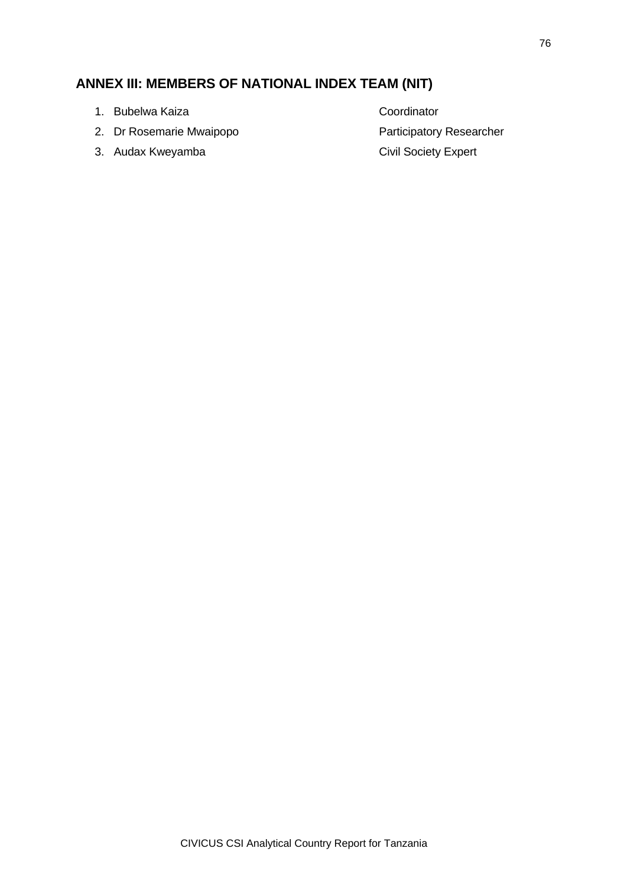## **ANNEX III: MEMBERS OF NATIONAL INDEX TEAM (NIT)**

- 1. Bubelwa Kaiza Coordinator
- 2. Dr Rosemarie Mwaipopo **Participatory Researcher**
- 3. Audax Kweyamba **Civil Society Expert**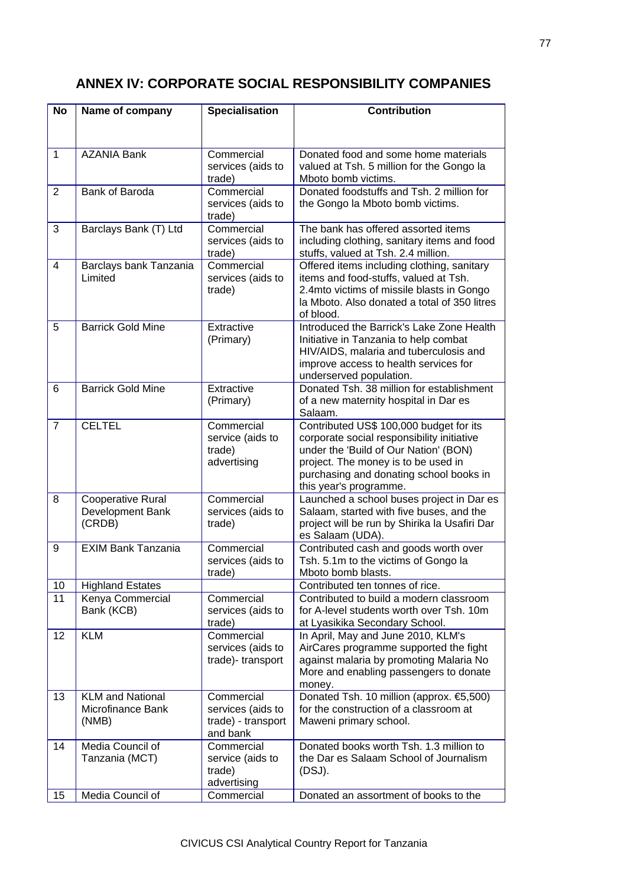## **ANNEX IV: CORPORATE SOCIAL RESPONSIBILITY COMPANIES**

| <b>No</b>      | Name of company            | <b>Specialisation</b>                   | <b>Contribution</b>                                                                |
|----------------|----------------------------|-----------------------------------------|------------------------------------------------------------------------------------|
|                |                            |                                         |                                                                                    |
|                |                            |                                         |                                                                                    |
| $\mathbf{1}$   | <b>AZANIA Bank</b>         | Commercial                              | Donated food and some home materials                                               |
|                |                            | services (aids to<br>trade)             | valued at Tsh. 5 million for the Gongo la<br>Mboto bomb victims.                   |
| $\overline{2}$ | Bank of Baroda             | Commercial                              | Donated foodstuffs and Tsh. 2 million for                                          |
|                |                            | services (aids to<br>trade)             | the Gongo la Mboto bomb victims.                                                   |
| 3              | Barclays Bank (T) Ltd      | Commercial                              | The bank has offered assorted items                                                |
|                |                            | services (aids to<br>trade)             | including clothing, sanitary items and food<br>stuffs, valued at Tsh. 2.4 million. |
| $\overline{4}$ | Barclays bank Tanzania     | Commercial                              | Offered items including clothing, sanitary                                         |
|                | Limited                    | services (aids to                       | items and food-stuffs, valued at Tsh.                                              |
|                |                            | trade)                                  | 2.4mto victims of missile blasts in Gongo                                          |
|                |                            |                                         | la Mboto. Also donated a total of 350 litres<br>of blood.                          |
| 5              | <b>Barrick Gold Mine</b>   | Extractive                              | Introduced the Barrick's Lake Zone Health                                          |
|                |                            | (Primary)                               | Initiative in Tanzania to help combat<br>HIV/AIDS, malaria and tuberculosis and    |
|                |                            |                                         | improve access to health services for                                              |
|                |                            |                                         | underserved population.                                                            |
| 6              | <b>Barrick Gold Mine</b>   | Extractive                              | Donated Tsh. 38 million for establishment                                          |
|                |                            | (Primary)                               | of a new maternity hospital in Dar es                                              |
| $\overline{7}$ | <b>CELTEL</b>              | Commercial                              | Salaam.<br>Contributed US\$ 100,000 budget for its                                 |
|                |                            | service (aids to                        | corporate social responsibility initiative                                         |
|                |                            | trade)                                  | under the 'Build of Our Nation' (BON)                                              |
|                |                            | advertising                             | project. The money is to be used in                                                |
|                |                            |                                         | purchasing and donating school books in                                            |
| 8              | <b>Cooperative Rural</b>   | Commercial                              | this year's programme.<br>Launched a school buses project in Dar es                |
|                | Development Bank           | services (aids to                       | Salaam, started with five buses, and the                                           |
|                | (CRDB)                     | trade)                                  | project will be run by Shirika la Usafiri Dar                                      |
|                |                            |                                         | es Salaam (UDA).                                                                   |
| 9              | <b>EXIM Bank Tanzania</b>  | Commercial                              | Contributed cash and goods worth over                                              |
|                |                            | services (aids to<br>trade)             | Tsh. 5.1m to the victims of Gongo la<br>Mboto bomb blasts.                         |
| 10             | <b>Highland Estates</b>    |                                         | Contributed ten tonnes of rice.                                                    |
| 11             | Kenya Commercial           | Commercial                              | Contributed to build a modern classroom                                            |
|                | Bank (KCB)                 | services (aids to                       | for A-level students worth over Tsh. 10m                                           |
|                |                            | trade)                                  | at Lyasikika Secondary School.                                                     |
| 12             | <b>KLM</b>                 | Commercial<br>services (aids to         | In April, May and June 2010, KLM's<br>AirCares programme supported the fight       |
|                |                            | trade)-transport                        | against malaria by promoting Malaria No                                            |
|                |                            |                                         | More and enabling passengers to donate                                             |
|                |                            |                                         | money.                                                                             |
| 13             | <b>KLM and National</b>    | Commercial                              | Donated Tsh. 10 million (approx. €5,500)                                           |
|                | Microfinance Bank<br>(NMB) | services (aids to<br>trade) - transport | for the construction of a classroom at<br>Maweni primary school.                   |
|                |                            | and bank                                |                                                                                    |
| 14             | Media Council of           | Commercial                              | Donated books worth Tsh. 1.3 million to                                            |
|                | Tanzania (MCT)             | service (aids to                        | the Dar es Salaam School of Journalism                                             |
|                |                            | trade)                                  | (DSJ).                                                                             |
| 15             | Media Council of           | advertising<br>Commercial               | Donated an assortment of books to the                                              |
|                |                            |                                         |                                                                                    |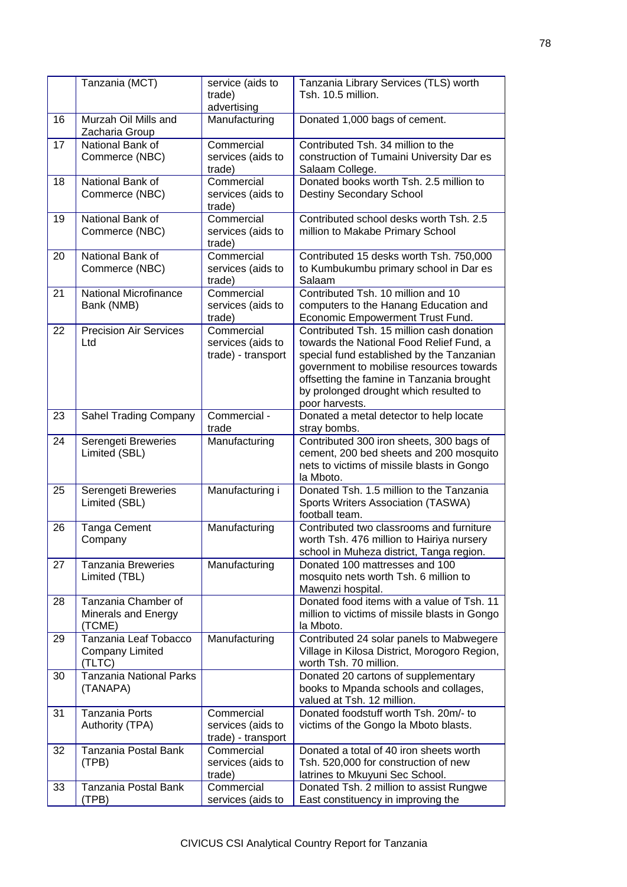|    | Tanzania (MCT)                                            | service (aids to<br>trade)<br>advertising             | Tanzania Library Services (TLS) worth<br>Tsh. 10.5 million.                                                                                                                                                                                                                             |
|----|-----------------------------------------------------------|-------------------------------------------------------|-----------------------------------------------------------------------------------------------------------------------------------------------------------------------------------------------------------------------------------------------------------------------------------------|
| 16 | Murzah Oil Mills and<br>Zacharia Group                    | Manufacturing                                         | Donated 1,000 bags of cement.                                                                                                                                                                                                                                                           |
| 17 | National Bank of<br>Commerce (NBC)                        | Commercial<br>services (aids to<br>trade)             | Contributed Tsh, 34 million to the<br>construction of Tumaini University Dar es<br>Salaam College.                                                                                                                                                                                      |
| 18 | National Bank of<br>Commerce (NBC)                        | Commercial<br>services (aids to<br>trade)             | Donated books worth Tsh. 2.5 million to<br><b>Destiny Secondary School</b>                                                                                                                                                                                                              |
| 19 | National Bank of<br>Commerce (NBC)                        | Commercial<br>services (aids to<br>trade)             | Contributed school desks worth Tsh. 2.5<br>million to Makabe Primary School                                                                                                                                                                                                             |
| 20 | National Bank of<br>Commerce (NBC)                        | Commercial<br>services (aids to<br>trade)             | Contributed 15 desks worth Tsh. 750,000<br>to Kumbukumbu primary school in Dar es<br>Salaam                                                                                                                                                                                             |
| 21 | National Microfinance<br>Bank (NMB)                       | Commercial<br>services (aids to<br>trade)             | Contributed Tsh. 10 million and 10<br>computers to the Hanang Education and<br>Economic Empowerment Trust Fund.                                                                                                                                                                         |
| 22 | <b>Precision Air Services</b><br>Ltd                      | Commercial<br>services (aids to<br>trade) - transport | Contributed Tsh. 15 million cash donation<br>towards the National Food Relief Fund, a<br>special fund established by the Tanzanian<br>government to mobilise resources towards<br>offsetting the famine in Tanzania brought<br>by prolonged drought which resulted to<br>poor harvests. |
| 23 | Sahel Trading Company                                     | Commercial -<br>trade                                 | Donated a metal detector to help locate<br>stray bombs.                                                                                                                                                                                                                                 |
| 24 | Serengeti Breweries<br>Limited (SBL)                      | Manufacturing                                         | Contributed 300 iron sheets, 300 bags of<br>cement, 200 bed sheets and 200 mosquito<br>nets to victims of missile blasts in Gongo<br>la Mboto.                                                                                                                                          |
| 25 | Serengeti Breweries<br>Limited (SBL)                      | Manufacturing i                                       | Donated Tsh. 1.5 million to the Tanzania<br>Sports Writers Association (TASWA)<br>football team.                                                                                                                                                                                        |
| 26 | Tanga Cement<br>Company                                   | Manufacturing                                         | Contributed two classrooms and furniture<br>worth Tsh. 476 million to Hairiya nursery<br>school in Muheza district, Tanga region.                                                                                                                                                       |
| 27 | <b>Tanzania Breweries</b><br>Limited (TBL)                | Manufacturing                                         | Donated 100 mattresses and 100<br>mosquito nets worth Tsh. 6 million to<br>Mawenzi hospital.                                                                                                                                                                                            |
| 28 | Tanzania Chamber of<br>Minerals and Energy<br>(TCME)      |                                                       | Donated food items with a value of Tsh. 11<br>million to victims of missile blasts in Gongo<br>la Mboto.                                                                                                                                                                                |
| 29 | Tanzania Leaf Tobacco<br><b>Company Limited</b><br>(TLTC) | Manufacturing                                         | Contributed 24 solar panels to Mabwegere<br>Village in Kilosa District, Morogoro Region,<br>worth Tsh. 70 million.                                                                                                                                                                      |
| 30 | <b>Tanzania National Parks</b><br>(TANAPA)                |                                                       | Donated 20 cartons of supplementary<br>books to Mpanda schools and collages,<br>valued at Tsh. 12 million.                                                                                                                                                                              |
| 31 | <b>Tanzania Ports</b><br>Authority (TPA)                  | Commercial<br>services (aids to<br>trade) - transport | Donated foodstuff worth Tsh. 20m/- to<br>victims of the Gongo la Mboto blasts.                                                                                                                                                                                                          |
| 32 | Tanzania Postal Bank<br>(TPB)                             | Commercial<br>services (aids to<br>trade)             | Donated a total of 40 iron sheets worth<br>Tsh. 520,000 for construction of new<br>latrines to Mkuyuni Sec School.                                                                                                                                                                      |
| 33 | Tanzania Postal Bank<br>(TPB)                             | Commercial<br>services (aids to                       | Donated Tsh. 2 million to assist Rungwe<br>East constituency in improving the                                                                                                                                                                                                           |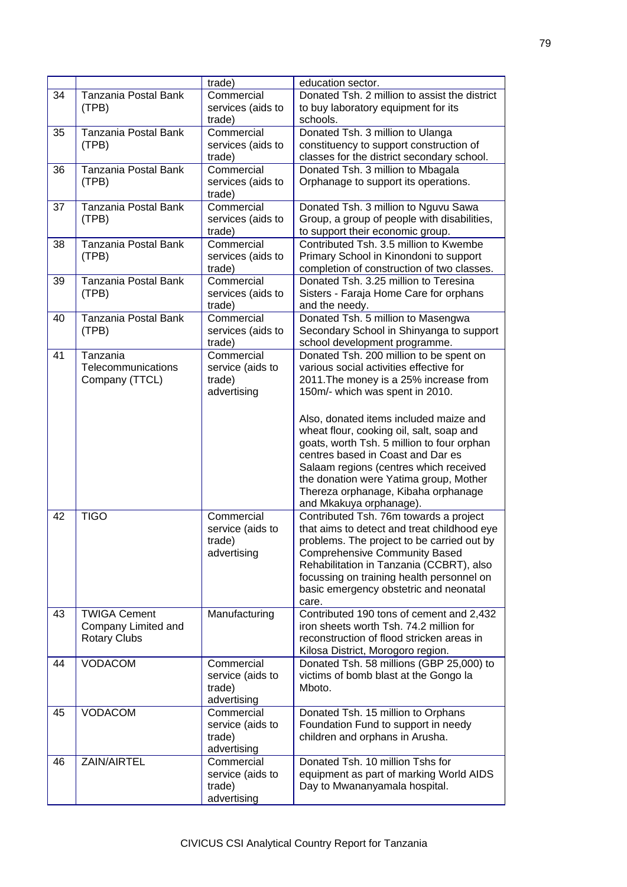|    |                      | trade)               | education sector.                             |
|----|----------------------|----------------------|-----------------------------------------------|
| 34 | Tanzania Postal Bank | Commercial           | Donated Tsh. 2 million to assist the district |
|    | (TPB)                | services (aids to    | to buy laboratory equipment for its           |
|    |                      | trade)               | schools.                                      |
| 35 | Tanzania Postal Bank | Commercial           | Donated Tsh. 3 million to Ulanga              |
|    | (TPB)                | services (aids to    | constituency to support construction of       |
|    |                      | trade)               | classes for the district secondary school.    |
| 36 | Tanzania Postal Bank | Commercial           | Donated Tsh. 3 million to Mbagala             |
|    | (TPB)                | services (aids to    | Orphanage to support its operations.          |
|    |                      |                      |                                               |
|    | Tanzania Postal Bank | trade)<br>Commercial |                                               |
| 37 |                      |                      | Donated Tsh. 3 million to Nguvu Sawa          |
|    | (TPB)                | services (aids to    | Group, a group of people with disabilities,   |
|    |                      | trade)               | to support their economic group.              |
| 38 | Tanzania Postal Bank | Commercial           | Contributed Tsh. 3.5 million to Kwembe        |
|    | (TPB)                | services (aids to    | Primary School in Kinondoni to support        |
|    |                      | trade)               | completion of construction of two classes.    |
| 39 | Tanzania Postal Bank | Commercial           | Donated Tsh. 3.25 million to Teresina         |
|    | (TPB)                | services (aids to    | Sisters - Faraja Home Care for orphans        |
|    |                      | trade)               | and the needy.                                |
| 40 | Tanzania Postal Bank | Commercial           | Donated Tsh. 5 million to Masengwa            |
|    | (TPB)                | services (aids to    | Secondary School in Shinyanga to support      |
|    |                      | trade)               | school development programme.                 |
| 41 | Tanzania             | Commercial           | Donated Tsh. 200 million to be spent on       |
|    | Telecommunications   | service (aids to     | various social activities effective for       |
|    | Company (TTCL)       | trade)               | 2011. The money is a 25% increase from        |
|    |                      | advertising          | 150m/- which was spent in 2010.               |
|    |                      |                      |                                               |
|    |                      |                      | Also, donated items included maize and        |
|    |                      |                      | wheat flour, cooking oil, salt, soap and      |
|    |                      |                      | goats, worth Tsh. 5 million to four orphan    |
|    |                      |                      | centres based in Coast and Dar es             |
|    |                      |                      | Salaam regions (centres which received        |
|    |                      |                      | the donation were Yatima group, Mother        |
|    |                      |                      | Thereza orphanage, Kibaha orphanage           |
|    |                      |                      | and Mkakuya orphanage).                       |
| 42 | <b>TIGO</b>          | Commercial           | Contributed Tsh. 76m towards a project        |
|    |                      | service (aids to     | that aims to detect and treat childhood eye   |
|    |                      | trade)               |                                               |
|    |                      |                      | problems. The project to be carried out by    |
|    |                      | advertising          | <b>Comprehensive Community Based</b>          |
|    |                      |                      | Rehabilitation in Tanzania (CCBRT), also      |
|    |                      |                      | focussing on training health personnel on     |
|    |                      |                      | basic emergency obstetric and neonatal        |
|    |                      |                      | care.                                         |
| 43 | <b>TWIGA Cement</b>  | Manufacturing        | Contributed 190 tons of cement and 2,432      |
|    | Company Limited and  |                      | iron sheets worth Tsh. 74.2 million for       |
|    | <b>Rotary Clubs</b>  |                      | reconstruction of flood stricken areas in     |
|    |                      |                      | Kilosa District, Morogoro region.             |
| 44 | <b>VODACOM</b>       | Commercial           | Donated Tsh. 58 millions (GBP 25,000) to      |
|    |                      | service (aids to     | victims of bomb blast at the Gongo la         |
|    |                      | trade)               | Mboto.                                        |
|    |                      | advertising          |                                               |
| 45 | <b>VODACOM</b>       | Commercial           | Donated Tsh. 15 million to Orphans            |
|    |                      | service (aids to     | Foundation Fund to support in needy           |
|    |                      | trade)               | children and orphans in Arusha.               |
|    |                      | advertising          |                                               |
| 46 | ZAIN/AIRTEL          | Commercial           | Donated Tsh, 10 million Tshs for              |
|    |                      | service (aids to     | equipment as part of marking World AIDS       |
|    |                      | trade)               | Day to Mwananyamala hospital.                 |
|    |                      | advertising          |                                               |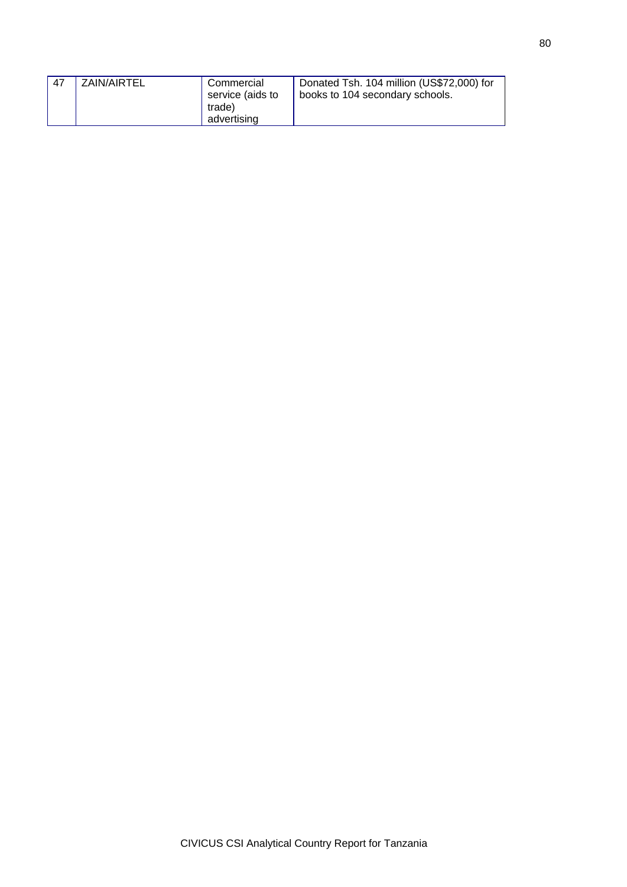| 47 | ZAIN/AIRTEL | Commercial<br>service (aids to<br>trade) | Donated Tsh. 104 million (US\$72,000) for<br>books to 104 secondary schools. |
|----|-------------|------------------------------------------|------------------------------------------------------------------------------|
|    |             | advertising                              |                                                                              |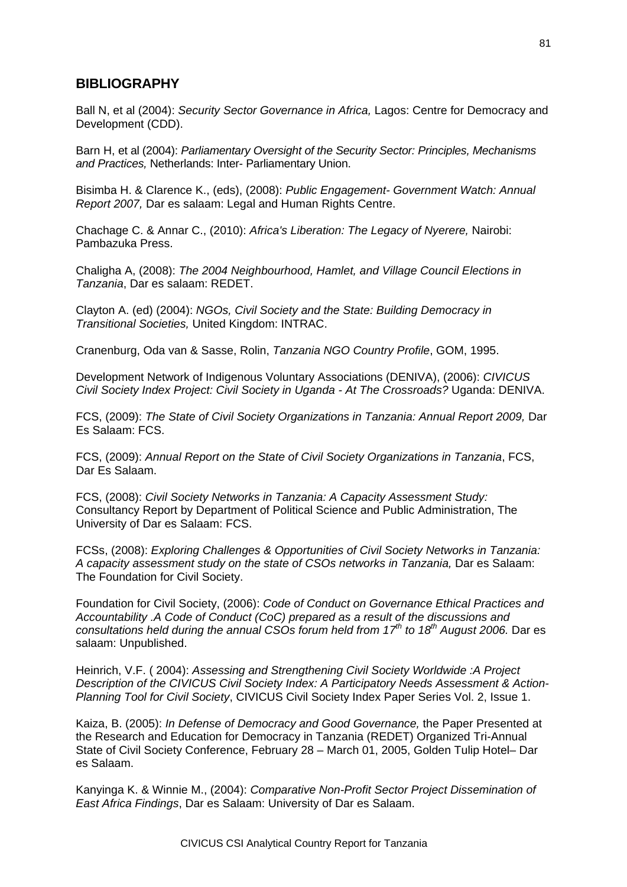## **BIBLIOGRAPHY**

Ball N, et al (2004): *Security Sector Governance in Africa,* Lagos: Centre for Democracy and Development (CDD).

Barn H, et al (2004): *Parliamentary Oversight of the Security Sector: Principles, Mechanisms and Practices,* Netherlands: Inter- Parliamentary Union.

Bisimba H. & Clarence K., (eds), (2008): *Public Engagement- Government Watch: Annual Report 2007,* Dar es salaam: Legal and Human Rights Centre.

Chachage C. & Annar C., (2010): *Africa's Liberation: The Legacy of Nyerere,* Nairobi: Pambazuka Press.

Chaligha A, (2008): *The 2004 Neighbourhood, Hamlet, and Village Council Elections in Tanzania*, Dar es salaam: REDET.

Clayton A. (ed) (2004): *NGOs, Civil Society and the State: Building Democracy in Transitional Societies,* United Kingdom: INTRAC.

Cranenburg, Oda van & Sasse, Rolin, *Tanzania NGO Country Profile*, GOM, 1995.

Development Network of Indigenous Voluntary Associations (DENIVA), (2006): *CIVICUS Civil Society Index Project: Civil Society in Uganda - At The Crossroads?* Uganda: DENIVA.

FCS, (2009): *The State of Civil Society Organizations in Tanzania: Annual Report 2009,* Dar Es Salaam: FCS.

FCS, (2009): *Annual Report on the State of Civil Society Organizations in Tanzania*, FCS, Dar Es Salaam.

FCS, (2008): *Civil Society Networks in Tanzania: A Capacity Assessment Study:* Consultancy Report by Department of Political Science and Public Administration, The University of Dar es Salaam: FCS.

FCSs, (2008): *Exploring Challenges & Opportunities of Civil Society Networks in Tanzania: A capacity assessment study on the state of CSOs networks in Tanzania,* Dar es Salaam: The Foundation for Civil Society.

Foundation for Civil Society, (2006): *Code of Conduct on Governance Ethical Practices and Accountability .A Code of Conduct (CoC) prepared as a result of the discussions and consultations held during the annual CSOs forum held from 17th to 18th August 2006.* Dar es salaam: Unpublished.

Heinrich, V.F. ( 2004): *Assessing and Strengthening Civil Society Worldwide :A Project Description of the CIVICUS Civil Society Index: A Participatory Needs Assessment & Action-Planning Tool for Civil Society*, CIVICUS Civil Society Index Paper Series Vol. 2, Issue 1.

Kaiza, B. (2005): *In Defense of Democracy and Good Governance,* the Paper Presented at the Research and Education for Democracy in Tanzania (REDET) Organized Tri-Annual State of Civil Society Conference, February 28 – March 01, 2005, Golden Tulip Hotel– Dar es Salaam.

Kanyinga K. & Winnie M., (2004): *Comparative Non-Profit Sector Project Dissemination of East Africa Findings*, Dar es Salaam: University of Dar es Salaam.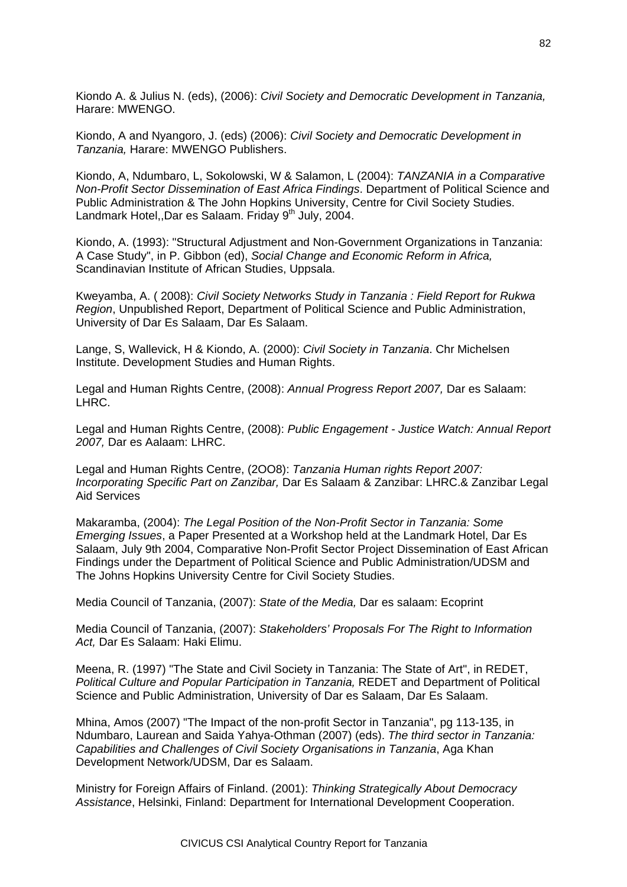Kiondo A. & Julius N. (eds), (2006): *Civil Society and Democratic Development in Tanzania,*  Harare: MWENGO.

Kiondo, A and Nyangoro, J. (eds) (2006): *Civil Society and Democratic Development in Tanzania,* Harare: MWENGO Publishers.

Kiondo, A, Ndumbaro, L, Sokolowski, W & Salamon, L (2004): *TANZANIA in a Comparative Non-Profit Sector Dissemination of East Africa Findings*. Department of Political Science and Public Administration & The John Hopkins University, Centre for Civil Society Studies. Landmark Hotel.,Dar es Salaam. Friday 9<sup>th</sup> July, 2004.

Kiondo, A. (1993): "Structural Adjustment and Non-Government Organizations in Tanzania: A Case Study", in P. Gibbon (ed), *Social Change and Economic Reform in Africa,*  Scandinavian Institute of African Studies, Uppsala.

Kweyamba, A. ( 2008): *Civil Society Networks Study in Tanzania : Field Report for Rukwa Region*, Unpublished Report, Department of Political Science and Public Administration, University of Dar Es Salaam, Dar Es Salaam.

Lange, S, Wallevick, H & Kiondo, A. (2000): *Civil Society in Tanzania*. Chr Michelsen Institute. Development Studies and Human Rights.

Legal and Human Rights Centre, (2008): *Annual Progress Report 2007,* Dar es Salaam: LHRC.

Legal and Human Rights Centre, (2008): *Public Engagement - Justice Watch: Annual Report 2007,* Dar es Aalaam: LHRC.

Legal and Human Rights Centre, (2OO8): *Tanzania Human rights Report 2007: Incorporating Specific Part on Zanzibar,* Dar Es Salaam & Zanzibar: LHRC.& Zanzibar Legal Aid Services

Makaramba, (2004): *The Legal Position of the Non-Profit Sector in Tanzania: Some Emerging Issues*, a Paper Presented at a Workshop held at the Landmark Hotel, Dar Es Salaam, July 9th 2004, Comparative Non-Profit Sector Project Dissemination of East African Findings under the Department of Political Science and Public Administration/UDSM and The Johns Hopkins University Centre for Civil Society Studies.

Media Council of Tanzania, (2007): *State of the Media,* Dar es salaam: Ecoprint

Media Council of Tanzania, (2007): *Stakeholders' Proposals For The Right to Information Act,* Dar Es Salaam: Haki Elimu.

Meena, R. (1997) "The State and Civil Society in Tanzania: The State of Art", in REDET, *Political Culture and Popular Participation in Tanzania,* REDET and Department of Political Science and Public Administration, University of Dar es Salaam, Dar Es Salaam.

Mhina, Amos (2007) "The Impact of the non-profit Sector in Tanzania", pg 113-135, in Ndumbaro, Laurean and Saida Yahya-Othman (2007) (eds). *The third sector in Tanzania: Capabilities and Challenges of Civil Society Organisations in Tanzania*, Aga Khan Development Network/UDSM, Dar es Salaam.

Ministry for Foreign Affairs of Finland. (2001): *Thinking Strategically About Democracy Assistance*, Helsinki, Finland: Department for International Development Cooperation.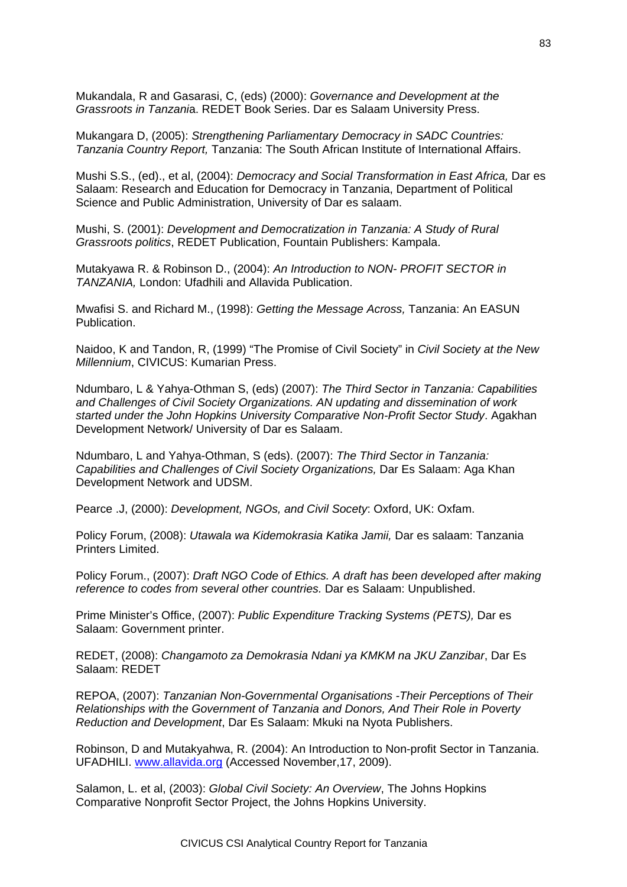Mukandala, R and Gasarasi, C, (eds) (2000): *Governance and Development at the Grassroots in Tanzani*a. REDET Book Series. Dar es Salaam University Press.

Mukangara D, (2005): *Strengthening Parliamentary Democracy in SADC Countries: Tanzania Country Report,* Tanzania: The South African Institute of International Affairs.

Mushi S.S., (ed)., et al, (2004): *Democracy and Social Transformation in East Africa,* Dar es Salaam: Research and Education for Democracy in Tanzania, Department of Political Science and Public Administration, University of Dar es salaam.

Mushi, S. (2001): *Development and Democratization in Tanzania: A Study of Rural Grassroots politics*, REDET Publication, Fountain Publishers: Kampala.

Mutakyawa R. & Robinson D., (2004): *An Introduction to NON- PROFIT SECTOR in TANZANIA,* London: Ufadhili and Allavida Publication.

Mwafisi S. and Richard M., (1998): *Getting the Message Across,* Tanzania: An EASUN Publication.

Naidoo, K and Tandon, R, (1999) "The Promise of Civil Society" in *Civil Society at the New Millennium*, CIVICUS: Kumarian Press.

Ndumbaro, L & Yahya-Othman S, (eds) (2007): *The Third Sector in Tanzania: Capabilities and Challenges of Civil Society Organizations. AN updating and dissemination of work started under the John Hopkins University Comparative Non-Profit Sector Study*. Agakhan Development Network/ University of Dar es Salaam.

Ndumbaro, L and Yahya-Othman, S (eds). (2007): *The Third Sector in Tanzania: Capabilities and Challenges of Civil Society Organizations,* Dar Es Salaam: Aga Khan Development Network and UDSM.

Pearce .J, (2000): *Development, NGOs, and Civil Socety*: Oxford, UK: Oxfam.

Policy Forum, (2008): *Utawala wa Kidemokrasia Katika Jamii,* Dar es salaam: Tanzania Printers Limited.

Policy Forum., (2007): *Draft NGO Code of Ethics. A draft has been developed after making reference to codes from several other countries.* Dar es Salaam: Unpublished.

Prime Minister's Office, (2007): *Public Expenditure Tracking Systems (PETS),* Dar es Salaam: Government printer.

REDET, (2008): *Changamoto za Demokrasia Ndani ya KMKM na JKU Zanzibar*, Dar Es Salaam: REDET

REPOA, (2007): *Tanzanian Non-Governmental Organisations -Their Perceptions of Their Relationships with the Government of Tanzania and Donors, And Their Role in Poverty Reduction and Development*, Dar Es Salaam: Mkuki na Nyota Publishers.

Robinson, D and Mutakyahwa, R. (2004): An Introduction to Non-profit Sector in Tanzania. UFADHILI. [www.allavida.org](http://www.allavida.org/) (Accessed November,17, 2009).

Salamon, L. et al, (2003): *Global Civil Society: An Overview*, The Johns Hopkins Comparative Nonprofit Sector Project, the Johns Hopkins University.